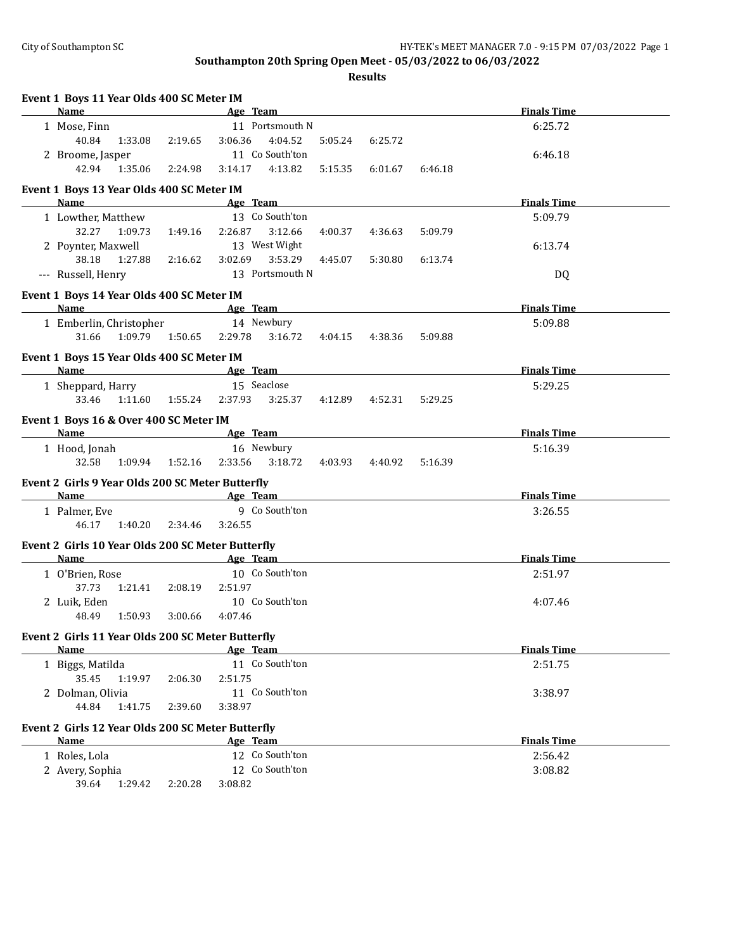| <b>Name</b><br><b>Finals Time</b><br>Age Team<br>11 Portsmouth N<br>6:25.72<br>1 Mose, Finn<br>40.84<br>4:04.52<br>3:06.36<br>1:33.08<br>2:19.65<br>5:05.24<br>6:25.72<br>11 Co South'ton<br>2 Broome, Jasper<br>6:46.18<br>42.94<br>1:35.06<br>4:13.82<br>2:24.98<br>3:14.17<br>5:15.35<br>6:01.67<br>6:46.18<br>Event 1 Boys 13 Year Olds 400 SC Meter IM<br>Name<br>Age Team<br><b>Finals Time</b><br>13 Co South'ton<br>1 Lowther, Matthew<br>5:09.79<br>32.27<br>3:12.66<br>1:09.73<br>1:49.16<br>2:26.87<br>4:00.37<br>4:36.63<br>5:09.79<br>13 West Wight<br>2 Poynter, Maxwell<br>6:13.74<br>38.18<br>3:53.29<br>1:27.88<br>3:02.69<br>2:16.62<br>4:45.07<br>5:30.80<br>6:13.74<br>13 Portsmouth N<br>--- Russell, Henry<br>DQ<br>Event 1 Boys 14 Year Olds 400 SC Meter IM<br>Age Team and the state of the state of the state of the state of the state of the state of the state of the state of the state of the state of the state of the state of the state of the state of the state of the state of t<br><b>Finals Time</b><br>Name<br>1 Emberlin, Christopher<br>14 Newbury<br>5:09.88<br>1:09.79<br>1:50.65<br>2:29.78<br>31.66<br>3:16.72<br>4:04.15<br>4:38.36<br>5:09.88<br>Event 1 Boys 15 Year Olds 400 SC Meter IM<br>Name<br>Age Team<br><b>Finals Time</b><br>15 Seaclose<br>1 Sheppard, Harry<br>5:29.25<br>33.46<br>1:55.24 2:37.93<br>3:25.37<br>1:11.60<br>4:12.89<br>4:52.31<br>5:29.25<br>Event 1 Boys 16 & Over 400 SC Meter IM<br>Age Team<br><b>Finals Time</b><br>Name<br>16 Newbury<br>1 Hood, Jonah<br>5:16.39<br>32.58<br>1:09.94<br>2:33.56 3:18.72<br>1:52.16<br>4:03.93<br>4:40.92<br>5:16.39<br>Event 2 Girls 9 Year Olds 200 SC Meter Butterfly<br>Age Team<br><b>Finals Time</b><br>Name<br>9 Co South'ton<br>1 Palmer, Eve<br>3:26.55<br>46.17<br>1:40.20<br>2:34.46<br>3:26.55<br>Event 2 Girls 10 Year Olds 200 SC Meter Butterfly<br>Age Team<br><b>Finals Time</b><br>Name<br>10 Co South'ton<br>1 O'Brien, Rose<br>2:51.97<br>37.73<br>2:51.97<br>1:21.41<br>2:08.19<br>10 Co South'ton<br>2 Luik, Eden<br>4:07.46<br>48.49<br>1:50.93<br>3:00.66<br>4:07.46<br>Event 2 Girls 11 Year Olds 200 SC Meter Butterfly<br><b>Finals Time</b><br>Age Team<br>Name<br>11 Co South'ton<br>1 Biggs, Matilda<br>2:51.75<br>35.45<br>1:19.97<br>2:51.75<br>2:06.30<br>11 Co South'ton<br>2 Dolman, Olivia<br>3:38.97<br>44.84<br>1:41.75<br>2:39.60<br>3:38.97<br>Event 2 Girls 12 Year Olds 200 SC Meter Butterfly<br>Name<br>Age Team<br><b>Finals Time</b> | Event 1 Boys 11 Year Olds 400 SC Meter IM |  |  |  |  |
|-------------------------------------------------------------------------------------------------------------------------------------------------------------------------------------------------------------------------------------------------------------------------------------------------------------------------------------------------------------------------------------------------------------------------------------------------------------------------------------------------------------------------------------------------------------------------------------------------------------------------------------------------------------------------------------------------------------------------------------------------------------------------------------------------------------------------------------------------------------------------------------------------------------------------------------------------------------------------------------------------------------------------------------------------------------------------------------------------------------------------------------------------------------------------------------------------------------------------------------------------------------------------------------------------------------------------------------------------------------------------------------------------------------------------------------------------------------------------------------------------------------------------------------------------------------------------------------------------------------------------------------------------------------------------------------------------------------------------------------------------------------------------------------------------------------------------------------------------------------------------------------------------------------------------------------------------------------------------------------------------------------------------------------------------------------------------------------------------------------------------------------------------------------------------------------------------------------------------------------------------------------------------------------------------------------------------------------------------------------------------------------------------------------------------------------------------------------------------------------------------------|-------------------------------------------|--|--|--|--|
|                                                                                                                                                                                                                                                                                                                                                                                                                                                                                                                                                                                                                                                                                                                                                                                                                                                                                                                                                                                                                                                                                                                                                                                                                                                                                                                                                                                                                                                                                                                                                                                                                                                                                                                                                                                                                                                                                                                                                                                                                                                                                                                                                                                                                                                                                                                                                                                                                                                                                                       |                                           |  |  |  |  |
|                                                                                                                                                                                                                                                                                                                                                                                                                                                                                                                                                                                                                                                                                                                                                                                                                                                                                                                                                                                                                                                                                                                                                                                                                                                                                                                                                                                                                                                                                                                                                                                                                                                                                                                                                                                                                                                                                                                                                                                                                                                                                                                                                                                                                                                                                                                                                                                                                                                                                                       |                                           |  |  |  |  |
|                                                                                                                                                                                                                                                                                                                                                                                                                                                                                                                                                                                                                                                                                                                                                                                                                                                                                                                                                                                                                                                                                                                                                                                                                                                                                                                                                                                                                                                                                                                                                                                                                                                                                                                                                                                                                                                                                                                                                                                                                                                                                                                                                                                                                                                                                                                                                                                                                                                                                                       |                                           |  |  |  |  |
|                                                                                                                                                                                                                                                                                                                                                                                                                                                                                                                                                                                                                                                                                                                                                                                                                                                                                                                                                                                                                                                                                                                                                                                                                                                                                                                                                                                                                                                                                                                                                                                                                                                                                                                                                                                                                                                                                                                                                                                                                                                                                                                                                                                                                                                                                                                                                                                                                                                                                                       |                                           |  |  |  |  |
|                                                                                                                                                                                                                                                                                                                                                                                                                                                                                                                                                                                                                                                                                                                                                                                                                                                                                                                                                                                                                                                                                                                                                                                                                                                                                                                                                                                                                                                                                                                                                                                                                                                                                                                                                                                                                                                                                                                                                                                                                                                                                                                                                                                                                                                                                                                                                                                                                                                                                                       |                                           |  |  |  |  |
|                                                                                                                                                                                                                                                                                                                                                                                                                                                                                                                                                                                                                                                                                                                                                                                                                                                                                                                                                                                                                                                                                                                                                                                                                                                                                                                                                                                                                                                                                                                                                                                                                                                                                                                                                                                                                                                                                                                                                                                                                                                                                                                                                                                                                                                                                                                                                                                                                                                                                                       |                                           |  |  |  |  |
|                                                                                                                                                                                                                                                                                                                                                                                                                                                                                                                                                                                                                                                                                                                                                                                                                                                                                                                                                                                                                                                                                                                                                                                                                                                                                                                                                                                                                                                                                                                                                                                                                                                                                                                                                                                                                                                                                                                                                                                                                                                                                                                                                                                                                                                                                                                                                                                                                                                                                                       |                                           |  |  |  |  |
|                                                                                                                                                                                                                                                                                                                                                                                                                                                                                                                                                                                                                                                                                                                                                                                                                                                                                                                                                                                                                                                                                                                                                                                                                                                                                                                                                                                                                                                                                                                                                                                                                                                                                                                                                                                                                                                                                                                                                                                                                                                                                                                                                                                                                                                                                                                                                                                                                                                                                                       |                                           |  |  |  |  |
|                                                                                                                                                                                                                                                                                                                                                                                                                                                                                                                                                                                                                                                                                                                                                                                                                                                                                                                                                                                                                                                                                                                                                                                                                                                                                                                                                                                                                                                                                                                                                                                                                                                                                                                                                                                                                                                                                                                                                                                                                                                                                                                                                                                                                                                                                                                                                                                                                                                                                                       |                                           |  |  |  |  |
|                                                                                                                                                                                                                                                                                                                                                                                                                                                                                                                                                                                                                                                                                                                                                                                                                                                                                                                                                                                                                                                                                                                                                                                                                                                                                                                                                                                                                                                                                                                                                                                                                                                                                                                                                                                                                                                                                                                                                                                                                                                                                                                                                                                                                                                                                                                                                                                                                                                                                                       |                                           |  |  |  |  |
|                                                                                                                                                                                                                                                                                                                                                                                                                                                                                                                                                                                                                                                                                                                                                                                                                                                                                                                                                                                                                                                                                                                                                                                                                                                                                                                                                                                                                                                                                                                                                                                                                                                                                                                                                                                                                                                                                                                                                                                                                                                                                                                                                                                                                                                                                                                                                                                                                                                                                                       |                                           |  |  |  |  |
|                                                                                                                                                                                                                                                                                                                                                                                                                                                                                                                                                                                                                                                                                                                                                                                                                                                                                                                                                                                                                                                                                                                                                                                                                                                                                                                                                                                                                                                                                                                                                                                                                                                                                                                                                                                                                                                                                                                                                                                                                                                                                                                                                                                                                                                                                                                                                                                                                                                                                                       |                                           |  |  |  |  |
|                                                                                                                                                                                                                                                                                                                                                                                                                                                                                                                                                                                                                                                                                                                                                                                                                                                                                                                                                                                                                                                                                                                                                                                                                                                                                                                                                                                                                                                                                                                                                                                                                                                                                                                                                                                                                                                                                                                                                                                                                                                                                                                                                                                                                                                                                                                                                                                                                                                                                                       |                                           |  |  |  |  |
|                                                                                                                                                                                                                                                                                                                                                                                                                                                                                                                                                                                                                                                                                                                                                                                                                                                                                                                                                                                                                                                                                                                                                                                                                                                                                                                                                                                                                                                                                                                                                                                                                                                                                                                                                                                                                                                                                                                                                                                                                                                                                                                                                                                                                                                                                                                                                                                                                                                                                                       |                                           |  |  |  |  |
|                                                                                                                                                                                                                                                                                                                                                                                                                                                                                                                                                                                                                                                                                                                                                                                                                                                                                                                                                                                                                                                                                                                                                                                                                                                                                                                                                                                                                                                                                                                                                                                                                                                                                                                                                                                                                                                                                                                                                                                                                                                                                                                                                                                                                                                                                                                                                                                                                                                                                                       |                                           |  |  |  |  |
|                                                                                                                                                                                                                                                                                                                                                                                                                                                                                                                                                                                                                                                                                                                                                                                                                                                                                                                                                                                                                                                                                                                                                                                                                                                                                                                                                                                                                                                                                                                                                                                                                                                                                                                                                                                                                                                                                                                                                                                                                                                                                                                                                                                                                                                                                                                                                                                                                                                                                                       |                                           |  |  |  |  |
|                                                                                                                                                                                                                                                                                                                                                                                                                                                                                                                                                                                                                                                                                                                                                                                                                                                                                                                                                                                                                                                                                                                                                                                                                                                                                                                                                                                                                                                                                                                                                                                                                                                                                                                                                                                                                                                                                                                                                                                                                                                                                                                                                                                                                                                                                                                                                                                                                                                                                                       |                                           |  |  |  |  |
|                                                                                                                                                                                                                                                                                                                                                                                                                                                                                                                                                                                                                                                                                                                                                                                                                                                                                                                                                                                                                                                                                                                                                                                                                                                                                                                                                                                                                                                                                                                                                                                                                                                                                                                                                                                                                                                                                                                                                                                                                                                                                                                                                                                                                                                                                                                                                                                                                                                                                                       |                                           |  |  |  |  |
|                                                                                                                                                                                                                                                                                                                                                                                                                                                                                                                                                                                                                                                                                                                                                                                                                                                                                                                                                                                                                                                                                                                                                                                                                                                                                                                                                                                                                                                                                                                                                                                                                                                                                                                                                                                                                                                                                                                                                                                                                                                                                                                                                                                                                                                                                                                                                                                                                                                                                                       |                                           |  |  |  |  |
|                                                                                                                                                                                                                                                                                                                                                                                                                                                                                                                                                                                                                                                                                                                                                                                                                                                                                                                                                                                                                                                                                                                                                                                                                                                                                                                                                                                                                                                                                                                                                                                                                                                                                                                                                                                                                                                                                                                                                                                                                                                                                                                                                                                                                                                                                                                                                                                                                                                                                                       |                                           |  |  |  |  |
|                                                                                                                                                                                                                                                                                                                                                                                                                                                                                                                                                                                                                                                                                                                                                                                                                                                                                                                                                                                                                                                                                                                                                                                                                                                                                                                                                                                                                                                                                                                                                                                                                                                                                                                                                                                                                                                                                                                                                                                                                                                                                                                                                                                                                                                                                                                                                                                                                                                                                                       |                                           |  |  |  |  |
|                                                                                                                                                                                                                                                                                                                                                                                                                                                                                                                                                                                                                                                                                                                                                                                                                                                                                                                                                                                                                                                                                                                                                                                                                                                                                                                                                                                                                                                                                                                                                                                                                                                                                                                                                                                                                                                                                                                                                                                                                                                                                                                                                                                                                                                                                                                                                                                                                                                                                                       |                                           |  |  |  |  |
|                                                                                                                                                                                                                                                                                                                                                                                                                                                                                                                                                                                                                                                                                                                                                                                                                                                                                                                                                                                                                                                                                                                                                                                                                                                                                                                                                                                                                                                                                                                                                                                                                                                                                                                                                                                                                                                                                                                                                                                                                                                                                                                                                                                                                                                                                                                                                                                                                                                                                                       |                                           |  |  |  |  |
|                                                                                                                                                                                                                                                                                                                                                                                                                                                                                                                                                                                                                                                                                                                                                                                                                                                                                                                                                                                                                                                                                                                                                                                                                                                                                                                                                                                                                                                                                                                                                                                                                                                                                                                                                                                                                                                                                                                                                                                                                                                                                                                                                                                                                                                                                                                                                                                                                                                                                                       |                                           |  |  |  |  |
|                                                                                                                                                                                                                                                                                                                                                                                                                                                                                                                                                                                                                                                                                                                                                                                                                                                                                                                                                                                                                                                                                                                                                                                                                                                                                                                                                                                                                                                                                                                                                                                                                                                                                                                                                                                                                                                                                                                                                                                                                                                                                                                                                                                                                                                                                                                                                                                                                                                                                                       |                                           |  |  |  |  |
|                                                                                                                                                                                                                                                                                                                                                                                                                                                                                                                                                                                                                                                                                                                                                                                                                                                                                                                                                                                                                                                                                                                                                                                                                                                                                                                                                                                                                                                                                                                                                                                                                                                                                                                                                                                                                                                                                                                                                                                                                                                                                                                                                                                                                                                                                                                                                                                                                                                                                                       |                                           |  |  |  |  |
|                                                                                                                                                                                                                                                                                                                                                                                                                                                                                                                                                                                                                                                                                                                                                                                                                                                                                                                                                                                                                                                                                                                                                                                                                                                                                                                                                                                                                                                                                                                                                                                                                                                                                                                                                                                                                                                                                                                                                                                                                                                                                                                                                                                                                                                                                                                                                                                                                                                                                                       |                                           |  |  |  |  |
|                                                                                                                                                                                                                                                                                                                                                                                                                                                                                                                                                                                                                                                                                                                                                                                                                                                                                                                                                                                                                                                                                                                                                                                                                                                                                                                                                                                                                                                                                                                                                                                                                                                                                                                                                                                                                                                                                                                                                                                                                                                                                                                                                                                                                                                                                                                                                                                                                                                                                                       |                                           |  |  |  |  |
|                                                                                                                                                                                                                                                                                                                                                                                                                                                                                                                                                                                                                                                                                                                                                                                                                                                                                                                                                                                                                                                                                                                                                                                                                                                                                                                                                                                                                                                                                                                                                                                                                                                                                                                                                                                                                                                                                                                                                                                                                                                                                                                                                                                                                                                                                                                                                                                                                                                                                                       |                                           |  |  |  |  |
|                                                                                                                                                                                                                                                                                                                                                                                                                                                                                                                                                                                                                                                                                                                                                                                                                                                                                                                                                                                                                                                                                                                                                                                                                                                                                                                                                                                                                                                                                                                                                                                                                                                                                                                                                                                                                                                                                                                                                                                                                                                                                                                                                                                                                                                                                                                                                                                                                                                                                                       |                                           |  |  |  |  |
|                                                                                                                                                                                                                                                                                                                                                                                                                                                                                                                                                                                                                                                                                                                                                                                                                                                                                                                                                                                                                                                                                                                                                                                                                                                                                                                                                                                                                                                                                                                                                                                                                                                                                                                                                                                                                                                                                                                                                                                                                                                                                                                                                                                                                                                                                                                                                                                                                                                                                                       |                                           |  |  |  |  |
|                                                                                                                                                                                                                                                                                                                                                                                                                                                                                                                                                                                                                                                                                                                                                                                                                                                                                                                                                                                                                                                                                                                                                                                                                                                                                                                                                                                                                                                                                                                                                                                                                                                                                                                                                                                                                                                                                                                                                                                                                                                                                                                                                                                                                                                                                                                                                                                                                                                                                                       |                                           |  |  |  |  |
|                                                                                                                                                                                                                                                                                                                                                                                                                                                                                                                                                                                                                                                                                                                                                                                                                                                                                                                                                                                                                                                                                                                                                                                                                                                                                                                                                                                                                                                                                                                                                                                                                                                                                                                                                                                                                                                                                                                                                                                                                                                                                                                                                                                                                                                                                                                                                                                                                                                                                                       |                                           |  |  |  |  |
|                                                                                                                                                                                                                                                                                                                                                                                                                                                                                                                                                                                                                                                                                                                                                                                                                                                                                                                                                                                                                                                                                                                                                                                                                                                                                                                                                                                                                                                                                                                                                                                                                                                                                                                                                                                                                                                                                                                                                                                                                                                                                                                                                                                                                                                                                                                                                                                                                                                                                                       |                                           |  |  |  |  |
|                                                                                                                                                                                                                                                                                                                                                                                                                                                                                                                                                                                                                                                                                                                                                                                                                                                                                                                                                                                                                                                                                                                                                                                                                                                                                                                                                                                                                                                                                                                                                                                                                                                                                                                                                                                                                                                                                                                                                                                                                                                                                                                                                                                                                                                                                                                                                                                                                                                                                                       |                                           |  |  |  |  |
|                                                                                                                                                                                                                                                                                                                                                                                                                                                                                                                                                                                                                                                                                                                                                                                                                                                                                                                                                                                                                                                                                                                                                                                                                                                                                                                                                                                                                                                                                                                                                                                                                                                                                                                                                                                                                                                                                                                                                                                                                                                                                                                                                                                                                                                                                                                                                                                                                                                                                                       |                                           |  |  |  |  |
|                                                                                                                                                                                                                                                                                                                                                                                                                                                                                                                                                                                                                                                                                                                                                                                                                                                                                                                                                                                                                                                                                                                                                                                                                                                                                                                                                                                                                                                                                                                                                                                                                                                                                                                                                                                                                                                                                                                                                                                                                                                                                                                                                                                                                                                                                                                                                                                                                                                                                                       |                                           |  |  |  |  |
|                                                                                                                                                                                                                                                                                                                                                                                                                                                                                                                                                                                                                                                                                                                                                                                                                                                                                                                                                                                                                                                                                                                                                                                                                                                                                                                                                                                                                                                                                                                                                                                                                                                                                                                                                                                                                                                                                                                                                                                                                                                                                                                                                                                                                                                                                                                                                                                                                                                                                                       |                                           |  |  |  |  |
|                                                                                                                                                                                                                                                                                                                                                                                                                                                                                                                                                                                                                                                                                                                                                                                                                                                                                                                                                                                                                                                                                                                                                                                                                                                                                                                                                                                                                                                                                                                                                                                                                                                                                                                                                                                                                                                                                                                                                                                                                                                                                                                                                                                                                                                                                                                                                                                                                                                                                                       |                                           |  |  |  |  |
| 12 Co South'ton<br>1 Roles, Lola<br>2:56.42                                                                                                                                                                                                                                                                                                                                                                                                                                                                                                                                                                                                                                                                                                                                                                                                                                                                                                                                                                                                                                                                                                                                                                                                                                                                                                                                                                                                                                                                                                                                                                                                                                                                                                                                                                                                                                                                                                                                                                                                                                                                                                                                                                                                                                                                                                                                                                                                                                                           |                                           |  |  |  |  |
| 12 Co South'ton<br>2 Avery, Sophia<br>3:08.82                                                                                                                                                                                                                                                                                                                                                                                                                                                                                                                                                                                                                                                                                                                                                                                                                                                                                                                                                                                                                                                                                                                                                                                                                                                                                                                                                                                                                                                                                                                                                                                                                                                                                                                                                                                                                                                                                                                                                                                                                                                                                                                                                                                                                                                                                                                                                                                                                                                         |                                           |  |  |  |  |
| 39.64<br>1:29.42<br>3:08.82<br>2:20.28                                                                                                                                                                                                                                                                                                                                                                                                                                                                                                                                                                                                                                                                                                                                                                                                                                                                                                                                                                                                                                                                                                                                                                                                                                                                                                                                                                                                                                                                                                                                                                                                                                                                                                                                                                                                                                                                                                                                                                                                                                                                                                                                                                                                                                                                                                                                                                                                                                                                |                                           |  |  |  |  |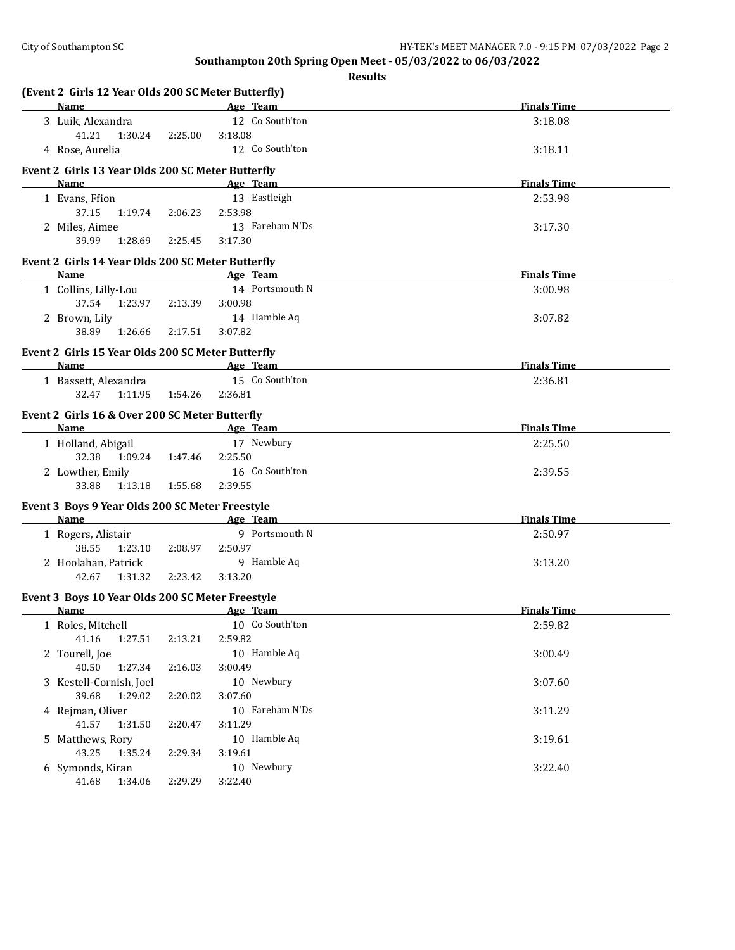| (Event 2 Girls 12 Year Olds 200 SC Meter Butterfly) |         |                 |                    |
|-----------------------------------------------------|---------|-----------------|--------------------|
| <b>Name</b>                                         |         | Age Team        | <b>Finals Time</b> |
| 3 Luik, Alexandra                                   |         | 12 Co South'ton | 3:18.08            |
| 41.21<br>1:30.24                                    | 2:25.00 | 3:18.08         |                    |
| 4 Rose, Aurelia                                     |         | 12 Co South'ton | 3:18.11            |
| Event 2 Girls 13 Year Olds 200 SC Meter Butterfly   |         |                 |                    |
| Name                                                |         | Age Team        | <b>Finals Time</b> |
| 1 Evans, Ffion                                      |         | 13 Eastleigh    | 2:53.98            |
| 37.15<br>1:19.74                                    | 2:06.23 | 2:53.98         |                    |
| 2 Miles, Aimee                                      |         | 13 Fareham N'Ds | 3:17.30            |
| 39.99<br>1:28.69                                    | 2:25.45 | 3:17.30         |                    |
| Event 2 Girls 14 Year Olds 200 SC Meter Butterfly   |         |                 |                    |
| <b>Name</b>                                         |         | Age Team        | <b>Finals Time</b> |
| 1 Collins, Lilly-Lou                                |         | 14 Portsmouth N | 3:00.98            |
| 37.54 1:23.97                                       | 2:13.39 | 3:00.98         |                    |
| 2 Brown, Lily                                       |         | 14 Hamble Aq    | 3:07.82            |
| 38.89<br>1:26.66                                    | 2:17.51 | 3:07.82         |                    |
|                                                     |         |                 |                    |
| Event 2 Girls 15 Year Olds 200 SC Meter Butterfly   |         |                 |                    |
| Name                                                |         | Age Team        | <b>Finals Time</b> |
| 1 Bassett, Alexandra                                |         | 15 Co South'ton | 2:36.81            |
| 32.47<br>1:11.95                                    | 1:54.26 | 2:36.81         |                    |
| Event 2 Girls 16 & Over 200 SC Meter Butterfly      |         |                 |                    |
| Name                                                |         | Age Team        | <b>Finals Time</b> |
| 1 Holland, Abigail                                  |         | 17 Newbury      | 2:25.50            |
| 32.38<br>1:09.24                                    | 1:47.46 | 2:25.50         |                    |
| 2 Lowther, Emily                                    |         | 16 Co South'ton | 2:39.55            |
| 33.88<br>1:13.18                                    | 1:55.68 | 2:39.55         |                    |
| Event 3 Boys 9 Year Olds 200 SC Meter Freestyle     |         |                 |                    |
| Name                                                |         | Age Team        | <b>Finals Time</b> |
| 1 Rogers, Alistair                                  |         | 9 Portsmouth N  | 2:50.97            |
| 38.55<br>1:23.10                                    | 2:08.97 | 2:50.97         |                    |
| 2 Hoolahan, Patrick                                 |         | 9 Hamble Aq     | 3:13.20            |
| 42.67<br>1:31.32                                    | 2:23.42 | 3:13.20         |                    |
| Event 3 Boys 10 Year Olds 200 SC Meter Freestyle    |         |                 |                    |
| Name                                                |         | Age Team        | <b>Finals Time</b> |
| 1 Roles, Mitchell                                   |         | 10 Co South'ton | 2:59.82            |
| 41.16<br>1:27.51                                    | 2:13.21 | 2:59.82         |                    |
| 2 Tourell, Joe                                      |         | 10 Hamble Aq    | 3:00.49            |
| 40.50<br>1:27.34                                    | 2:16.03 | 3:00.49         |                    |
| 3 Kestell-Cornish, Joel                             |         | 10 Newbury      | 3:07.60            |
| 39.68<br>1:29.02                                    | 2:20.02 | 3:07.60         |                    |
| 4 Rejman, Oliver                                    |         | 10 Fareham N'Ds | 3:11.29            |
| 41.57<br>1:31.50                                    | 2:20.47 | 3:11.29         |                    |
| 5 Matthews, Rory                                    |         | 10 Hamble Aq    | 3:19.61            |
| 43.25<br>1:35.24                                    |         | 3:19.61         |                    |
|                                                     | 2:29.34 | 10 Newbury      |                    |
| 6 Symonds, Kiran                                    |         |                 | 3:22.40            |
| 41.68<br>1:34.06                                    | 2:29.29 | 3:22.40         |                    |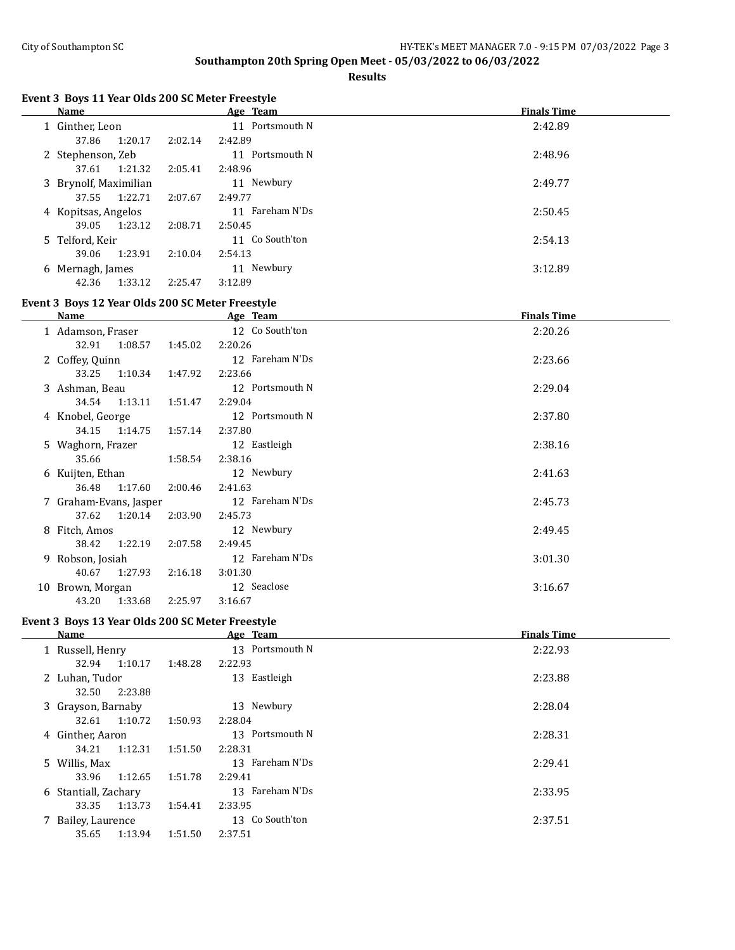**Results**

# **Event 3 Boys 11 Year Olds 200 SC Meter Freestyle**

| <b>Name</b>           |         | Age Team        | <b>Finals Time</b> |
|-----------------------|---------|-----------------|--------------------|
| 1 Ginther, Leon       |         | 11 Portsmouth N | 2:42.89            |
| 1:20.17<br>37.86      | 2:02.14 | 2:42.89         |                    |
| 2 Stephenson, Zeb     |         | 11 Portsmouth N | 2:48.96            |
| 1:21.32<br>37.61      | 2:05.41 | 2:48.96         |                    |
| 3 Brynolf, Maximilian |         | 11 Newbury      | 2:49.77            |
| 1:22.71<br>37.55      | 2:07.67 | 2:49.77         |                    |
| 4 Kopitsas, Angelos   |         | 11 Fareham N'Ds | 2:50.45            |
| 1:23.12<br>39.05      | 2:08.71 | 2:50.45         |                    |
| 5 Telford, Keir       |         | 11 Co South'ton | 2:54.13            |
| 1:23.91<br>39.06      | 2:10.04 | 2:54.13         |                    |
| 6 Mernagh, James      |         | 11 Newbury      | 3:12.89            |
| 42.36<br>1:33.12      | 2:25.47 | 3:12.89         |                    |

#### **Event 3 Boys 12 Year Olds 200 SC Meter Freestyle**

| Name |                        |         |         | Age Team        | <b>Finals Time</b> |
|------|------------------------|---------|---------|-----------------|--------------------|
|      | 1 Adamson, Fraser      |         |         | 12 Co South'ton | 2:20.26            |
|      | 32.91                  | 1:08.57 | 1:45.02 | 2:20.26         |                    |
|      | 2 Coffey, Quinn        |         |         | 12 Fareham N'Ds | 2:23.66            |
|      | 33.25 1:10.34          |         | 1:47.92 | 2:23.66         |                    |
|      | 3 Ashman, Beau         |         |         | 12 Portsmouth N | 2:29.04            |
|      | 34.54 1:13.11          |         | 1:51.47 | 2:29.04         |                    |
|      | 4 Knobel, George       |         |         | 12 Portsmouth N | 2:37.80            |
|      | 34.15 1:14.75          |         | 1:57.14 | 2:37.80         |                    |
|      | 5 Waghorn, Frazer      |         |         | 12 Eastleigh    | 2:38.16            |
|      | 35.66                  |         | 1:58.54 | 2:38.16         |                    |
|      | 6 Kuijten, Ethan       |         |         | 12 Newbury      | 2:41.63            |
|      | 36.48 1:17.60          |         | 2:00.46 | 2:41.63         |                    |
|      | 7 Graham-Evans, Jasper |         |         | 12 Fareham N'Ds | 2:45.73            |
|      | 37.62 1:20.14          |         | 2:03.90 | 2:45.73         |                    |
|      | 8 Fitch, Amos          |         |         | 12 Newbury      | 2:49.45            |
|      | 38.42                  | 1:22.19 | 2:07.58 | 2:49.45         |                    |
|      | 9 Robson, Josiah       |         |         | 12 Fareham N'Ds | 3:01.30            |
|      | 40.67                  | 1:27.93 | 2:16.18 | 3:01.30         |                    |
|      | 10 Brown, Morgan       |         |         | 12 Seaclose     | 3:16.67            |
|      | 43.20                  | 1:33.68 | 2:25.97 | 3:16.67         |                    |

#### **Event 3 Boys 13 Year Olds 200 SC Meter Freestyle**

 $\overline{a}$ 

| <b>Name</b>          |         |         | Age Team        | <b>Finals Time</b> |
|----------------------|---------|---------|-----------------|--------------------|
| 1 Russell, Henry     |         |         | 13 Portsmouth N | 2:22.93            |
| 32.94                | 1:10.17 | 1:48.28 | 2:22.93         |                    |
| 2 Luhan, Tudor       |         |         | 13 Eastleigh    | 2:23.88            |
| 32.50                | 2:23.88 |         |                 |                    |
| 3 Grayson, Barnaby   |         |         | 13 Newbury      | 2:28.04            |
| 32.61                | 1:10.72 | 1:50.93 | 2:28.04         |                    |
| 4 Ginther, Aaron     |         |         | 13 Portsmouth N | 2:28.31            |
| 34.21                | 1:12.31 | 1:51.50 | 2:28.31         |                    |
| 5 Willis, Max        |         |         | 13 Fareham N'Ds | 2:29.41            |
| 33.96                | 1:12.65 | 1:51.78 | 2:29.41         |                    |
| 6 Stantiall, Zachary |         |         | 13 Fareham N'Ds | 2:33.95            |
| 33.35                | 1:13.73 | 1:54.41 | 2:33.95         |                    |
| 7 Bailey, Laurence   |         |         | 13 Co South'ton | 2:37.51            |
| 35.65                | 1:13.94 | 1:51.50 | 2:37.51         |                    |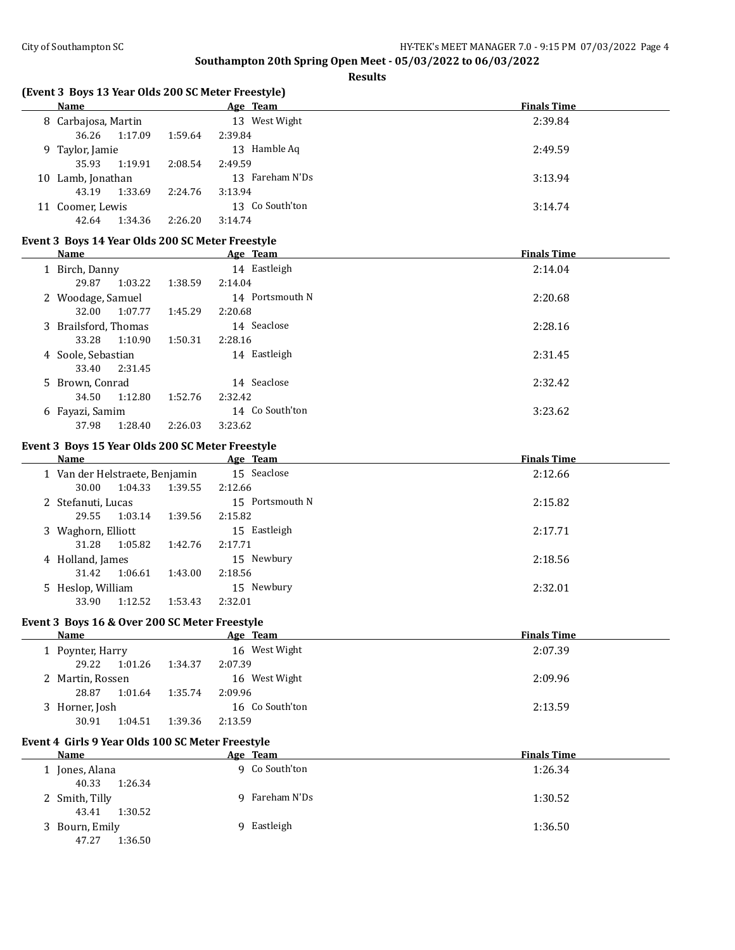**Results**

# **(Event 3 Boys 13 Year Olds 200 SC Meter Freestyle)**

| Name              |                     |         | Age Team        | <b>Finals Time</b> |
|-------------------|---------------------|---------|-----------------|--------------------|
|                   | 8 Carbajosa, Martin |         | 13 West Wight   | 2:39.84            |
| 36.26             | 1:17.09             | 1:59.64 | 2:39.84         |                    |
| 9 Taylor, Jamie   |                     |         | 13 Hamble Aq    | 2:49.59            |
| 35.93             | 1:19.91             | 2:08.54 | 2:49.59         |                    |
| 10 Lamb, Jonathan |                     |         | 13 Fareham N'Ds | 3:13.94            |
| 43.19             | 1:33.69             | 2:24.76 | 3:13.94         |                    |
| 11 Coomer, Lewis  |                     |         | 13 Co South'ton | 3:14.74            |
| 42.64             | 1:34.36             | 2:26.20 | 3:14.74         |                    |

## **Event 3 Boys 14 Year Olds 200 SC Meter Freestyle**

| Name                 |         | Age Team        | <b>Finals Time</b> |
|----------------------|---------|-----------------|--------------------|
| 1 Birch, Danny       |         | 14 Eastleigh    | 2:14.04            |
| 1:03.22<br>29.87     | 1:38.59 | 2:14.04         |                    |
| 2 Woodage, Samuel    |         | 14 Portsmouth N | 2:20.68            |
| 1:07.77<br>32.00     | 1:45.29 | 2:20.68         |                    |
| 3 Brailsford, Thomas |         | 14 Seaclose     | 2:28.16            |
| 1:10.90<br>33.28     | 1:50.31 | 2:28.16         |                    |
| 4 Soole, Sebastian   |         | 14 Eastleigh    | 2:31.45            |
| 2:31.45<br>33.40     |         |                 |                    |
| 5 Brown, Conrad      |         | 14 Seaclose     | 2:32.42            |
| 1:12.80<br>34.50     | 1:52.76 | 2:32.42         |                    |
| 6 Fayazi, Samim      |         | 14 Co South'ton | 3:23.62            |
| 1:28.40<br>37.98     | 2:26.03 | 3:23.62         |                    |

#### **Event 3 Boys 15 Year Olds 200 SC Meter Freestyle**

 $\frac{1}{2}$ 

| Name                           |         | Age Team        | <b>Finals Time</b> |
|--------------------------------|---------|-----------------|--------------------|
| 1 Van der Helstraete, Benjamin |         | 15 Seaclose     | 2:12.66            |
| 1:04.33<br>30.00               | 1:39.55 | 2:12.66         |                    |
| 2 Stefanuti, Lucas             |         | 15 Portsmouth N | 2:15.82            |
| 1:03.14<br>29.55               | 1:39.56 | 2:15.82         |                    |
| 3 Waghorn, Elliott             |         | 15 Eastleigh    | 2:17.71            |
| 31.28<br>1:05.82               | 1:42.76 | 2:17.71         |                    |
| 4 Holland, James               |         | 15 Newbury      | 2:18.56            |
| 1:06.61<br>31.42               | 1:43.00 | 2:18.56         |                    |
| 5 Heslop, William              |         | 15 Newbury      | 2:32.01            |
| 33.90<br>1:12.52               | 1:53.43 | 2:32.01         |                    |

## **Event 3 Boys 16 & Over 200 SC Meter Freestyle**

| Name             | Age Team           | <b>Finals Time</b> |
|------------------|--------------------|--------------------|
| 1 Poynter, Harry | 16 West Wight      | 2:07.39            |
| 29.22<br>1:01.26 | 1:34.37<br>2:07.39 |                    |
| 2 Martin, Rossen | 16 West Wight      | 2:09.96            |
| 28.87<br>1:01.64 | 2:09.96<br>1:35.74 |                    |
| 3 Horner, Josh   | 16 Co South'ton    | 2:13.59            |
| 30.91<br>1:04.51 | 1:39.36<br>2:13.59 |                    |

## **Event 4 Girls 9 Year Olds 100 SC Meter Freestyle**

| Name             | Age Team           | <b>Finals Time</b> |
|------------------|--------------------|--------------------|
| Jones, Alana     | 9 Co South'ton     | 1:26.34            |
| 40.33<br>1:26.34 |                    |                    |
| 2 Smith, Tilly   | Fareham N'Ds<br>q. | 1:30.52            |
| 1:30.52<br>43.41 |                    |                    |
| 3 Bourn, Emily   | Eastleigh<br>Q     | 1:36.50            |
| 1:36.50<br>47.27 |                    |                    |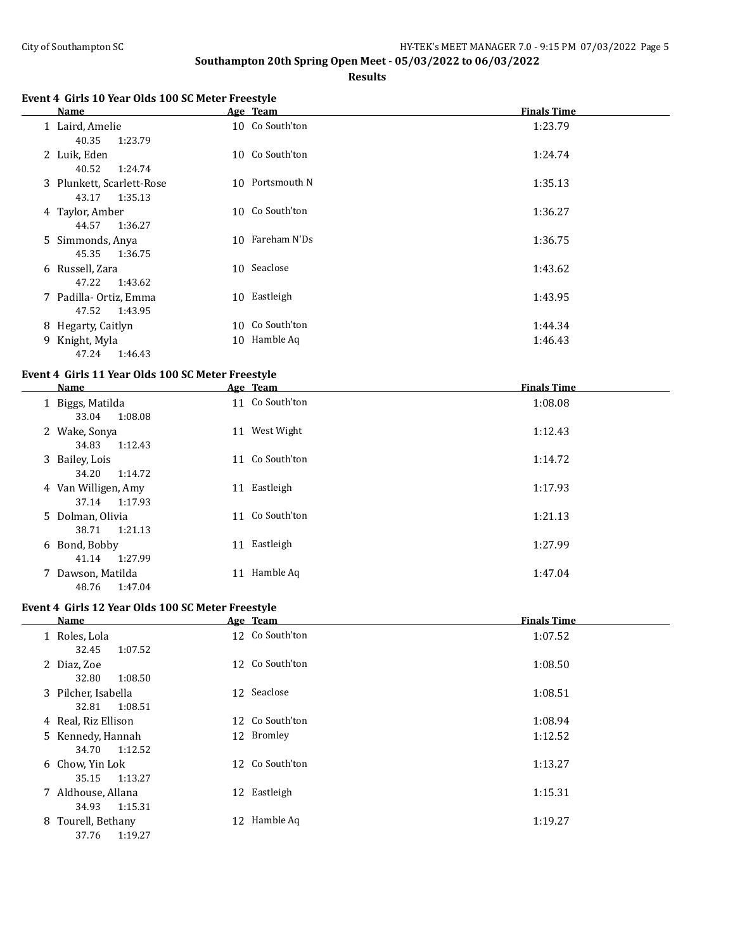$\overline{a}$ 

# **Southampton 20th Spring Open Meet - 05/03/2022 to 06/03/2022**

**Results**

# **Event 4 Girls 10 Year Olds 100 SC Meter Freestyle**

|   | Name                                          |    | Age Team        | <b>Finals Time</b> |
|---|-----------------------------------------------|----|-----------------|--------------------|
|   | 1 Laird, Amelie<br>1:23.79<br>40.35           |    | 10 Co South'ton | 1:23.79            |
|   | 2 Luik, Eden<br>40.52<br>1:24.74              |    | 10 Co South'ton | 1:24.74            |
|   | 3 Plunkett, Scarlett-Rose<br>43.17<br>1:35.13 |    | 10 Portsmouth N | 1:35.13            |
|   | 4 Taylor, Amber<br>44.57<br>1:36.27           |    | 10 Co South'ton | 1:36.27            |
|   | 5 Simmonds, Anya<br>45.35<br>1:36.75          |    | 10 Fareham N'Ds | 1:36.75            |
|   | 6 Russell, Zara<br>47.22<br>1:43.62           |    | 10 Seaclose     | 1:43.62            |
|   | 7 Padilla- Ortiz, Emma<br>47.52<br>1:43.95    | 10 | Eastleigh       | 1:43.95            |
|   | 8 Hegarty, Caitlyn                            |    | 10 Co South'ton | 1:44.34            |
| 9 | Knight, Myla<br>47.24<br>1:46.43              |    | 10 Hamble Aq    | 1:46.43            |

#### **Event 4 Girls 11 Year Olds 100 SC Meter Freestyle**

| Name                                  | Age Team        | <b>Finals Time</b> |
|---------------------------------------|-----------------|--------------------|
| 1 Biggs, Matilda<br>1:08.08<br>33.04  | 11 Co South'ton | 1:08.08            |
| 2 Wake, Sonya<br>1:12.43<br>34.83     | 11 West Wight   | 1:12.43            |
| 3 Bailey, Lois<br>34.20<br>1:14.72    | 11 Co South'ton | 1:14.72            |
| 4 Van Willigen, Amy<br>37.14 1:17.93  | 11 Eastleigh    | 1:17.93            |
| 5 Dolman, Olivia<br>38.71 1:21.13     | 11 Co South'ton | 1:21.13            |
| 6 Bond, Bobby<br>41.14 1:27.99        | Eastleigh<br>11 | 1:27.99            |
| 7 Dawson, Matilda<br>48.76<br>1:47.04 | Hamble Aq<br>11 | 1:47.04            |

# **Event 4 Girls 12 Year Olds 100 SC Meter Freestyle**

| Name                                    | Age Team        | <b>Finals Time</b> |
|-----------------------------------------|-----------------|--------------------|
| 1 Roles, Lola<br>1:07.52<br>32.45       | 12 Co South'ton | 1:07.52            |
| 2 Diaz, Zoe<br>32.80<br>1:08.50         | 12 Co South'ton | 1:08.50            |
| 3 Pilcher, Isabella<br>1:08.51<br>32.81 | 12 Seaclose     | 1:08.51            |
| 4 Real, Riz Ellison                     | 12 Co South'ton | 1:08.94            |
| 5 Kennedy, Hannah<br>1:12.52<br>34.70   | 12 Bromley      | 1:12.52            |
| 6 Chow, Yin Lok<br>1:13.27<br>35.15     | 12 Co South'ton | 1:13.27            |
| 7 Aldhouse, Allana<br>1:15.31<br>34.93  | 12 Eastleigh    | 1:15.31            |
| 8 Tourell, Bethany<br>1:19.27<br>37.76  | 12 Hamble Aq    | 1:19.27            |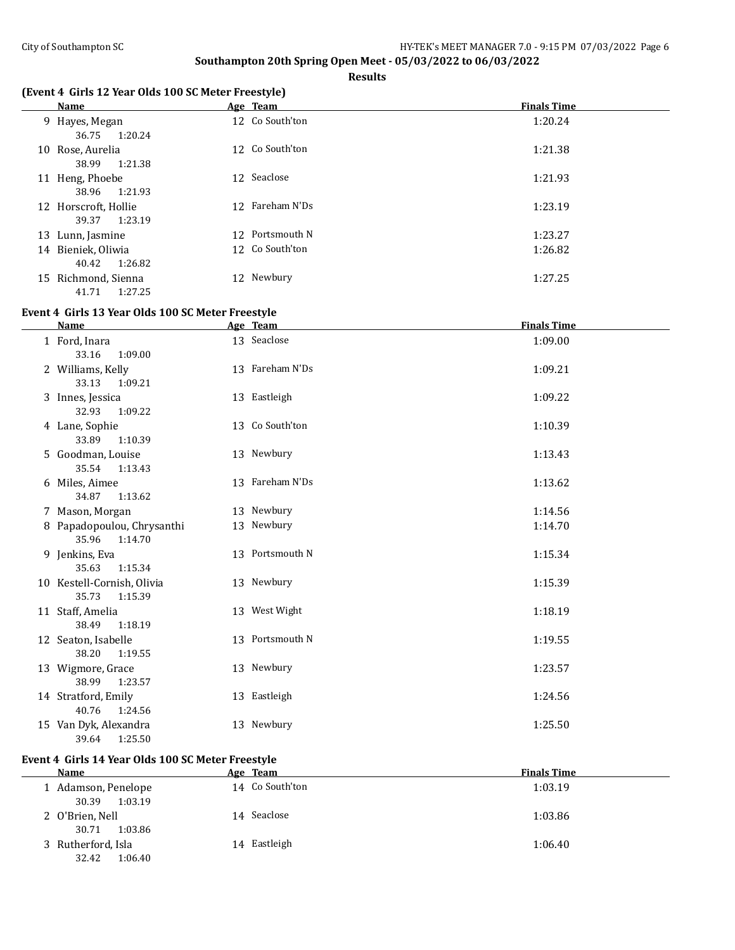$\overline{a}$ 

# **Southampton 20th Spring Open Meet - 05/03/2022 to 06/03/2022**

**Results**

# **(Event 4 Girls 12 Year Olds 100 SC Meter Freestyle)**

| Name                                     | Age Team        | <b>Finals Time</b> |
|------------------------------------------|-----------------|--------------------|
| 9 Hayes, Megan<br>1:20.24<br>36.75       | 12 Co South'ton | 1:20.24            |
| 10 Rose, Aurelia<br>38.99<br>1:21.38     | 12 Co South'ton | 1:21.38            |
| 11 Heng, Phoebe<br>1:21.93<br>38.96      | 12 Seaclose     | 1:21.93            |
| 12 Horscroft, Hollie<br>1:23.19<br>39.37 | 12 Fareham N'Ds | 1:23.19            |
| 13 Lunn, Jasmine                         | 12 Portsmouth N | 1:23.27            |
| 14 Bieniek, Oliwia<br>1:26.82<br>40.42   | 12 Co South'ton | 1:26.82            |
| 15 Richmond, Sienna<br>1:27.25<br>41.71  | 12 Newbury      | 1:27.25            |

# **Event 4 Girls 13 Year Olds 100 SC Meter Freestyle**

| <b>Name</b>                                    | Age Team        | <b>Finals Time</b> |
|------------------------------------------------|-----------------|--------------------|
| 1 Ford, Inara<br>33.16<br>1:09.00              | 13 Seaclose     | 1:09.00            |
| 2 Williams, Kelly<br>33.13<br>1:09.21          | 13 Fareham N'Ds | 1:09.21            |
| 3 Innes, Jessica<br>32.93<br>1:09.22           | 13 Eastleigh    | 1:09.22            |
| 4 Lane, Sophie<br>33.89<br>1:10.39             | 13 Co South'ton | 1:10.39            |
| 5 Goodman, Louise<br>35.54<br>1:13.43          | 13 Newbury      | 1:13.43            |
| 6 Miles, Aimee<br>34.87<br>1:13.62             | 13 Fareham N'Ds | 1:13.62            |
| 7 Mason, Morgan                                | 13 Newbury      | 1:14.56            |
| 8 Papadopoulou, Chrysanthi<br>35.96<br>1:14.70 | 13 Newbury      | 1:14.70            |
| 9 Jenkins, Eva<br>35.63<br>1:15.34             | 13 Portsmouth N | 1:15.34            |
| 10 Kestell-Cornish, Olivia<br>35.73<br>1:15.39 | 13 Newbury      | 1:15.39            |
| 11 Staff, Amelia<br>38.49<br>1:18.19           | 13 West Wight   | 1:18.19            |
| 12 Seaton, Isabelle<br>38.20<br>1:19.55        | 13 Portsmouth N | 1:19.55            |
| 13 Wigmore, Grace<br>38.99<br>1:23.57          | 13 Newbury      | 1:23.57            |
| 14 Stratford, Emily<br>40.76<br>1:24.56        | 13 Eastleigh    | 1:24.56            |
| 15 Van Dyk, Alexandra<br>1:25.50<br>39.64      | 13 Newbury      | 1:25.50            |

# **Event 4 Girls 14 Year Olds 100 SC Meter Freestyle**

| <b>Name</b>                             | Age Team        | <b>Finals Time</b> |
|-----------------------------------------|-----------------|--------------------|
| 1 Adamson, Penelope<br>1:03.19<br>30.39 | 14 Co South'ton | 1:03.19            |
| 2 O'Brien, Nell<br>1:03.86<br>30.71     | Seaclose<br>14  | 1:03.86            |
| 3 Rutherford, Isla<br>1:06.40<br>32.42  | 14 Eastleigh    | 1:06.40            |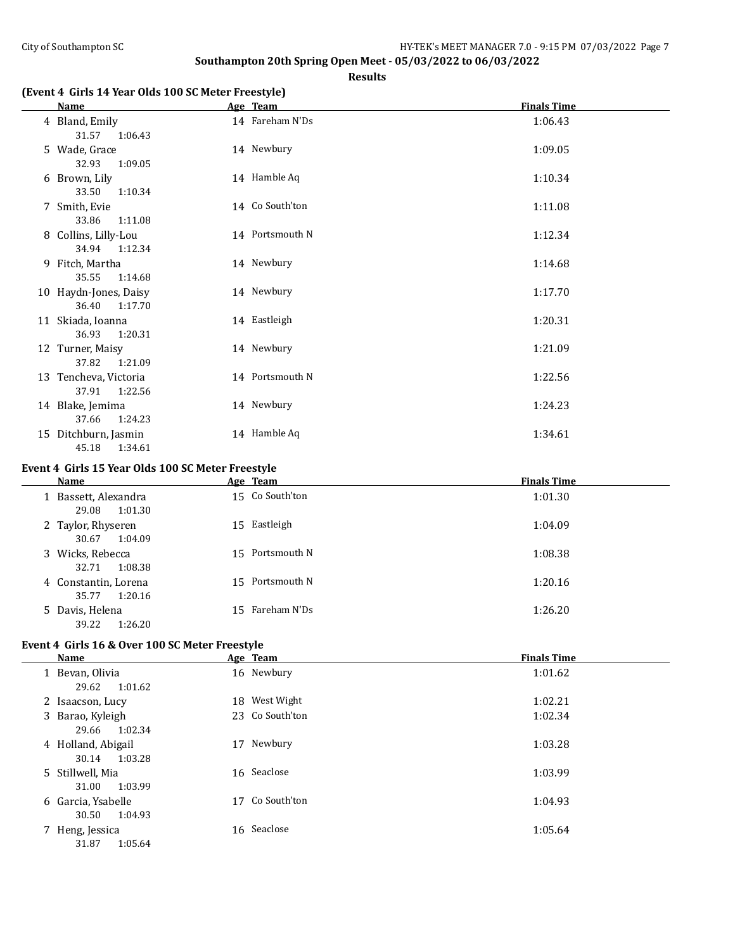**Results**

# **(Event 4 Girls 14 Year Olds 100 SC Meter Freestyle)**

| <b>Name</b>                               | Age Team        | <b>Finals Time</b> |
|-------------------------------------------|-----------------|--------------------|
| 4 Bland, Emily<br>31.57<br>1:06.43        | 14 Fareham N'Ds | 1:06.43            |
| 5 Wade, Grace<br>32.93<br>1:09.05         | 14 Newbury      | 1:09.05            |
| 6 Brown, Lily<br>33.50<br>1:10.34         | 14 Hamble Aq    | 1:10.34            |
| 7 Smith, Evie<br>33.86<br>1:11.08         | 14 Co South'ton | 1:11.08            |
| 8 Collins, Lilly-Lou<br>34.94<br>1:12.34  | 14 Portsmouth N | 1:12.34            |
| 9 Fitch, Martha<br>35.55<br>1:14.68       | 14 Newbury      | 1:14.68            |
| 10 Haydn-Jones, Daisy<br>36.40<br>1:17.70 | 14 Newbury      | 1:17.70            |
| 11 Skiada, Ioanna<br>36.93<br>1:20.31     | 14 Eastleigh    | 1:20.31            |
| 12 Turner, Maisy<br>37.82<br>1:21.09      | 14 Newbury      | 1:21.09            |
| 13 Tencheva, Victoria<br>37.91<br>1:22.56 | 14 Portsmouth N | 1:22.56            |
| 14 Blake, Jemima<br>37.66<br>1:24.23      | 14 Newbury      | 1:24.23            |
| 15 Ditchburn, Jasmin<br>45.18<br>1:34.61  | 14 Hamble Aq    | 1:34.61            |

# **Event 4 Girls 15 Year Olds 100 SC Meter Freestyle**

| Name                                     |     | Age Team        | <b>Finals Time</b> |
|------------------------------------------|-----|-----------------|--------------------|
| 1 Bassett, Alexandra<br>29.08<br>1:01.30 |     | 15 Co South'ton | 1:01.30            |
| 2 Taylor, Rhyseren<br>30.67<br>1:04.09   |     | 15 Eastleigh    | 1:04.09            |
| 3 Wicks, Rebecca<br>1:08.38<br>32.71     | 15. | Portsmouth N    | 1:08.38            |
| 4 Constantin, Lorena<br>35.77<br>1:20.16 | 15  | Portsmouth N    | 1:20.16            |
| 5 Davis, Helena<br>39.22<br>1:26.20      | 15  | Fareham N'Ds    | 1:26.20            |

## **Event 4 Girls 16 & Over 100 SC Meter Freestyle**

| <b>Name</b>                            | Age Team           | <b>Finals Time</b> |
|----------------------------------------|--------------------|--------------------|
| 1 Bevan, Olivia<br>29.62<br>1:01.62    | 16 Newbury         | 1:01.62            |
| 2 Isaacson, Lucy                       | 18 West Wight      | 1:02.21            |
| 3 Barao, Kyleigh<br>1:02.34<br>29.66   | 23 Co South'ton    | 1:02.34            |
| 4 Holland, Abigail<br>1:03.28<br>30.14 | Newbury<br>17      | 1:03.28            |
| 5 Stillwell, Mia<br>1:03.99<br>31.00   | 16 Seaclose        | 1:03.99            |
| 6 Garcia, Ysabelle<br>1:04.93<br>30.50 | Co South'ton<br>17 | 1:04.93            |
| 7 Heng, Jessica<br>1:05.64<br>31.87    | 16 Seaclose        | 1:05.64            |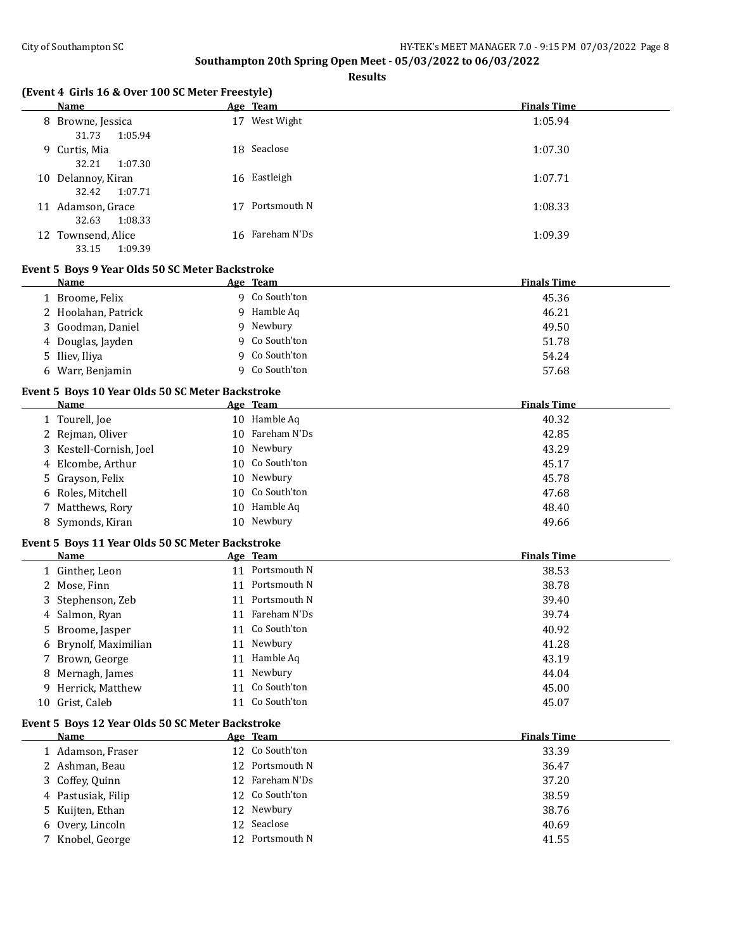**Results**

|  | (Event 4 Girls 16 & Over 100 SC Meter Freestyle) |  |
|--|--------------------------------------------------|--|
|--|--------------------------------------------------|--|

|    | Name                                   |    | Age Team        | <b>Finals Time</b> |
|----|----------------------------------------|----|-----------------|--------------------|
|    | 8 Browne, Jessica<br>31.73<br>1:05.94  | 17 | West Wight      | 1:05.94            |
|    | 9 Curtis, Mia<br>32.21<br>1:07.30      |    | 18 Seaclose     | 1:07.30            |
|    | 10 Delannoy, Kiran<br>1:07.71<br>32.42 |    | 16 Eastleigh    | 1:07.71            |
| 11 | Adamson, Grace<br>1:08.33<br>32.63     |    | Portsmouth N    | 1:08.33            |
|    | 12 Townsend, Alice<br>33.15<br>1:09.39 |    | 16 Fareham N'Ds | 1:09.39            |

### **Event 5 Boys 9 Year Olds 50 SC Meter Backstroke**

| Name                | Age Team          | <b>Finals Time</b> |
|---------------------|-------------------|--------------------|
| 1 Broome, Felix     | Co South'ton<br>Q | 45.36              |
| 2 Hoolahan, Patrick | Hamble Aq         | 46.21              |
| 3 Goodman, Daniel   | Newbury<br>q      | 49.50              |
| 4 Douglas, Jayden   | 9 Co South'ton    | 51.78              |
| 5 Iliev, Iliya      | Co South'ton      | 54.24              |
| 6 Warr, Benjamin    | Co South'ton      | 57.68              |

# **Event 5 Boys 10 Year Olds 50 SC Meter Backstroke**

| Name                    | Age Team        | <b>Finals Time</b> |
|-------------------------|-----------------|--------------------|
| 1 Tourell, Joe          | 10 Hamble Aq    | 40.32              |
| 2 Rejman, Oliver        | 10 Fareham N'Ds | 42.85              |
| 3 Kestell-Cornish, Joel | 10 Newbury      | 43.29              |
| 4 Elcombe, Arthur       | 10 Co South'ton | 45.17              |
| 5 Grayson, Felix        | 10 Newbury      | 45.78              |
| 6 Roles, Mitchell       | 10 Co South'ton | 47.68              |
| 7 Matthews, Rory        | 10 Hamble Aq    | 48.40              |
| 8 Symonds, Kiran        | 10 Newbury      | 49.66              |

#### **Event 5 Boys 11 Year Olds 50 SC Meter Backstroke**

| Name                  | Age Team        | <b>Finals Time</b> |
|-----------------------|-----------------|--------------------|
| 1 Ginther, Leon       | 11 Portsmouth N | 38.53              |
| 2 Mose, Finn          | 11 Portsmouth N | 38.78              |
| 3 Stephenson, Zeb     | 11 Portsmouth N | 39.40              |
| 4 Salmon, Ryan        | 11 Fareham N'Ds | 39.74              |
| 5 Broome, Jasper      | 11 Co South'ton | 40.92              |
| 6 Brynolf, Maximilian | 11 Newbury      | 41.28              |
| 7 Brown, George       | 11 Hamble Aq    | 43.19              |
| 8 Mernagh, James      | 11 Newbury      | 44.04              |
| 9 Herrick, Matthew    | 11 Co South'ton | 45.00              |
| 10 Grist, Caleb       | 11 Co South'ton | 45.07              |

#### **Event 5 Boys 12 Year Olds 50 SC Meter Backstroke**

| Name               | Age Team        | <b>Finals Time</b> |
|--------------------|-----------------|--------------------|
| 1 Adamson, Fraser  | 12 Co South'ton | 33.39              |
| 2 Ashman, Beau     | 12 Portsmouth N | 36.47              |
| 3 Coffey, Quinn    | 12 Fareham N'Ds | 37.20              |
| 4 Pastusiak, Filip | 12 Co South'ton | 38.59              |
| 5 Kuijten, Ethan   | 12 Newbury      | 38.76              |
| 6 Overy, Lincoln   | 12 Seaclose     | 40.69              |
| 7 Knobel, George   | 12 Portsmouth N | 41.55              |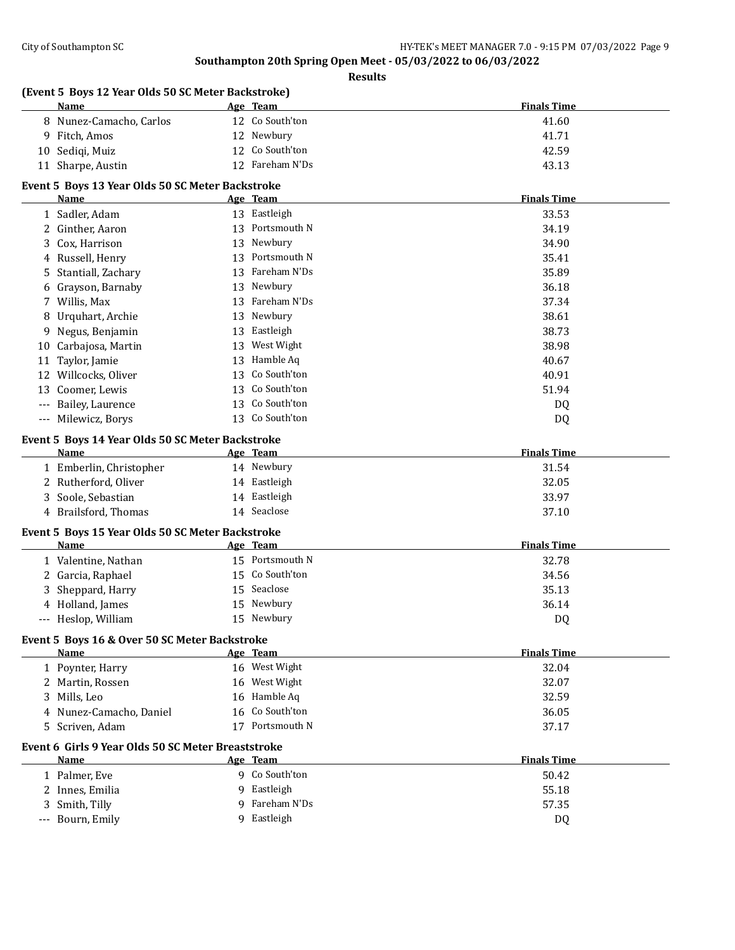|     | (Event 5 Boys 12 Year Olds 50 SC Meter Backstroke)<br><b>Name</b> |    | Age Team                        | <b>Finals Time</b> |
|-----|-------------------------------------------------------------------|----|---------------------------------|--------------------|
|     | 8 Nunez-Camacho, Carlos                                           |    | 12 Co South'ton                 | 41.60              |
|     | 9 Fitch, Amos                                                     |    | 12 Newbury                      | 41.71              |
| 10  | Sediqi, Muiz                                                      |    | 12 Co South'ton                 | 42.59              |
|     | 11 Sharpe, Austin                                                 |    | 12 Fareham N'Ds                 | 43.13              |
|     | Event 5 Boys 13 Year Olds 50 SC Meter Backstroke                  |    |                                 |                    |
|     | Name                                                              |    | Age Team                        | <b>Finals Time</b> |
|     | 1 Sadler, Adam                                                    |    | 13 Eastleigh                    | 33.53              |
|     | 2 Ginther, Aaron                                                  |    | 13 Portsmouth N                 | 34.19              |
| 3   | Cox, Harrison                                                     | 13 | Newbury                         | 34.90              |
| 4   | Russell, Henry                                                    |    | 13 Portsmouth N                 | 35.41              |
| 5   | Stantiall, Zachary                                                |    | 13 Fareham N'Ds                 | 35.89              |
| 6   | Grayson, Barnaby                                                  |    | 13 Newbury                      | 36.18              |
| 7   | Willis, Max                                                       |    | 13 Fareham N'Ds                 | 37.34              |
|     | Urquhart, Archie                                                  |    | 13 Newbury                      | 38.61              |
| 8   |                                                                   |    |                                 |                    |
| 9   | Negus, Benjamin                                                   | 13 | Eastleigh                       | 38.73              |
| 10  | Carbajosa, Martin                                                 | 13 | West Wight<br>Hamble Aq         | 38.98              |
| 11  | Taylor, Jamie                                                     | 13 |                                 | 40.67              |
| 12  | Willcocks, Oliver                                                 | 13 | Co South'ton                    | 40.91              |
| 13  | Coomer, Lewis                                                     | 13 | Co South'ton                    | 51.94              |
| --- | Bailey, Laurence                                                  | 13 | Co South'ton                    | DQ                 |
|     | --- Milewicz, Borys                                               |    | 13 Co South'ton                 | DQ                 |
|     | Event 5 Boys 14 Year Olds 50 SC Meter Backstroke                  |    |                                 |                    |
|     | Name                                                              |    | Age Team                        | <b>Finals Time</b> |
|     | 1 Emberlin, Christopher                                           |    | 14 Newbury                      | 31.54              |
| 2   | Rutherford, Oliver                                                |    | 14 Eastleigh                    | 32.05              |
| 3   | Soole, Sebastian                                                  |    | 14 Eastleigh                    | 33.97              |
|     | 4 Brailsford, Thomas                                              |    | 14 Seaclose                     | 37.10              |
|     | Event 5 Boys 15 Year Olds 50 SC Meter Backstroke                  |    |                                 |                    |
|     | Name                                                              |    | Age Team                        | <b>Finals Time</b> |
|     | 1 Valentine, Nathan                                               |    | 15 Portsmouth N                 | 32.78              |
|     | 2 Garcia, Raphael                                                 | 15 | Co South'ton                    | 34.56              |
| 3   | Sheppard, Harry                                                   |    | 15 Seaclose                     | 35.13              |
|     | 4 Holland, James                                                  |    | 15 Newbury                      | 36.14              |
| --- | Heslop, William                                                   |    | 15 Newbury                      | D <sub>Q</sub>     |
|     |                                                                   |    |                                 |                    |
|     | Event 5 Boys 16 & Over 50 SC Meter Backstroke<br>Name             |    |                                 | <b>Finals Time</b> |
|     | 1 Poynter, Harry                                                  |    | Age Team<br>16 West Wight       | 32.04              |
|     |                                                                   |    | 16 West Wight                   |                    |
|     | 2 Martin, Rossen                                                  |    |                                 | 32.07              |
|     | 3 Mills, Leo                                                      |    | 16 Hamble Aq<br>16 Co South'ton | 32.59              |
|     | 4 Nunez-Camacho, Daniel                                           |    |                                 | 36.05              |
|     | 5 Scriven, Adam                                                   |    | 17 Portsmouth N                 | 37.17              |
|     | Event 6 Girls 9 Year Olds 50 SC Meter Breaststroke                |    |                                 |                    |
|     | Name                                                              |    | Age Team                        | <b>Finals Time</b> |
|     |                                                                   |    |                                 |                    |
|     | 1 Palmer, Eve                                                     |    | 9 Co South'ton                  | 50.42              |
|     | 2 Innes, Emilia                                                   |    | 9 Eastleigh                     | 55.18              |
|     | 3 Smith, Tilly                                                    | 9  | Fareham N'Ds                    | 57.35              |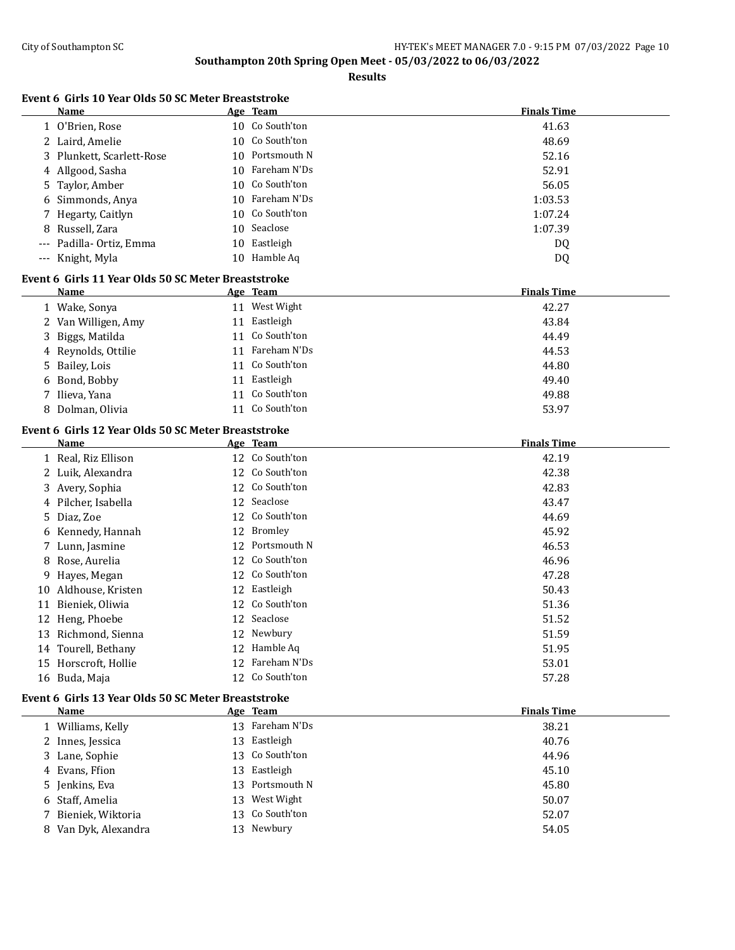**Results**

# **Event 6 Girls 10 Year Olds 50 SC Meter Breaststroke**

|     | Name                                                |    | Age Team        | <b>Finals Time</b> |
|-----|-----------------------------------------------------|----|-----------------|--------------------|
|     | 1 O'Brien, Rose                                     |    | 10 Co South'ton | 41.63              |
|     | 2 Laird, Amelie                                     |    | 10 Co South'ton | 48.69              |
| 3   | Plunkett, Scarlett-Rose                             |    | 10 Portsmouth N | 52.16              |
| 4   | Allgood, Sasha                                      | 10 | Fareham N'Ds    | 52.91              |
| 5   | Taylor, Amber                                       | 10 | Co South'ton    | 56.05              |
| 6   | Simmonds, Anya                                      | 10 | Fareham N'Ds    | 1:03.53            |
|     | Hegarty, Caitlyn                                    | 10 | Co South'ton    | 1:07.24            |
| 8   | Russell, Zara                                       | 10 | Seaclose        | 1:07.39            |
|     | Padilla-Ortiz, Emma                                 |    | 10 Eastleigh    | DQ                 |
| --- | Knight, Myla                                        |    | 10 Hamble Aq    | DQ                 |
|     | Event 6 Girls 11 Year Olds 50 SC Meter Breaststroke |    |                 |                    |
|     | Name                                                |    | Age Team        | <b>Finals Time</b> |
|     | 1 Wake, Sonya                                       |    | 11 West Wight   | 42.27              |
|     | 2 Van Willigen, Amy                                 |    | 11 Eastleigh    | 43.84              |
| 3   | Biggs, Matilda                                      |    | 11 Co South'ton | 44.49              |
|     | 4 Reynolds, Ottilie                                 |    | 11 Fareham N'Ds | 44.53              |
| 5   | Bailey, Lois                                        |    | 11 Co South'ton | 44.80              |
|     | 6 Bond, Bobby                                       |    | 11 Eastleigh    | 49.40              |
|     | 7 Ilieva, Yana                                      |    | 11 Co South'ton | 49.88              |
| 8   | Dolman, Olivia                                      |    | 11 Co South'ton | 53.97              |
|     |                                                     |    |                 |                    |
|     | Event 6 Girls 12 Year Olds 50 SC Meter Breaststroke |    |                 |                    |
|     | Name                                                |    | Age Team        | <b>Finals Time</b> |
|     | 1 Real, Riz Ellison                                 |    | 12 Co South'ton | 42.19              |
|     | 2 Luik, Alexandra                                   |    | 12 Co South'ton | 42.38              |
|     | 3 Avery, Sophia                                     |    | 12 Co South'ton | 42.83              |
|     | 4 Pilcher, Isabella                                 |    | 12 Seaclose     | 43.47              |
| 5.  | Diaz, Zoe                                           |    | 12 Co South'ton | 44.69              |
| 6   | Kennedy, Hannah                                     |    | 12 Bromley      | 45.92              |
|     | 7 Lunn, Jasmine                                     | 12 | Portsmouth N    | 46.53              |
| 8   | Rose, Aurelia                                       |    | 12 Co South'ton | 46.96              |
| 9   | Hayes, Megan                                        |    | 12 Co South'ton | 47.28              |
| 10  | Aldhouse, Kristen                                   | 12 | Eastleigh       | 50.43              |
|     | 11 Bieniek, Oliwia                                  |    | 12 Co South'ton | 51.36              |
|     | 12 Heng, Phoebe                                     |    | 12 Seaclose     | 51.52              |
|     | 13 Richmond, Sienna                                 |    | 12 Newbury      | 51.59              |
|     | 14 Tourell, Bethany                                 |    | 12 Hamble Aq    | 51.95              |
|     | 15 Horscroft, Hollie                                |    | 12 Fareham N'Ds | 53.01              |
|     | 16 Buda, Maja                                       |    | 12 Co South'ton | 57.28              |
|     | Event 6 Girls 13 Year Olds 50 SC Meter Breaststroke |    |                 |                    |
|     | Name                                                |    | Age Team        | <b>Finals Time</b> |
|     | 1 Williams, Kelly                                   |    | 13 Fareham N'Ds | 38.21              |
|     | 2 Innes, Jessica                                    | 13 | Eastleigh       | 40.76              |
|     | 3 Lane, Sophie                                      | 13 | Co South'ton    | 44.96              |
| 4   | Evans, Ffion                                        | 13 | Eastleigh       | 45.10              |
| 5.  | Jenkins, Eva                                        | 13 | Portsmouth N    | 45.80              |
| 6   | Staff, Amelia                                       | 13 | West Wight      | 50.07              |
|     | 7 Bieniek, Wiktoria                                 |    | 13 Co South'ton | 52.07              |
|     |                                                     |    |                 |                    |

8 Van Dyk, Alexandra 13 Newbury 13 Newbury 54.05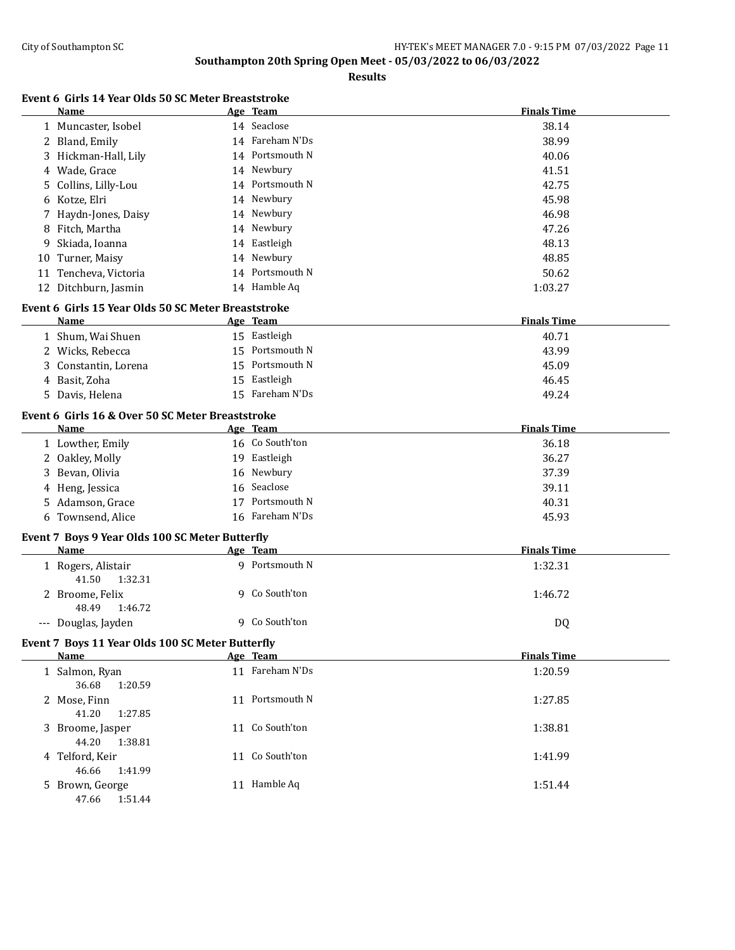|    | Name                                                | Age Team        | <b>Finals Time</b> |
|----|-----------------------------------------------------|-----------------|--------------------|
|    | 1 Muncaster, Isobel                                 | 14 Seaclose     | 38.14              |
|    | 2 Bland, Emily                                      | 14 Fareham N'Ds | 38.99              |
|    | 3 Hickman-Hall, Lily                                | 14 Portsmouth N | 40.06              |
|    | 4 Wade, Grace                                       | 14 Newbury      | 41.51              |
| 5  | Collins, Lilly-Lou                                  | 14 Portsmouth N | 42.75              |
|    |                                                     | 14 Newbury      | 45.98              |
| 6  | Kotze, Elri                                         | 14 Newbury      |                    |
| 7  | Haydn-Jones, Daisy                                  | 14 Newbury      | 46.98              |
| 8  | Fitch, Martha                                       |                 | 47.26              |
| 9  | Skiada, Ioanna                                      | 14 Eastleigh    | 48.13              |
| 10 | Turner, Maisy                                       | 14 Newbury      | 48.85              |
|    | 11 Tencheva, Victoria                               | 14 Portsmouth N | 50.62              |
|    | 12 Ditchburn, Jasmin                                | 14 Hamble Aq    | 1:03.27            |
|    | Event 6 Girls 15 Year Olds 50 SC Meter Breaststroke |                 |                    |
|    | Name                                                | Age Team        | <b>Finals Time</b> |
|    | 1 Shum, Wai Shuen                                   | 15 Eastleigh    | 40.71              |
|    | 2 Wicks, Rebecca                                    | 15 Portsmouth N | 43.99              |
| 3  | Constantin, Lorena                                  | 15 Portsmouth N | 45.09              |
|    | 4 Basit, Zoha                                       | 15 Eastleigh    | 46.45              |
|    | 5 Davis, Helena                                     | 15 Fareham N'Ds | 49.24              |
|    | Event 6 Girls 16 & Over 50 SC Meter Breaststroke    |                 |                    |
|    | Name                                                | Age Team        | <b>Finals Time</b> |
|    | 1 Lowther, Emily                                    | 16 Co South'ton | 36.18              |
|    | 2 Oakley, Molly                                     | 19 Eastleigh    | 36.27              |
|    | 3 Bevan, Olivia                                     | 16 Newbury      | 37.39              |
|    | 4 Heng, Jessica                                     | 16 Seaclose     | 39.11              |
|    | 5 Adamson, Grace                                    | 17 Portsmouth N | 40.31              |
|    | 6 Townsend, Alice                                   | 16 Fareham N'Ds | 45.93              |
|    | Event 7 Boys 9 Year Olds 100 SC Meter Butterfly     |                 |                    |
|    | Name                                                | Age Team        | <b>Finals Time</b> |
|    | 1 Rogers, Alistair<br>41.50<br>1:32.31              | 9 Portsmouth N  | 1:32.31            |
|    | 2 Broome, Felix<br>1:46.72<br>48.49                 | 9 Co South'ton  | 1:46.72            |
|    | --- Douglas, Jayden                                 | 9 Co South'ton  | DQ                 |
|    | Event 7 Boys 11 Year Olds 100 SC Meter Butterfly    |                 |                    |
|    | <b>Name</b>                                         | Age Team        | <b>Finals Time</b> |
|    | 1 Salmon, Ryan<br>36.68<br>1:20.59                  | 11 Fareham N'Ds | 1:20.59            |
|    | 2 Mose, Finn<br>41.20<br>1:27.85                    | 11 Portsmouth N | 1:27.85            |
|    | 3 Broome, Jasper<br>44.20<br>1:38.81                | 11 Co South'ton | 1:38.81            |
|    | 4 Telford, Keir<br>46.66<br>1:41.99                 | 11 Co South'ton | 1:41.99            |
|    | 5 Brown, George<br>47.66<br>1:51.44                 | 11 Hamble Aq    | 1:51.44            |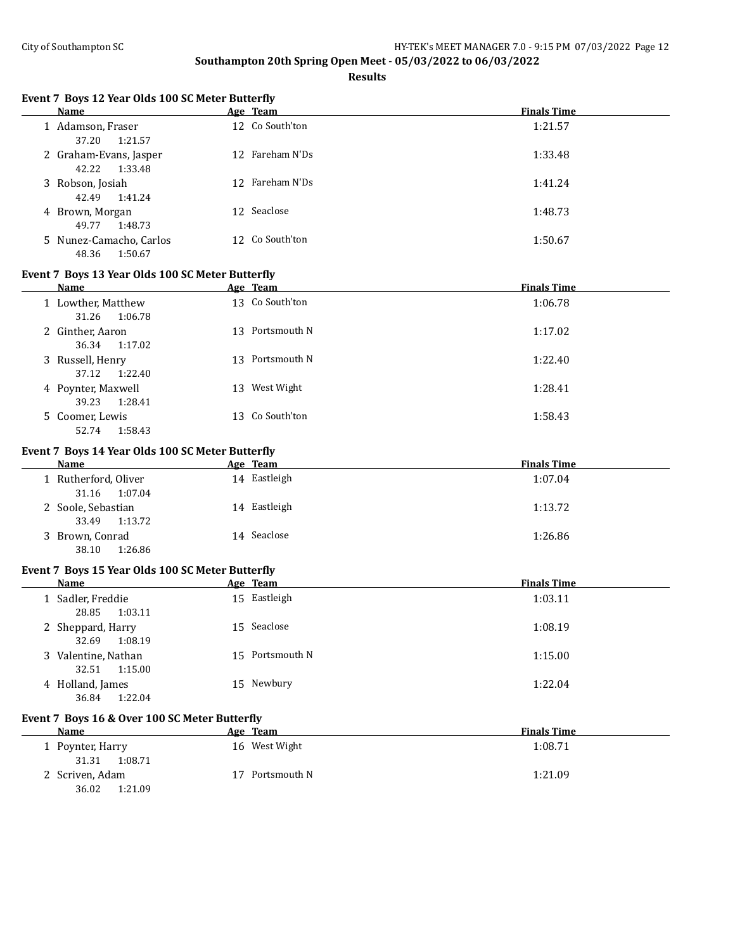**Results**

# **Event 7 Boys 12 Year Olds 100 SC Meter Butterfly**

| <b>Name</b>                                 | Age Team        | <b>Finals Time</b> |
|---------------------------------------------|-----------------|--------------------|
| 1 Adamson, Fraser<br>37.20<br>1:21.57       | 12 Co South'ton | 1:21.57            |
| 2 Graham-Evans, Jasper<br>1:33.48<br>42.22  | 12 Fareham N'Ds | 1:33.48            |
| 3 Robson, Josiah<br>42.49<br>1:41.24        | 12 Fareham N'Ds | 1:41.24            |
| 4 Brown, Morgan<br>1:48.73<br>49.77         | 12 Seaclose     | 1:48.73            |
| 5 Nunez-Camacho, Carlos<br>48.36<br>1:50.67 | 12 Co South'ton | 1:50.67            |

## **Event 7 Boys 13 Year Olds 100 SC Meter Butterfly**

| Name                                   |    | Age Team        | <b>Finals Time</b> |
|----------------------------------------|----|-----------------|--------------------|
| 1 Lowther, Matthew<br>31.26<br>1:06.78 |    | 13 Co South'ton | 1:06.78            |
| 2 Ginther, Aaron<br>36.34<br>1:17.02   |    | 13 Portsmouth N | 1:17.02            |
| 3 Russell, Henry<br>1:22.40<br>37.12   |    | 13 Portsmouth N | 1:22.40            |
| 4 Poynter, Maxwell<br>39.23<br>1:28.41 | 13 | West Wight      | 1:28.41            |
| 5 Coomer, Lewis<br>1:58.43<br>52.74    |    | 13 Co South'ton | 1:58.43            |

# **Event 7 Boys 14 Year Olds 100 SC Meter Butterfly**

| Name                 | Age Team     | <b>Finals Time</b> |
|----------------------|--------------|--------------------|
| 1 Rutherford, Oliver | 14 Eastleigh | 1:07.04            |
| 1:07.04<br>31.16     |              |                    |
| 2 Soole, Sebastian   | 14 Eastleigh | 1:13.72            |
| 1:13.72<br>33.49     |              |                    |
| 3 Brown, Conrad      | 14 Seaclose  | 1:26.86            |
| 1:26.86<br>38.10     |              |                    |

#### **Event 7 Boys 15 Year Olds 100 SC Meter Butterfly**

| Name                                    | Age Team        | <b>Finals Time</b> |
|-----------------------------------------|-----------------|--------------------|
| 1 Sadler, Freddie<br>1:03.11<br>28.85   | 15 Eastleigh    | 1:03.11            |
| 2 Sheppard, Harry<br>32.69<br>1:08.19   | 15 Seaclose     | 1:08.19            |
| 3 Valentine, Nathan<br>1:15.00<br>32.51 | 15 Portsmouth N | 1:15.00            |
| 4 Holland, James<br>36.84<br>1:22.04    | Newbury<br>15   | 1:22.04            |

# **Event 7 Boys 16 & Over 100 SC Meter Butterfly**

| <b>Name</b>                         | Age Team      | <b>Finals Time</b> |
|-------------------------------------|---------------|--------------------|
| 1 Poynter, Harry                    | 16 West Wight | 1:08.71            |
| 1:08.71<br>31.31<br>2 Scriven, Adam | Portsmouth N  | 1:21.09            |
| 36.02<br>1:21.09                    |               |                    |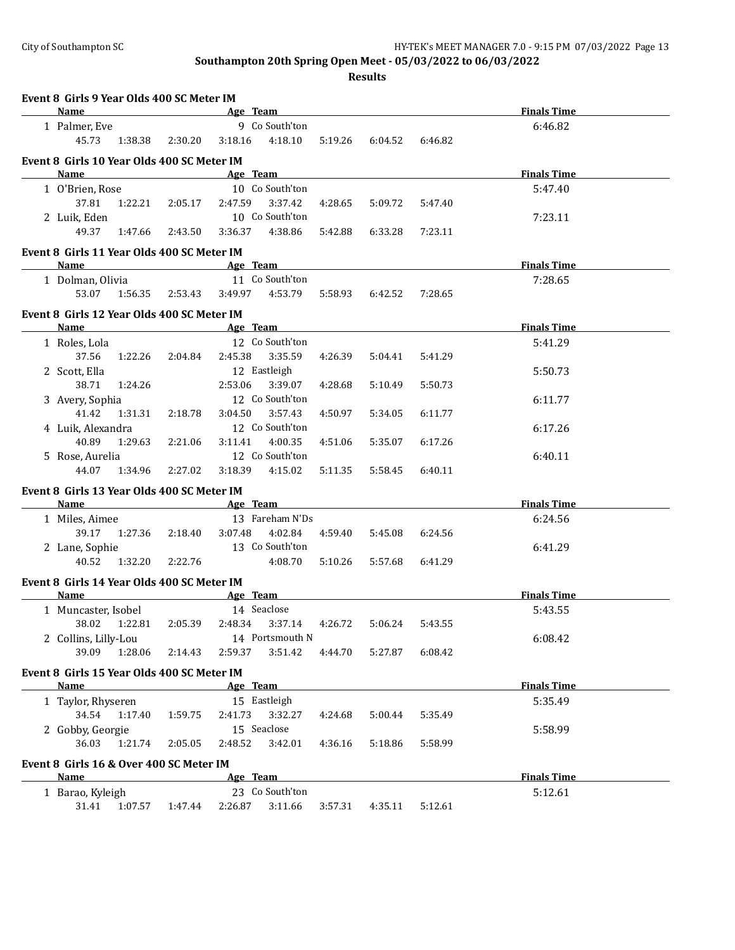| Event 8 Girls 9 Year Olds 400 SC Meter IM          |                 |                                                                                                                                                                                                                                |         |         |         |                    |  |
|----------------------------------------------------|-----------------|--------------------------------------------------------------------------------------------------------------------------------------------------------------------------------------------------------------------------------|---------|---------|---------|--------------------|--|
| Name                                               |                 | Age Team                                                                                                                                                                                                                       |         |         |         | <b>Finals Time</b> |  |
| 1 Palmer, Eve                                      |                 | 9 Co South'ton                                                                                                                                                                                                                 |         |         |         | 6:46.82            |  |
| 45.73                                              | 1:38.38 2:30.20 | 4:18.10<br>3:18.16                                                                                                                                                                                                             | 5:19.26 | 6:04.52 | 6:46.82 |                    |  |
| Event 8 Girls 10 Year Olds 400 SC Meter IM         |                 |                                                                                                                                                                                                                                |         |         |         |                    |  |
| Name                                               |                 | Age Team                                                                                                                                                                                                                       |         |         |         | <b>Finals Time</b> |  |
| 1 O'Brien, Rose                                    |                 | 10 Co South'ton                                                                                                                                                                                                                |         |         |         | 5:47.40            |  |
| 37.81                                              | 1:22.21 2:05.17 | 2:47.59<br>3:37.42                                                                                                                                                                                                             | 4:28.65 | 5:09.72 | 5:47.40 |                    |  |
| 2 Luik, Eden                                       |                 | 10 Co South'ton                                                                                                                                                                                                                |         |         |         | 7:23.11            |  |
| 49.37<br>1:47.66                                   | 2:43.50         | 3:36.37<br>4:38.86                                                                                                                                                                                                             | 5:42.88 | 6:33.28 | 7:23.11 |                    |  |
| Event 8 Girls 11 Year Olds 400 SC Meter IM         |                 |                                                                                                                                                                                                                                |         |         |         |                    |  |
| Name                                               |                 | Age Team and the state of the state of the state of the state of the state of the state of the state of the state of the state of the state of the state of the state of the state of the state of the state of the state of t |         |         |         | <b>Finals Time</b> |  |
| 1 Dolman, Olivia                                   |                 | 11 Co South'ton                                                                                                                                                                                                                |         |         |         | 7:28.65            |  |
| 53.07<br>1:56.35                                   | 2:53.43         | 3:49.97<br>4:53.79                                                                                                                                                                                                             | 5:58.93 | 6:42.52 | 7:28.65 |                    |  |
| Event 8 Girls 12 Year Olds 400 SC Meter IM         |                 |                                                                                                                                                                                                                                |         |         |         |                    |  |
| Name                                               |                 | Age Team                                                                                                                                                                                                                       |         |         |         | <b>Finals Time</b> |  |
| 1 Roles, Lola                                      |                 | 12 Co South'ton                                                                                                                                                                                                                |         |         |         | 5:41.29            |  |
| 37.56<br>1:22.26                                   | 2:04.84         | 3:35.59<br>2:45.38                                                                                                                                                                                                             | 4:26.39 | 5:04.41 | 5:41.29 |                    |  |
| 2 Scott, Ella<br>38.71<br>1:24.26                  |                 | 12 Eastleigh<br>2:53.06<br>3:39.07                                                                                                                                                                                             | 4:28.68 | 5:10.49 | 5:50.73 | 5:50.73            |  |
|                                                    |                 | 12 Co South'ton                                                                                                                                                                                                                |         |         |         | 6:11.77            |  |
| 3 Avery, Sophia<br>41.42<br>1:31.31                | 2:18.78         | 3:04.50<br>3:57.43                                                                                                                                                                                                             | 4:50.97 | 5:34.05 | 6:11.77 |                    |  |
| 4 Luik, Alexandra                                  |                 | 12 Co South'ton                                                                                                                                                                                                                |         |         |         | 6:17.26            |  |
| 40.89<br>1:29.63                                   | 2:21.06         | 3:11.41<br>4:00.35                                                                                                                                                                                                             | 4:51.06 | 5:35.07 | 6:17.26 |                    |  |
| 5 Rose, Aurelia                                    |                 | 12 Co South'ton                                                                                                                                                                                                                |         |         |         | 6:40.11            |  |
| 44.07<br>1:34.96                                   | 2:27.02         | 3:18.39<br>4:15.02                                                                                                                                                                                                             | 5:11.35 | 5:58.45 | 6:40.11 |                    |  |
|                                                    |                 |                                                                                                                                                                                                                                |         |         |         |                    |  |
| Event 8 Girls 13 Year Olds 400 SC Meter IM<br>Name |                 | <b>Example 2</b> Age Team                                                                                                                                                                                                      |         |         |         | <b>Finals Time</b> |  |
| 1 Miles, Aimee                                     |                 | 13 Fareham N'Ds                                                                                                                                                                                                                |         |         |         | 6:24.56            |  |
| 39.17<br>1:27.36                                   | 2:18.40         | 3:07.48<br>4:02.84                                                                                                                                                                                                             | 4:59.40 | 5:45.08 | 6:24.56 |                    |  |
| 2 Lane, Sophie                                     |                 | 13 Co South'ton                                                                                                                                                                                                                |         |         |         | 6:41.29            |  |
| 40.52<br>1:32.20                                   | 2:22.76         | 4:08.70                                                                                                                                                                                                                        | 5:10.26 | 5:57.68 | 6:41.29 |                    |  |
| Event 8 Girls 14 Year Olds 400 SC Meter IM         |                 |                                                                                                                                                                                                                                |         |         |         |                    |  |
| Name                                               |                 | <b>Example 2016</b> Age Team                                                                                                                                                                                                   |         |         |         | <b>Finals Time</b> |  |
| 1 Muncaster, Isobel                                |                 | 14 Seaclose                                                                                                                                                                                                                    |         |         |         | 5:43.55            |  |
|                                                    |                 | 38.02 1:22.81 2:05.39 2:48.34 3:37.14 4:26.72                                                                                                                                                                                  |         | 5:06.24 | 5:43.55 |                    |  |
| 2 Collins, Lilly-Lou                               |                 | 14 Portsmouth N                                                                                                                                                                                                                |         |         |         | 6:08.42            |  |
| 39.09<br>1:28.06                                   | 2:14.43         | 3:51.42<br>2:59.37                                                                                                                                                                                                             | 4:44.70 | 5:27.87 | 6:08.42 |                    |  |
| Event 8 Girls 15 Year Olds 400 SC Meter IM         |                 |                                                                                                                                                                                                                                |         |         |         |                    |  |
| Name                                               |                 | Age Team                                                                                                                                                                                                                       |         |         |         | <b>Finals Time</b> |  |
| 1 Taylor, Rhyseren                                 |                 | 15 Eastleigh                                                                                                                                                                                                                   |         |         |         | 5:35.49            |  |
| 34.54<br>1:17.40                                   | 1:59.75         | 2:41.73<br>3:32.27                                                                                                                                                                                                             | 4:24.68 | 5:00.44 | 5:35.49 |                    |  |
| 2 Gobby, Georgie                                   |                 | 15 Seaclose                                                                                                                                                                                                                    |         |         |         | 5:58.99            |  |
| 36.03<br>1:21.74                                   | 2:05.05         | 2:48.52<br>3:42.01                                                                                                                                                                                                             | 4:36.16 | 5:18.86 | 5:58.99 |                    |  |
| Event 8 Girls 16 & Over 400 SC Meter IM            |                 |                                                                                                                                                                                                                                |         |         |         |                    |  |
| Name                                               |                 | Age Team                                                                                                                                                                                                                       |         |         |         | <b>Finals Time</b> |  |
| 1 Barao, Kyleigh                                   |                 | 23 Co South'ton                                                                                                                                                                                                                |         |         |         | 5:12.61            |  |
| 31.41<br>1:07.57                                   | 1:47.44         | 3:11.66<br>2:26.87                                                                                                                                                                                                             | 3:57.31 | 4:35.11 | 5:12.61 |                    |  |
|                                                    |                 |                                                                                                                                                                                                                                |         |         |         |                    |  |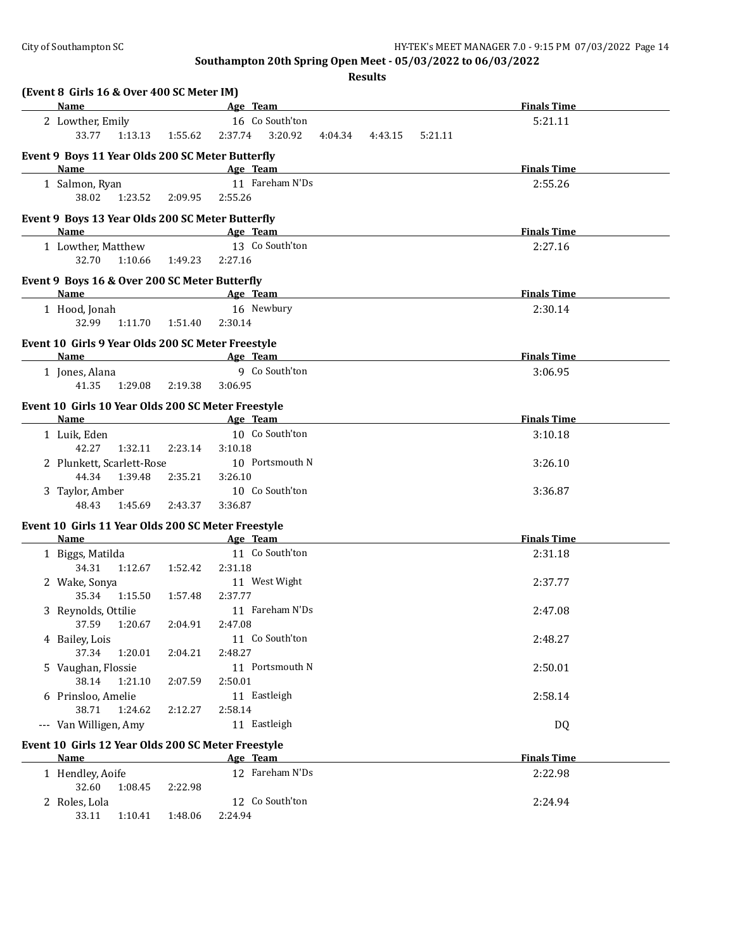| (Event 8 Girls 16 & Over 400 SC Meter IM)                  |                           |                                          |                    |
|------------------------------------------------------------|---------------------------|------------------------------------------|--------------------|
| <b>Name</b>                                                |                           | <b>Example 2</b> Age Team                | <b>Finals Time</b> |
| 2 Lowther, Emily                                           |                           | 16 Co South'ton                          | 5:21.11            |
| 33.77                                                      | 1:13.13  1:55.62  2:37.74 | 3:20.92<br>4:04.34<br>4:43.15<br>5:21.11 |                    |
| Event 9 Boys 11 Year Olds 200 SC Meter Butterfly           |                           |                                          |                    |
| Name                                                       |                           | Age Team                                 | <b>Finals Time</b> |
| 1 Salmon, Ryan                                             |                           | 11 Fareham N'Ds                          | 2:55.26            |
| 38.02<br>1:23.52                                           | 2:09.95                   | 2:55.26                                  |                    |
|                                                            |                           |                                          |                    |
| Event 9 Boys 13 Year Olds 200 SC Meter Butterfly           |                           |                                          |                    |
| Name                                                       |                           | Age Team<br>13 Co South'ton              | <b>Finals Time</b> |
| 1 Lowther, Matthew                                         |                           |                                          | 2:27.16            |
| 1:10.66<br>32.70                                           | 1:49.23                   | 2:27.16                                  |                    |
| Event 9 Boys 16 & Over 200 SC Meter Butterfly              |                           |                                          |                    |
| <b>Name</b>                                                |                           | <b>Example 2016</b> Age Team             | <b>Finals Time</b> |
| 1 Hood, Jonah                                              |                           | 16 Newbury                               | 2:30.14            |
| 32.99                                                      | 1:11.70   1:51.40         | 2:30.14                                  |                    |
| Event 10 Girls 9 Year Olds 200 SC Meter Freestyle          |                           |                                          |                    |
| Name                                                       |                           | Age Team                                 | <b>Finals Time</b> |
| 1 Jones, Alana                                             |                           | 9 Co South'ton                           | 3:06.95            |
| 1:29.08<br>41.35                                           | 2:19.38                   | 3:06.95                                  |                    |
|                                                            |                           |                                          |                    |
| Event 10 Girls 10 Year Olds 200 SC Meter Freestyle<br>Name |                           | Age Team                                 | <b>Finals Time</b> |
| 1 Luik, Eden                                               |                           | 10 Co South'ton                          | 3:10.18            |
| 42.27<br>1:32.11                                           | 2:23.14                   | 3:10.18                                  |                    |
| 2 Plunkett, Scarlett-Rose                                  |                           | 10 Portsmouth N                          | 3:26.10            |
| 44.34<br>1:39.48                                           | 2:35.21                   | 3:26.10                                  |                    |
| 3 Taylor, Amber                                            |                           | 10 Co South'ton                          | 3:36.87            |
| 48.43<br>1:45.69                                           | 2:43.37                   | 3:36.87                                  |                    |
|                                                            |                           |                                          |                    |
| Event 10 Girls 11 Year Olds 200 SC Meter Freestyle         |                           |                                          |                    |
| Name                                                       |                           | Age Team                                 | <b>Finals Time</b> |
| 1 Biggs, Matilda                                           |                           | 11 Co South'ton                          | 2:31.18            |
| 34.31                                                      | 1:12.67  1:52.42          | 2:31.18                                  |                    |
| 2 Wake, Sonya                                              |                           | 11 West Wight                            | 2:37.77            |
| 35.34<br>1:15.50                                           | 1:57.48                   | 2:37.77<br>11 Fareham N'Ds               |                    |
| 3 Reynolds, Ottilie                                        |                           |                                          | 2:47.08            |
| 37.59  1:20.67  2:04.91  2:47.08                           |                           |                                          |                    |
| 4 Bailey, Lois                                             |                           | 11 Co South'ton<br>2:48.27               | 2:48.27            |
| 37.34<br>1:20.01                                           | 2:04.21                   | 11 Portsmouth N                          |                    |
| 5 Vaughan, Flossie<br>38.14                                |                           |                                          | 2:50.01            |
| 1:21.10                                                    | 2:07.59                   | 2:50.01                                  |                    |
| 6 Prinsloo, Amelie<br>38.71<br>1:24.62                     | 2:12.27                   | 11 Eastleigh                             | 2:58.14            |
|                                                            |                           | 2:58.14<br>11 Eastleigh                  |                    |
| --- Van Willigen, Amy                                      |                           |                                          | DQ                 |
| Event 10 Girls 12 Year Olds 200 SC Meter Freestyle         |                           |                                          |                    |
| Name                                                       |                           | Age Team                                 | <b>Finals Time</b> |
| 1 Hendley, Aoife                                           |                           | 12 Fareham N'Ds                          | 2:22.98            |
| 32.60<br>1:08.45                                           | 2:22.98                   |                                          |                    |
| 2 Roles, Lola                                              |                           | 12 Co South'ton                          | 2:24.94            |
| 33.11<br>1:10.41                                           | 1:48.06                   | 2:24.94                                  |                    |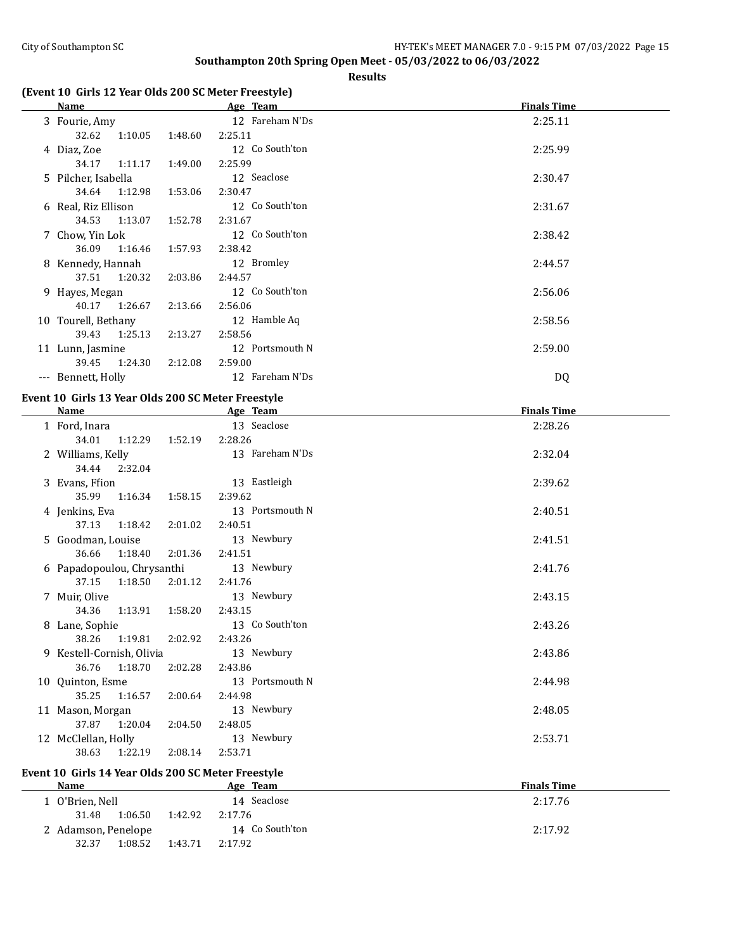#### **Results**

# **(Event 10 Girls 12 Year Olds 200 SC Meter Freestyle)**

| Name                                               |         | Age Team        | <b>Finals Time</b> |
|----------------------------------------------------|---------|-----------------|--------------------|
| 3 Fourie, Amy                                      |         | 12 Fareham N'Ds | 2:25.11            |
| 32.62<br>1:10.05                                   | 1:48.60 | 2:25.11         |                    |
| 4 Diaz, Zoe                                        |         | 12 Co South'ton | 2:25.99            |
| 34.17<br>1:11.17                                   | 1:49.00 | 2:25.99         |                    |
| 5 Pilcher, Isabella                                |         | 12 Seaclose     | 2:30.47            |
| 34.64<br>1:12.98                                   | 1:53.06 | 2:30.47         |                    |
| 6 Real, Riz Ellison                                |         | 12 Co South'ton | 2:31.67            |
| 34.53<br>1:13.07                                   | 1:52.78 | 2:31.67         |                    |
| 7 Chow, Yin Lok                                    |         | 12 Co South'ton | 2:38.42            |
| 36.09<br>1:16.46                                   | 1:57.93 | 2:38.42         |                    |
| 8 Kennedy, Hannah                                  |         | 12 Bromley      | 2:44.57            |
| 37.51<br>1:20.32                                   | 2:03.86 | 2:44.57         |                    |
| 9 Hayes, Megan                                     |         | 12 Co South'ton | 2:56.06            |
| 40.17<br>1:26.67                                   | 2:13.66 | 2:56.06         |                    |
| 10 Tourell, Bethany                                |         | 12 Hamble Aq    | 2:58.56            |
| 39.43<br>1:25.13                                   | 2:13.27 | 2:58.56         |                    |
| 11 Lunn, Jasmine                                   |         | 12 Portsmouth N | 2:59.00            |
| 39.45<br>1:24.30                                   | 2:12.08 | 2:59.00         |                    |
| --- Bennett, Holly                                 |         | 12 Fareham N'Ds | DQ                 |
| Event 10 Girls 13 Year Olds 200 SC Meter Freestyle |         |                 |                    |
| Name                                               |         | Age Team        | <b>Finals Time</b> |
| 1 Ford, Inara                                      |         | 13 Seaclose     | 2:28.26            |
| 34.01<br>1:12.29                                   | 1:52.19 | 2:28.26         |                    |
| 2 Williams, Kelly                                  |         | 13 Fareham N'Ds | 2:32.04            |
| 34.44<br>2:32.04                                   |         |                 |                    |
| 3 Evans, Ffion                                     |         | 13 Eastleigh    | 2:39.62            |
| 35.99<br>1:16.34                                   | 1:58.15 | 2:39.62         |                    |
| 4 Jenkins, Eva                                     |         | 13 Portsmouth N | 2:40.51            |
| 37.13<br>1:18.42                                   | 2:01.02 | 2:40.51         |                    |
| 5 Goodman, Louise                                  |         | 13 Newbury      | 2:41.51            |
| 36.66<br>1:18.40                                   | 2:01.36 | 2:41.51         |                    |
| 6 Papadopoulou, Chrysanthi                         |         | 13 Newbury      | 2:41.76            |
| 37.15<br>1:18.50                                   | 2:01.12 | 2:41.76         |                    |

# **Event 10 Girls 14 Year Olds 200 SC Meter Freestyle**

34.36 1:13.91 1:58.20 2:43.15

38.26 1:19.81 2:02.92 2:43.26

36.76 1:18.70 2:02.28 2:43.86

35.25 1:16.57 2:00.64 2:44.98

37.87 1:20.04 2:04.50 2:48.05

38.63 1:22.19 2:08.14 2:53.71

| <b>Name</b>         | <u>Age Team</u>    | <b>Finals Time</b> |
|---------------------|--------------------|--------------------|
| l) O'Brien, Nell    | 14 Seaclose        | 2:17.76            |
| 1:06.50<br>31.48    | 1:42.92<br>2:17.76 |                    |
| 2 Adamson, Penelope | 14 Co South'ton    | 2:17.92            |
| 1:08.52<br>32.37    | 1:43.71<br>2:17.92 |                    |

7 Muir, Olive 13 Newbury 2:43.15

8 Lane, Sophie 13 Co South'ton 2:43.26

9 Kestell-Cornish, Olivia 13 Newbury 2:43.86

10 Quinton, Esme 13 Portsmouth N 2:44.98

11 Mason, Morgan 13 Newbury 13 Newbury 2:48.05

12 McClellan, Holly 13 Newbury 13 Newbury 2:53.71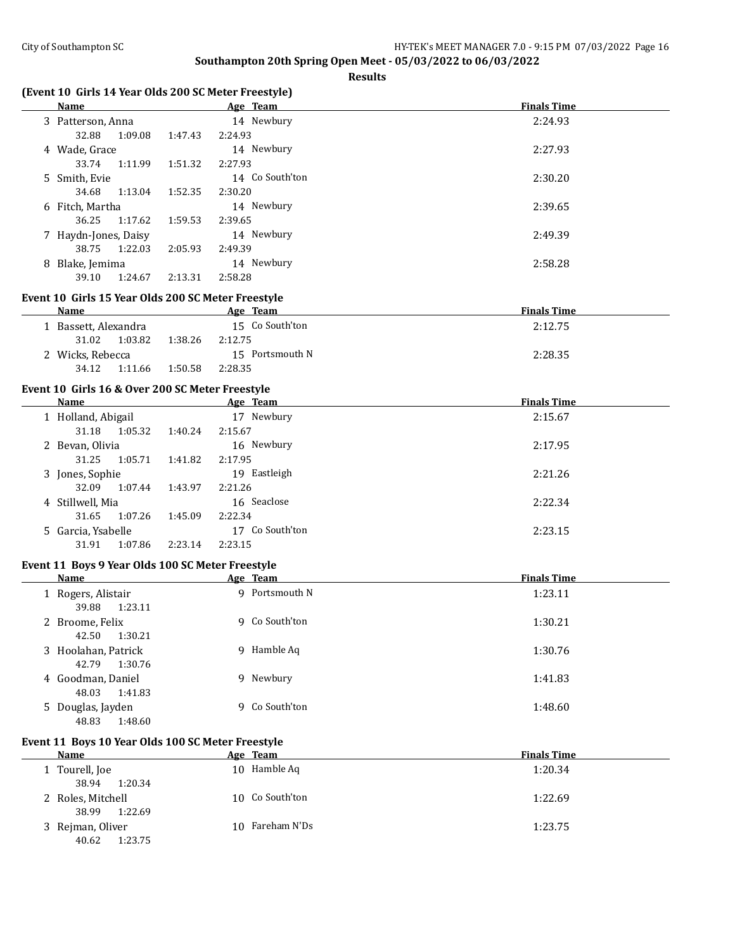**Results**

# **(Event 10 Girls 14 Year Olds 200 SC Meter Freestyle)**

|    | Name                 |         |         | Age Team                                           | <b>Finals Time</b> |
|----|----------------------|---------|---------|----------------------------------------------------|--------------------|
|    | 3 Patterson, Anna    |         |         | 14 Newbury                                         | 2:24.93            |
|    | 32.88                | 1:09.08 | 1:47.43 | 2:24.93                                            |                    |
|    | 4 Wade, Grace        |         |         | 14 Newbury                                         | 2:27.93            |
|    | 33.74                | 1:11.99 | 1:51.32 | 2:27.93                                            |                    |
|    | 5 Smith, Evie        |         |         | 14 Co South'ton                                    | 2:30.20            |
|    | 34.68                | 1:13.04 | 1:52.35 | 2:30.20                                            |                    |
|    | 6 Fitch, Martha      |         |         | 14 Newbury                                         | 2:39.65            |
|    | 36.25                | 1:17.62 | 1:59.53 | 2:39.65                                            |                    |
|    | 7 Haydn-Jones, Daisy |         |         | 14 Newbury                                         | 2:49.39            |
|    | 38.75                | 1:22.03 | 2:05.93 | 2:49.39                                            |                    |
| 8. | Blake, Jemima        |         |         | 14 Newbury                                         | 2:58.28            |
|    | 39.10                | 1:24.67 | 2:13.31 | 2:58.28                                            |                    |
|    |                      |         |         | Event 10 Girls 15 Year Olds 200 SC Meter Freestyle |                    |
|    | Name                 |         |         | Age Team                                           | <b>Finals Time</b> |

| name               |         | лде каш         | тициз типе |
|--------------------|---------|-----------------|------------|
| Bassett, Alexandra |         | 15 Co South'ton | 2:12.75    |
| 1:03.82<br>31.02   | 1:38.26 | 2:12.75         |            |
| 2 Wicks, Rebecca   |         | 15 Portsmouth N | 2:28.35    |
| 34.12<br>1:11.66   | 1:50.58 | 2:28.35         |            |

## **Event 10 Girls 16 & Over 200 SC Meter Freestyle**

| <b>Name</b>        | Age Team           | <b>Finals Time</b> |  |
|--------------------|--------------------|--------------------|--|
| 1 Holland, Abigail | 17 Newbury         | 2:15.67            |  |
| 1:05.32<br>31.18   | 2:15.67<br>1:40.24 |                    |  |
| 2 Bevan, Olivia    | 16 Newbury         | 2:17.95            |  |
| 1:05.71<br>31.25   | 2:17.95<br>1:41.82 |                    |  |
| 3 Jones, Sophie    | 19 Eastleigh       | 2:21.26            |  |
| 1:07.44<br>32.09   | 1:43.97<br>2:21.26 |                    |  |
| 4 Stillwell, Mia   | 16 Seaclose        | 2:22.34            |  |
| 1:07.26<br>31.65   | 2:22.34<br>1:45.09 |                    |  |
| 5 Garcia, Ysabelle | Co South'ton<br>17 | 2:23.15            |  |
| 1:07.86<br>31.91   | 2:23.14<br>2:23.15 |                    |  |

#### **Event 11 Boys 9 Year Olds 100 SC Meter Freestyle**

| <b>Name</b>                             | Age Team       | <b>Finals Time</b> |
|-----------------------------------------|----------------|--------------------|
| 1 Rogers, Alistair<br>39.88<br>1:23.11  | 9 Portsmouth N | 1:23.11            |
| 2 Broome, Felix<br>1:30.21<br>42.50     | 9 Co South'ton | 1:30.21            |
| 3 Hoolahan, Patrick<br>42.79<br>1:30.76 | Hamble Aq<br>9 | 1:30.76            |
| 4 Goodman, Daniel<br>48.03<br>1:41.83   | 9 Newbury      | 1:41.83            |
| 5 Douglas, Jayden<br>1:48.60<br>48.83   | 9 Co South'ton | 1:48.60            |

# **Event 11 Boys 10 Year Olds 100 SC Meter Freestyle**

| Name              | Age Team        | <b>Finals Time</b> |
|-------------------|-----------------|--------------------|
| 1 Tourell, Joe    | 10 Hamble Aq    | 1:20.34            |
| 38.94<br>1:20.34  |                 |                    |
| 2 Roles, Mitchell | 10 Co South'ton | 1:22.69            |
| 1:22.69<br>38.99  |                 |                    |
| 3 Rejman, Oliver  | 10 Fareham N'Ds | 1:23.75            |
| 1:23.75<br>40.62  |                 |                    |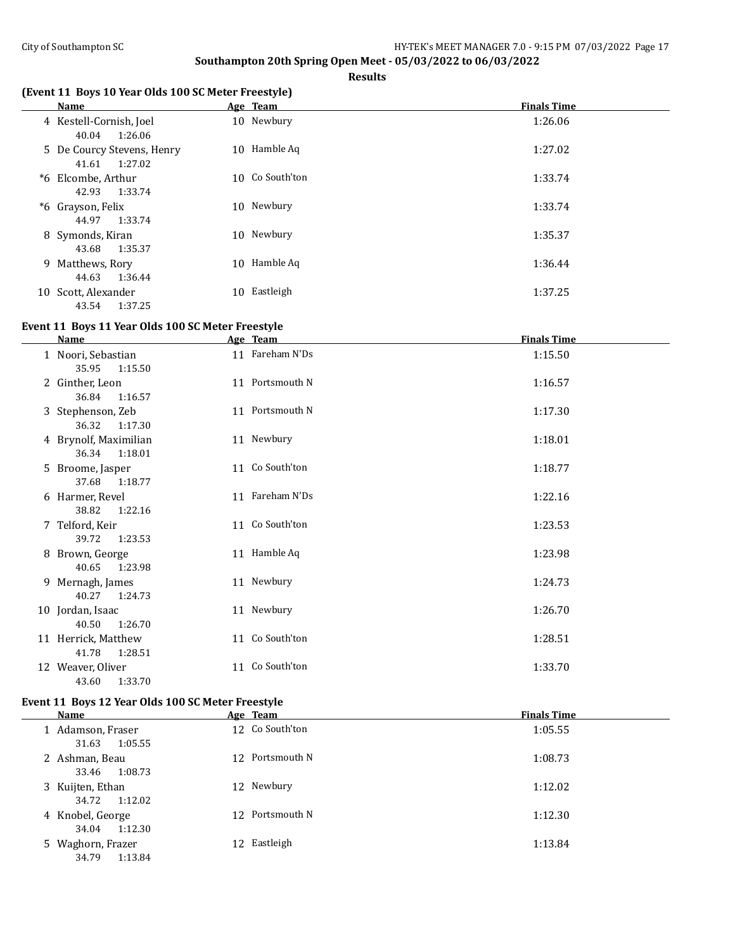**Results**

# **(Event 11 Boys 10 Year Olds 100 SC Meter Freestyle)**

|    | <b>Name</b>                                    |    | Age Team        | <b>Finals Time</b> |
|----|------------------------------------------------|----|-----------------|--------------------|
|    | 4 Kestell-Cornish, Joel<br>1:26.06<br>40.04    |    | 10 Newbury      | 1:26.06            |
|    | 5 De Courcy Stevens, Henry<br>1:27.02<br>41.61 |    | 10 Hamble Aq    | 1:27.02            |
|    | *6 Elcombe, Arthur<br>42.93<br>1:33.74         |    | 10 Co South'ton | 1:33.74            |
|    | *6 Grayson, Felix<br>1:33.74<br>44.97          |    | 10 Newbury      | 1:33.74            |
|    | 8 Symonds, Kiran<br>1:35.37<br>43.68           |    | 10 Newbury      | 1:35.37            |
|    | 9 Matthews, Rory<br>44.63<br>1:36.44           |    | 10 Hamble Aq    | 1:36.44            |
| 10 | Scott, Alexander<br>1:37.25<br>43.54           | 10 | Eastleigh       | 1:37.25            |

#### **Event 11 Boys 11 Year Olds 100 SC Meter Freestyle**

| <b>Name</b>                               | Age Team        | <b>Finals Time</b> |
|-------------------------------------------|-----------------|--------------------|
| 1 Noori, Sebastian<br>1:15.50<br>35.95    | 11 Fareham N'Ds | 1:15.50            |
| 2 Ginther, Leon<br>1:16.57<br>36.84       | 11 Portsmouth N | 1:16.57            |
| 3 Stephenson, Zeb<br>1:17.30<br>36.32     | 11 Portsmouth N | 1:17.30            |
| 4 Brynolf, Maximilian<br>36.34<br>1:18.01 | 11 Newbury      | 1:18.01            |
| 5 Broome, Jasper<br>37.68<br>1:18.77      | 11 Co South'ton | 1:18.77            |
| 6 Harmer, Revel<br>38.82<br>1:22.16       | 11 Fareham N'Ds | 1:22.16            |
| 7 Telford, Keir<br>39.72<br>1:23.53       | 11 Co South'ton | 1:23.53            |
| 8 Brown, George<br>40.65<br>1:23.98       | 11 Hamble Aq    | 1:23.98            |
| 9 Mernagh, James<br>40.27<br>1:24.73      | 11 Newbury      | 1:24.73            |
| 10 Jordan, Isaac<br>40.50<br>1:26.70      | 11 Newbury      | 1:26.70            |
| 11 Herrick, Matthew<br>41.78<br>1:28.51   | 11 Co South'ton | 1:28.51            |
| 12 Weaver, Oliver<br>43.60<br>1:33.70     | 11 Co South'ton | 1:33.70            |

# **Event 11 Boys 12 Year Olds 100 SC Meter Freestyle**

| Name                                  | Age Team        | <b>Finals Time</b> |
|---------------------------------------|-----------------|--------------------|
| 1 Adamson, Fraser<br>1:05.55<br>31.63 | 12 Co South'ton | 1:05.55            |
| 2 Ashman, Beau<br>1:08.73<br>33.46    | 12 Portsmouth N | 1:08.73            |
| 3 Kuijten, Ethan<br>34.72 1:12.02     | 12 Newbury      | 1:12.02            |
| 4 Knobel, George<br>34.04<br>1:12.30  | 12 Portsmouth N | 1:12.30            |
| 5 Waghorn, Frazer<br>1:13.84<br>34.79 | 12 Eastleigh    | 1:13.84            |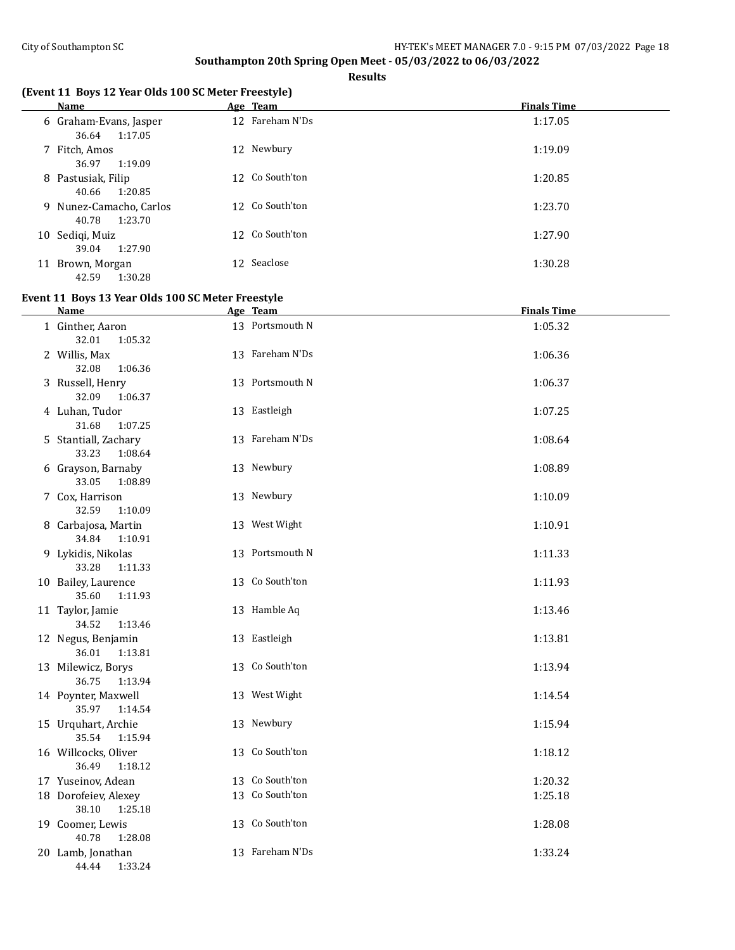**Results**

# **(Event 11 Boys 12 Year Olds 100 SC Meter Freestyle)**

| Name                                        | Age Team        | <b>Finals Time</b> |
|---------------------------------------------|-----------------|--------------------|
| 6 Graham-Evans, Jasper<br>36.64<br>1:17.05  | 12 Fareham N'Ds | 1:17.05            |
| 7 Fitch, Amos<br>36.97<br>1:19.09           | 12 Newbury      | 1:19.09            |
| 8 Pastusiak, Filip<br>40.66<br>1:20.85      | 12 Co South'ton | 1:20.85            |
| 9 Nunez-Camacho, Carlos<br>1:23.70<br>40.78 | 12 Co South'ton | 1:23.70            |
| 10 Sediqi, Muiz<br>1:27.90<br>39.04         | 12 Co South'ton | 1:27.90            |
| 11 Brown, Morgan<br>42.59<br>1:30.28        | 12 Seaclose     | 1:30.28            |

# **Event 11 Boys 13 Year Olds 100 SC Meter Freestyle**

| <b>Name</b>                              | Age Team        | <b>Finals Time</b> |
|------------------------------------------|-----------------|--------------------|
| 1 Ginther, Aaron<br>32.01<br>1:05.32     | 13 Portsmouth N | 1:05.32            |
| 2 Willis, Max<br>32.08<br>1:06.36        | 13 Fareham N'Ds | 1:06.36            |
| 3 Russell, Henry<br>32.09<br>1:06.37     | 13 Portsmouth N | 1:06.37            |
| 4 Luhan, Tudor<br>31.68<br>1:07.25       | 13 Eastleigh    | 1:07.25            |
| 5 Stantiall, Zachary<br>33.23<br>1:08.64 | 13 Fareham N'Ds | 1:08.64            |
| 6 Grayson, Barnaby<br>33.05<br>1:08.89   | 13 Newbury      | 1:08.89            |
| 7 Cox, Harrison<br>32.59<br>1:10.09      | 13 Newbury      | 1:10.09            |
| 8 Carbajosa, Martin<br>34.84<br>1:10.91  | 13 West Wight   | 1:10.91            |
| 9 Lykidis, Nikolas<br>33.28<br>1:11.33   | 13 Portsmouth N | 1:11.33            |
| 10 Bailey, Laurence<br>35.60<br>1:11.93  | 13 Co South'ton | 1:11.93            |
| 11 Taylor, Jamie<br>34.52<br>1:13.46     | 13 Hamble Aq    | 1:13.46            |
| 12 Negus, Benjamin<br>36.01<br>1:13.81   | 13 Eastleigh    | 1:13.81            |
| 13 Milewicz, Borys<br>36.75<br>1:13.94   | 13 Co South'ton | 1:13.94            |
| 14 Poynter, Maxwell<br>35.97<br>1:14.54  | 13 West Wight   | 1:14.54            |
| 15 Urquhart, Archie<br>35.54<br>1:15.94  | 13 Newbury      | 1:15.94            |
| 16 Willcocks, Oliver<br>36.49<br>1:18.12 | 13 Co South'ton | 1:18.12            |
| 17 Yuseinov, Adean                       | 13 Co South'ton | 1:20.32            |
| 18 Dorofeiev, Alexey<br>38.10<br>1:25.18 | 13 Co South'ton | 1:25.18            |
| 19 Coomer, Lewis<br>40.78<br>1:28.08     | 13 Co South'ton | 1:28.08            |
| 20 Lamb, Jonathan<br>44.44<br>1:33.24    | 13 Fareham N'Ds | 1:33.24            |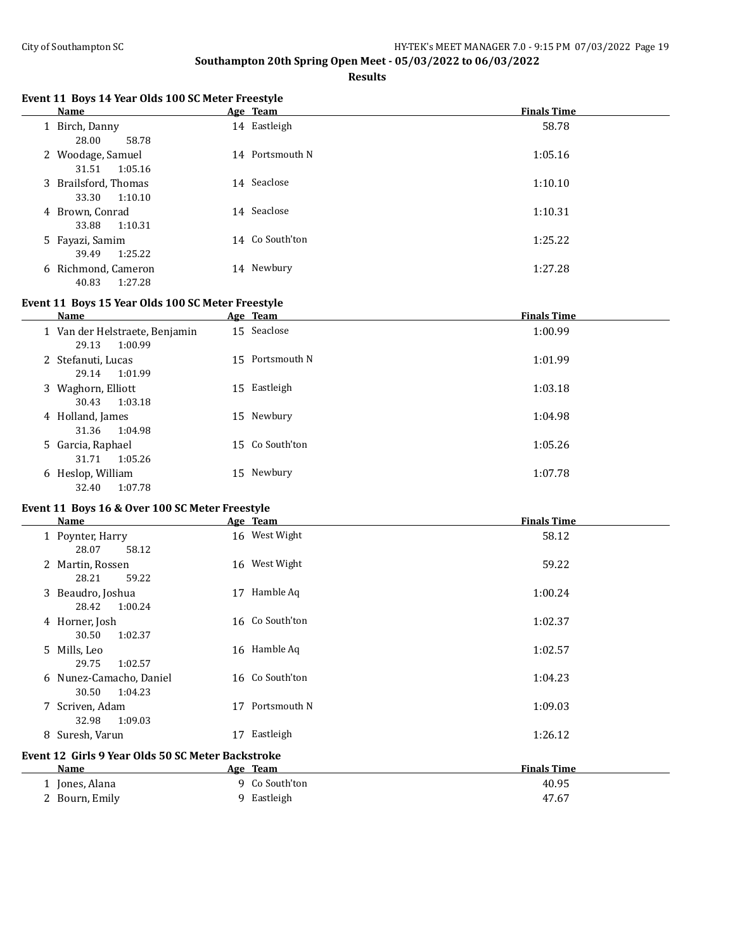**Results**

# **Event 11 Boys 14 Year Olds 100 SC Meter Freestyle**

| <b>Name</b>                              | Age Team        | <b>Finals Time</b> |
|------------------------------------------|-----------------|--------------------|
| 1 Birch, Danny<br>28.00<br>58.78         | 14 Eastleigh    | 58.78              |
| 2 Woodage, Samuel<br>1:05.16<br>31.51    | 14 Portsmouth N | 1:05.16            |
| 3 Brailsford, Thomas<br>1:10.10<br>33.30 | 14 Seaclose     | 1:10.10            |
| 4 Brown, Conrad<br>1:10.31<br>33.88      | 14 Seaclose     | 1:10.31            |
| 5 Fayazi, Samim<br>1:25.22<br>39.49      | 14 Co South'ton | 1:25.22            |
| 6 Richmond, Cameron<br>1:27.28<br>40.83  | 14 Newbury      | 1:27.28            |

## **Event 11 Boys 15 Year Olds 100 SC Meter Freestyle**

| Name                                               | Age Team        | <b>Finals Time</b> |
|----------------------------------------------------|-----------------|--------------------|
| 1 Van der Helstraete, Benjamin<br>29.13<br>1:00.99 | 15 Seaclose     | 1:00.99            |
| 2 Stefanuti, Lucas<br>1:01.99<br>29.14             | 15 Portsmouth N | 1:01.99            |
| 3 Waghorn, Elliott<br>1:03.18<br>30.43             | 15 Eastleigh    | 1:03.18            |
| 4 Holland, James<br>1:04.98<br>31.36               | 15 Newbury      | 1:04.98            |
| 5 Garcia, Raphael<br>1:05.26<br>31.71              | 15 Co South'ton | 1:05.26            |
| 6 Heslop, William<br>32.40<br>1:07.78              | 15 Newbury      | 1:07.78            |

# **Event 11 Boys 16 & Over 100 SC Meter Freestyle**

| Name                                               |    | Age Team        | <b>Finals Time</b> |  |
|----------------------------------------------------|----|-----------------|--------------------|--|
| 1 Poynter, Harry                                   |    | 16 West Wight   | 58.12              |  |
| 28.07<br>58.12                                     |    |                 |                    |  |
| 2 Martin, Rossen                                   | 16 | West Wight      | 59.22              |  |
| 28.21<br>59.22                                     |    |                 |                    |  |
| 3 Beaudro, Joshua                                  | 17 | Hamble Aq       | 1:00.24            |  |
| 28.42<br>1:00.24                                   |    |                 |                    |  |
| 4 Horner, Josh                                     |    | 16 Co South'ton | 1:02.37            |  |
| 30.50<br>1:02.37                                   |    |                 |                    |  |
| 5 Mills, Leo                                       |    | 16 Hamble Aq    | 1:02.57            |  |
| 29.75<br>1:02.57                                   |    |                 |                    |  |
| 6 Nunez-Camacho, Daniel                            |    | 16 Co South'ton | 1:04.23            |  |
| 1:04.23<br>30.50                                   |    |                 |                    |  |
| 7 Scriven, Adam                                    | 17 | Portsmouth N    | 1:09.03            |  |
| 32.98<br>1:09.03                                   |    |                 |                    |  |
| 8 Suresh, Varun                                    | 17 | Eastleigh       | 1:26.12            |  |
| Event 12  Girls 9 Year Olds 50 SC Meter Backstroke |    |                 |                    |  |
| Name                                               |    | Age Team        | <b>Finals Time</b> |  |
| 1 Jones, Alana                                     |    | 9 Co South'ton  | 40.95              |  |
| 2 Bourn, Emily                                     |    | 9 Eastleigh     | 47.67              |  |
|                                                    |    |                 |                    |  |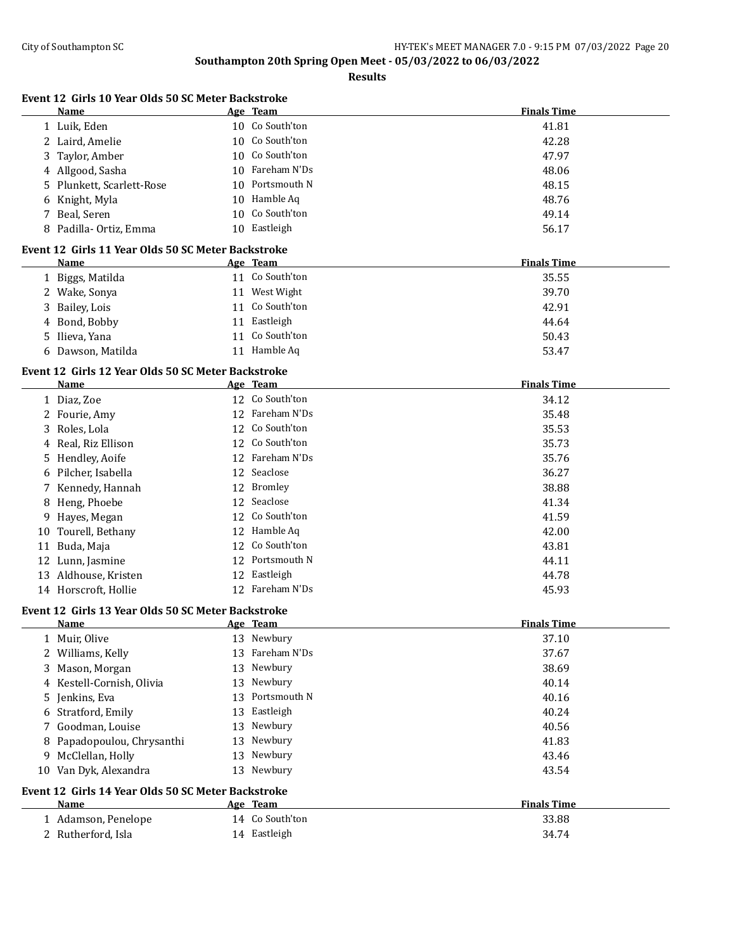| Event 12 Girls 10 Year Olds 50 SC Meter Backstroke<br>Name | Age Team |                 | <b>Finals Time</b> |
|------------------------------------------------------------|----------|-----------------|--------------------|
| 1 Luik, Eden                                               |          | 10 Co South'ton | 41.81              |
| 2 Laird, Amelie                                            |          | 10 Co South'ton | 42.28              |
| 3 Taylor, Amber                                            |          | 10 Co South'ton | 47.97              |
| 4 Allgood, Sasha                                           | 10       | Fareham N'Ds    | 48.06              |
| 5 Plunkett, Scarlett-Rose                                  |          | 10 Portsmouth N | 48.15              |
| Knight, Myla<br>6                                          |          | 10 Hamble Aq    | 48.76              |
| 7 Beal, Seren                                              |          | 10 Co South'ton | 49.14              |
| 8 Padilla- Ortiz, Emma                                     |          | 10 Eastleigh    | 56.17              |
| Event 12 Girls 11 Year Olds 50 SC Meter Backstroke         |          |                 |                    |
| Name                                                       | Age Team |                 | <b>Finals Time</b> |
| 1 Biggs, Matilda                                           |          | 11 Co South'ton | 35.55              |
| 2 Wake, Sonya                                              |          | 11 West Wight   | 39.70              |
| Bailey, Lois<br>3                                          |          | 11 Co South'ton | 42.91              |
| 4 Bond, Bobby                                              |          | 11 Eastleigh    | 44.64              |
| 5 Ilieva, Yana                                             |          | 11 Co South'ton | 50.43              |
| 6 Dawson, Matilda                                          |          | 11 Hamble Aq    | 53.47              |
| Event 12 Girls 12 Year Olds 50 SC Meter Backstroke         |          |                 |                    |
| Name                                                       | Age Team |                 | <b>Finals Time</b> |
| 1 Diaz, Zoe                                                |          | 12 Co South'ton | 34.12              |
| 2 Fourie, Amy                                              |          | 12 Fareham N'Ds | 35.48              |
| 3<br>Roles, Lola                                           |          | 12 Co South'ton | 35.53              |
| 4 Real, Riz Ellison                                        | 12       | Co South'ton    | 35.73              |
| 5 Hendley, Aoife                                           | 12       | Fareham N'Ds    | 35.76              |
| 6 Pilcher, Isabella                                        |          | 12 Seaclose     | 36.27              |
| 7 Kennedy, Hannah                                          |          | 12 Bromley      | 38.88              |
| 8 Heng, Phoebe                                             |          | 12 Seaclose     | 41.34              |
| Hayes, Megan<br>9                                          |          | 12 Co South'ton | 41.59              |
| 10 Tourell, Bethany                                        |          | 12 Hamble Aq    | 42.00              |
| 11 Buda, Maja                                              |          | 12 Co South'ton | 43.81              |
| 12 Lunn, Jasmine                                           |          | 12 Portsmouth N | 44.11              |
| 13 Aldhouse, Kristen                                       |          | 12 Eastleigh    | 44.78              |
| 14 Horscroft, Hollie                                       |          | 12 Fareham N'Ds | 45.93              |
| Event 12 Girls 13 Year Olds 50 SC Meter Backstroke         |          |                 |                    |
| Name                                                       | Age Team |                 | <b>Finals Time</b> |
| 1 Muir, Olive                                              |          | 13 Newbury      | 37.10              |
| 2 Williams, Kelly                                          |          | 13 Fareham N'Ds | 37.67              |
| 3 Mason, Morgan                                            |          | 13 Newbury      | 38.69              |
| 4 Kestell-Cornish, Olivia                                  |          | 13 Newbury      | 40.14              |
| 5 Jenkins, Eva                                             |          | 13 Portsmouth N | 40.16              |
| 6 Stratford, Emily                                         |          | 13 Eastleigh    | 40.24              |
| 7 Goodman, Louise                                          |          | 13 Newbury      | 40.56              |
| Papadopoulou, Chrysanthi<br>8                              |          | 13 Newbury      | 41.83              |
| 9 McClellan, Holly                                         |          | 13 Newbury      | 43.46              |
| 10 Van Dyk, Alexandra                                      |          | 13 Newbury      | 43.54              |
| Event 12 Girls 14 Year Olds 50 SC Meter Backstroke         |          |                 |                    |
| Name                                                       | Age Team |                 | <b>Finals Time</b> |
| 1 Adamson, Penelope                                        |          | 14 Co South'ton | 33.88              |
| 2 Rutherford, Isla                                         |          | 14 Eastleigh    | 34.74              |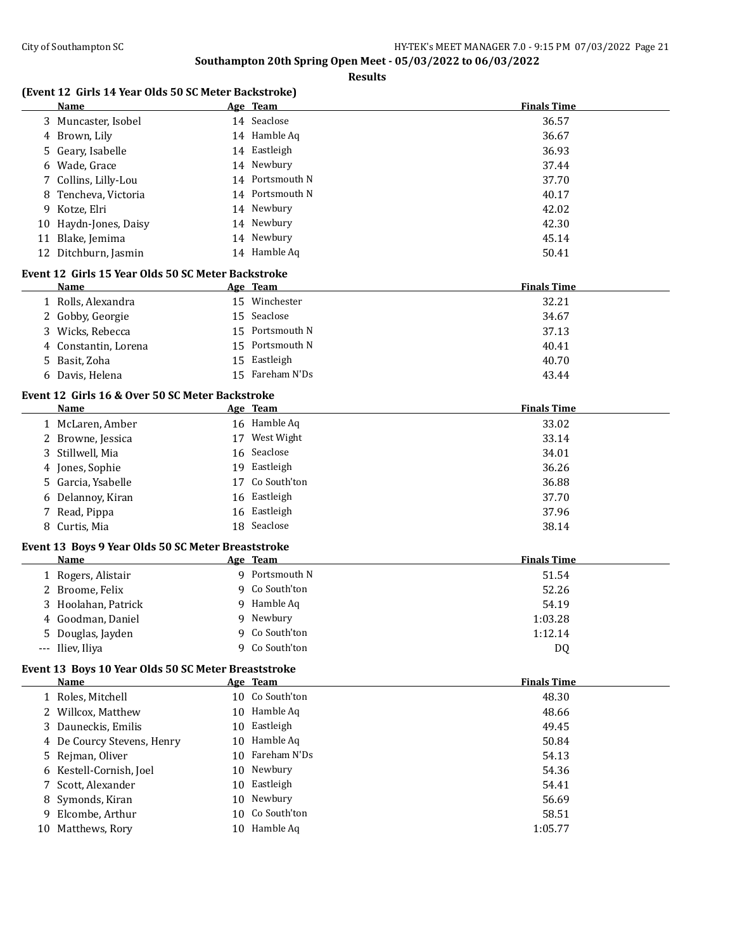**Finals Time** 

**Finals Time** 

**Finals Time** 

**Finals Time** 

**Finals Time** 

#### **Southampton 20th Spring Open Meet - 05/03/2022 to 06/03/2022**

|    |                                                            | Southampton 20th Spring Open Meet - 05/03/2022 to 06/03/2022<br><b>Results</b> |                   |
|----|------------------------------------------------------------|--------------------------------------------------------------------------------|-------------------|
|    | (Event 12 Girls 14 Year Olds 50 SC Meter Backstroke)       |                                                                                |                   |
|    | Name                                                       | Age Team                                                                       | <b>Finals Tim</b> |
|    | 3 Muncaster, Isobel                                        | 14 Seaclose                                                                    | 36.57             |
|    | 4 Brown, Lily                                              | 14 Hamble Aq                                                                   | 36.67             |
|    | 5 Geary, Isabelle                                          | 14 Eastleigh                                                                   | 36.93             |
|    | 6 Wade, Grace                                              | 14 Newbury                                                                     | 37.44             |
|    | 7 Collins, Lilly-Lou                                       | 14 Portsmouth N                                                                | 37.70             |
| 8  | Tencheva, Victoria                                         | 14 Portsmouth N                                                                | 40.17             |
| 9  | Kotze, Elri                                                | 14 Newbury                                                                     | 42.02             |
|    | 10 Haydn-Jones, Daisy                                      | 14 Newbury                                                                     | 42.30             |
|    | 11 Blake, Jemima                                           | 14 Newbury                                                                     | 45.14             |
|    | 12 Ditchburn, Jasmin                                       | 14 Hamble Aq                                                                   | 50.41             |
|    | Event 12 Girls 15 Year Olds 50 SC Meter Backstroke         |                                                                                |                   |
|    | Name                                                       | Age Team                                                                       | <b>Finals Tim</b> |
|    | 1 Rolls, Alexandra                                         | 15 Winchester                                                                  | 32.21             |
|    | 2 Gobby, Georgie                                           | 15 Seaclose                                                                    | 34.67             |
|    | 3 Wicks, Rebecca                                           | 15 Portsmouth N                                                                | 37.13             |
| 4  | Constantin, Lorena                                         | 15 Portsmouth N                                                                | 40.41             |
| 5. | Basit, Zoha                                                | 15 Eastleigh                                                                   | 40.70             |
|    | 6 Davis, Helena                                            | 15 Fareham N'Ds                                                                | 43.44             |
|    | Event 12 Girls 16 & Over 50 SC Meter Backstroke            |                                                                                |                   |
|    | <b>Name</b>                                                | Age Team                                                                       | <b>Finals Tim</b> |
|    | 1 McLaren, Amber                                           | 16 Hamble Aq                                                                   | 33.02             |
|    | 2 Browne, Jessica                                          | 17 West Wight                                                                  | 33.14             |
|    | 3 Stillwell, Mia                                           | 16 Seaclose                                                                    | 34.01             |
|    | 4 Jones, Sophie                                            | 19 Eastleigh                                                                   | 36.26             |
|    | 5 Garcia, Ysabelle                                         | 17 Co South'ton                                                                | 36.88             |
|    | 6 Delannoy, Kiran                                          | 16 Eastleigh                                                                   | 37.70             |
|    | 7 Read, Pippa                                              | 16 Eastleigh                                                                   | 37.96             |
|    | 8 Curtis, Mia                                              | 18 Seaclose                                                                    | 38.14             |
|    |                                                            |                                                                                |                   |
|    | Event 13 Boys 9 Year Olds 50 SC Meter Breaststroke<br>Name | Age Team                                                                       | <b>Finals Tim</b> |
|    | 1 Rogers, Alistair                                         | 9 Portsmouth N                                                                 | 51.54             |
|    | 2 Broome, Felix                                            | 9 Co South'ton                                                                 | 52.26             |
|    | 3 Hoolahan, Patrick                                        | 9 Hamble Aq                                                                    | 54.19             |
| 4  | Goodman, Daniel                                            | 9 Newbury                                                                      | 1:03.28           |
|    | 5 Douglas, Jayden                                          | 9 Co South'ton                                                                 | 1:12.14           |
|    | --- Iliev, Iliya                                           | 9 Co South'ton                                                                 |                   |
|    |                                                            |                                                                                | DQ                |
|    | Event 13 Boys 10 Year Olds 50 SC Meter Breaststroke        |                                                                                |                   |
|    | Name                                                       | Age Team                                                                       | <b>Finals Tim</b> |
|    | 1 Roles, Mitchell                                          | 10 Co South'ton                                                                | 48.30             |
|    | 2 Willcox, Matthew                                         | 10 Hamble Aq                                                                   | 48.66             |
|    | 3 Dauneckis, Emilis                                        | 10 Eastleigh                                                                   | 49.45             |
|    | 4 De Courcy Stevens, Henry                                 | 10 Hamble Aq                                                                   | 50.84             |
|    | 5 Rejman, Oliver                                           | 10 Fareham N'Ds                                                                | 54.13             |

 Kestell-Cornish, Joel 10 Newbury 54.36 Scott, Alexander 10 Eastleigh 54.41 8 Symonds, Kiran 10 Newbury 10 Newbury 56.69 Elcombe, Arthur 10 Co South'ton 58.51 10 Matthews, Rory 10 Hamble Aq 1:05.77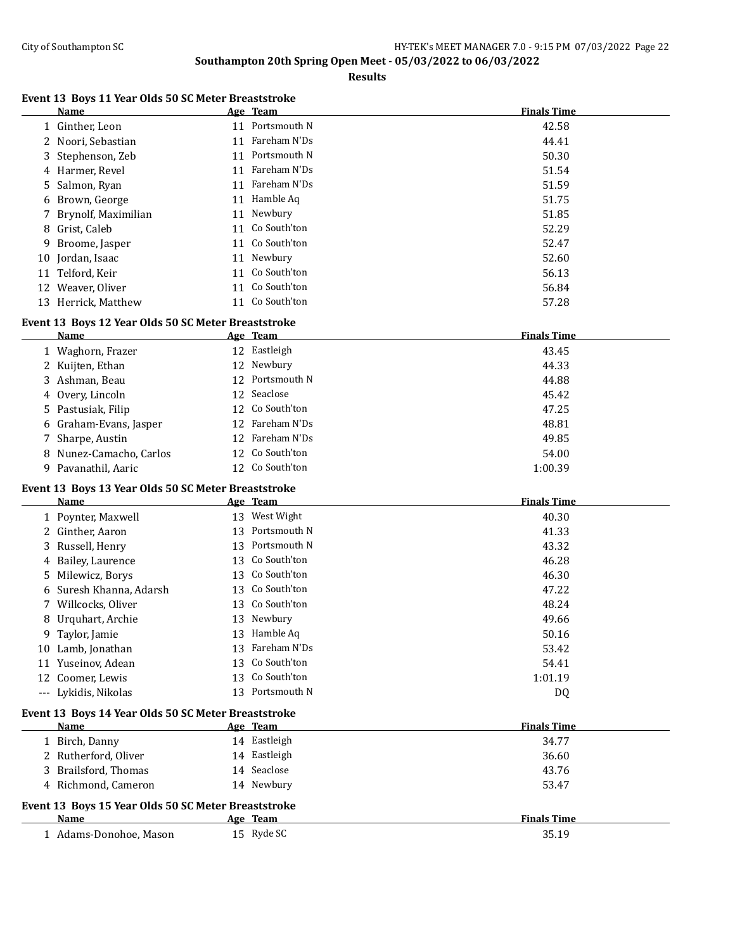**Results**

# **Event 13 Boys 11 Year Olds 50 SC Meter Breaststroke**

|    | Name                  |    | Age Team        | <b>Finals Time</b> |
|----|-----------------------|----|-----------------|--------------------|
|    | 1 Ginther, Leon       |    | 11 Portsmouth N | 42.58              |
|    | 2 Noori, Sebastian    | 11 | Fareham N'Ds    | 44.41              |
|    | 3 Stephenson, Zeb     | 11 | Portsmouth N    | 50.30              |
|    | 4 Harmer, Revel       |    | 11 Fareham N'Ds | 51.54              |
|    | 5 Salmon, Ryan        | 11 | Fareham N'Ds    | 51.59              |
|    | 6 Brown, George       |    | 11 Hamble Aq    | 51.75              |
|    | 7 Brynolf, Maximilian | 11 | Newbury         | 51.85              |
|    | 8 Grist, Caleb        |    | 11 Co South'ton | 52.29              |
|    | 9 Broome, Jasper      |    | 11 Co South'ton | 52.47              |
|    | 10 Jordan, Isaac      |    | 11 Newbury      | 52.60              |
| 11 | Telford, Keir         |    | 11 Co South'ton | 56.13              |
| 12 | Weaver, Oliver        |    | 11 Co South'ton | 56.84              |
|    | 13 Herrick, Matthew   |    | 11 Co South'ton | 57.28              |

## **Event 13 Boys 12 Year Olds 50 SC Meter Breaststroke**

| Name                    | Age Team        | <b>Finals Time</b> |
|-------------------------|-----------------|--------------------|
| 1 Waghorn, Frazer       | 12 Eastleigh    | 43.45              |
| 2 Kuijten, Ethan        | 12 Newbury      | 44.33              |
| 3 Ashman, Beau          | 12 Portsmouth N | 44.88              |
| 4 Overy, Lincoln        | 12 Seaclose     | 45.42              |
| 5 Pastusiak, Filip      | 12 Co South'ton | 47.25              |
| 6 Graham-Evans, Jasper  | 12 Fareham N'Ds | 48.81              |
| 7 Sharpe, Austin        | 12 Fareham N'Ds | 49.85              |
| 8 Nunez-Camacho, Carlos | 12 Co South'ton | 54.00              |
| 9 Pavanathil, Aaric     | 12 Co South'ton | 1:00.39            |

### **Event 13 Boys 13 Year Olds 50 SC Meter Breaststroke**

|                     | <b>Name</b>                                         | Age | <b>Team</b>  | <b>Finals Time</b> |
|---------------------|-----------------------------------------------------|-----|--------------|--------------------|
|                     | 1 Poynter, Maxwell                                  | 13  | West Wight   | 40.30              |
|                     | 2 Ginther, Aaron                                    | 13  | Portsmouth N | 41.33              |
| 3                   | Russell, Henry                                      | 13  | Portsmouth N | 43.32              |
| 4                   | Bailey, Laurence                                    | 13  | Co South'ton | 46.28              |
| 5.                  | Milewicz, Borys                                     | 13  | Co South'ton | 46.30              |
| 6                   | Suresh Khanna, Adarsh                               | 13  | Co South'ton | 47.22              |
|                     | Willcocks, Oliver                                   | 13  | Co South'ton | 48.24              |
| 8                   | Urquhart, Archie                                    | 13  | Newbury      | 49.66              |
| 9                   | Taylor, Jamie                                       | 13  | Hamble Aq    | 50.16              |
| 10                  | Lamb, Jonathan                                      | 13  | Fareham N'Ds | 53.42              |
| 11                  | Yuseinov, Adean                                     | 13  | Co South'ton | 54.41              |
| 12                  | Coomer, Lewis                                       | 13  | Co South'ton | 1:01.19            |
| $\qquad \qquad - -$ | Lykidis, Nikolas                                    | 13  | Portsmouth N | DQ                 |
|                     | Event 13 Boys 14 Year Olds 50 SC Meter Breaststroke |     |              |                    |
|                     | Name                                                |     | Age Team     | <b>Finals Time</b> |
|                     | 1 Birch, Danny                                      |     | 14 Eastleigh | 34.77              |
|                     | Rutherford, Oliver                                  |     | 14 Eastleigh | 36.60              |
| 3.                  | Brailsford, Thomas                                  |     | 14 Seaclose  | 43.76              |
|                     | 4 Richmond, Cameron                                 |     | 14 Newbury   | 53.47              |
|                     | Event 13 Boys 15 Year Olds 50 SC Meter Breaststroke |     |              |                    |
|                     | Name                                                |     | Age Team     | <b>Finals Time</b> |
|                     | 1 Adams-Donohoe, Mason                              |     | 15 Ryde SC   | 35.19              |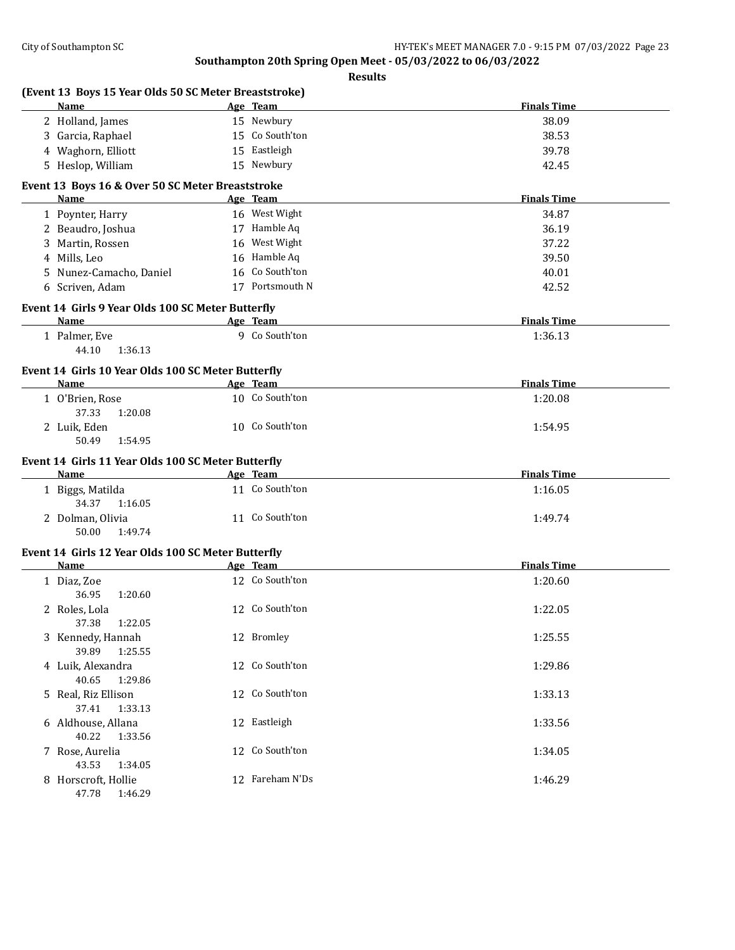|                                                                 | (Event 13 Boys 15 Year Olds 50 SC Meter Breaststroke) |                    |
|-----------------------------------------------------------------|-------------------------------------------------------|--------------------|
| <b>Name</b>                                                     | Age Team                                              | <b>Finals Time</b> |
| 2 Holland, James                                                | 15 Newbury                                            | 38.09              |
| 3 Garcia, Raphael                                               | 15 Co South'ton                                       | 38.53              |
| 4 Waghorn, Elliott                                              | 15 Eastleigh                                          | 39.78              |
| 5 Heslop, William                                               | 15 Newbury                                            | 42.45              |
| Event 13 Boys 16 & Over 50 SC Meter Breaststroke<br><b>Name</b> |                                                       | <b>Finals Time</b> |
|                                                                 | Age Team                                              |                    |
| 1 Poynter, Harry                                                | 16 West Wight                                         | 34.87              |
| 2 Beaudro, Joshua                                               | 17 Hamble Aq                                          | 36.19              |
| 3 Martin, Rossen                                                | 16 West Wight                                         | 37.22              |
| 4 Mills, Leo                                                    | 16 Hamble Aq                                          | 39.50              |
| 5 Nunez-Camacho, Daniel                                         | 16 Co South'ton                                       | 40.01              |
| 6 Scriven, Adam                                                 | 17 Portsmouth N                                       | 42.52              |
| Event 14 Girls 9 Year Olds 100 SC Meter Butterfly               |                                                       |                    |
| Name                                                            | Age Team                                              | <b>Finals Time</b> |
| 1 Palmer, Eve<br>44.10<br>1:36.13                               | 9 Co South'ton                                        | 1:36.13            |
| Event 14 Girls 10 Year Olds 100 SC Meter Butterfly              |                                                       |                    |
| Name                                                            | Age Team                                              | <b>Finals Time</b> |
| 1 O'Brien, Rose<br>37.33<br>1:20.08                             | 10 Co South'ton                                       | 1:20.08            |
| 2 Luik, Eden<br>50.49<br>1:54.95                                | 10 Co South'ton                                       | 1:54.95            |
| Event 14 Girls 11 Year Olds 100 SC Meter Butterfly              |                                                       |                    |
| Name                                                            | Age Team                                              | <b>Finals Time</b> |
| 1 Biggs, Matilda                                                | 11 Co South'ton                                       | 1:16.05            |
| 34.37<br>1:16.05                                                |                                                       |                    |
| 2 Dolman, Olivia<br>50.00<br>1:49.74                            | 11 Co South'ton                                       | 1:49.74            |
| Event 14 Girls 12 Year Olds 100 SC Meter Butterfly              |                                                       |                    |
| Name                                                            | Age Team                                              | <b>Finals Time</b> |
| 1 Diaz, Zoe<br>36.95<br>1:20.60                                 | 12 Co South'ton                                       | 1:20.60            |
| 2 Roles, Lola<br>37.38 1:22.05                                  | 12 Co South'ton                                       | 1:22.05            |
| 3 Kennedy, Hannah<br>39.89<br>1:25.55                           | 12 Bromley                                            | 1:25.55            |
| 4 Luik, Alexandra<br>40.65<br>1:29.86                           | 12 Co South'ton                                       | 1:29.86            |
| 5 Real, Riz Ellison                                             | 12 Co South'ton                                       | 1:33.13            |
| 37.41<br>1:33.13<br>6 Aldhouse, Allana                          | 12 Eastleigh                                          | 1:33.56            |
| 40.22<br>1:33.56<br>7 Rose, Aurelia                             | 12 Co South'ton                                       | 1:34.05            |
| 43.53<br>1:34.05<br>8 Horscroft, Hollie<br>47.78<br>1:46.29     | 12 Fareham N'Ds                                       | 1:46.29            |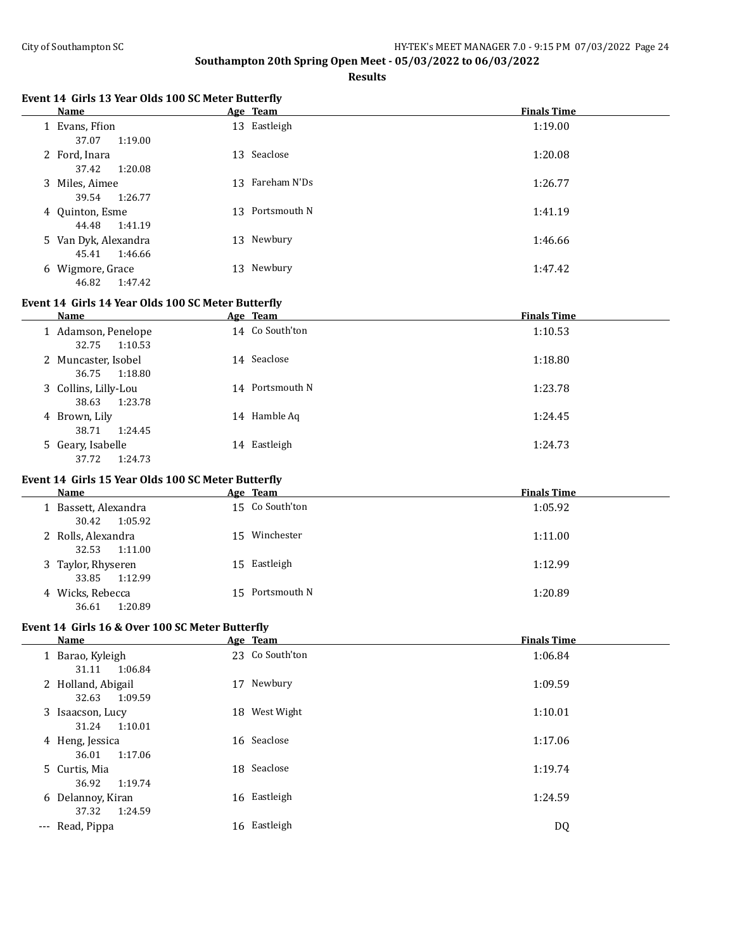**Results**

# **Event 14 Girls 13 Year Olds 100 SC Meter Butterfly**

| Name                                     | Age Team           | <b>Finals Time</b> |
|------------------------------------------|--------------------|--------------------|
| 1 Evans, Ffion<br>37.07<br>1:19.00       | 13 Eastleigh       | 1:19.00            |
| 2 Ford, Inara<br>37.42<br>1:20.08        | 13 Seaclose        | 1:20.08            |
| 3 Miles, Aimee<br>1:26.77<br>39.54       | Fareham N'Ds<br>13 | 1:26.77            |
| 4 Quinton, Esme<br>1:41.19<br>44.48      | 13 Portsmouth N    | 1:41.19            |
| 5 Van Dyk, Alexandra<br>1:46.66<br>45.41 | 13 Newbury         | 1:46.66            |
| 6 Wigmore, Grace<br>1:47.42<br>46.82     | 13 Newbury         | 1:47.42            |

#### **Event 14 Girls 14 Year Olds 100 SC Meter Butterfly**

| Name                                     | Age Team        | <b>Finals Time</b> |
|------------------------------------------|-----------------|--------------------|
| 1 Adamson, Penelope<br>1:10.53<br>32.75  | 14 Co South'ton | 1:10.53            |
| 2 Muncaster, Isobel<br>1:18.80<br>36.75  | 14 Seaclose     | 1:18.80            |
| 3 Collins, Lilly-Lou<br>1:23.78<br>38.63 | 14 Portsmouth N | 1:23.78            |
| 4 Brown, Lily<br>1:24.45<br>38.71        | 14 Hamble Aq    | 1:24.45            |
| 5 Geary, Isabelle<br>1:24.73<br>37.72    | Eastleigh<br>14 | 1:24.73            |

# **Event 14 Girls 15 Year Olds 100 SC Meter Butterfly**

| <b>Name</b>                              | Age Team        | <b>Finals Time</b> |
|------------------------------------------|-----------------|--------------------|
| 1 Bassett, Alexandra<br>1:05.92<br>30.42 | 15 Co South'ton | 1:05.92            |
| 2 Rolls, Alexandra<br>1:11.00<br>32.53   | 15 Winchester   | 1:11.00            |
| 3 Taylor, Rhyseren<br>33.85 1:12.99      | 15 Eastleigh    | 1:12.99            |
| 4 Wicks, Rebecca<br>1:20.89<br>36.61     | 15 Portsmouth N | 1:20.89            |

# **Event 14 Girls 16 & Over 100 SC Meter Butterfly**

|                     | Name                                   |    | Age Team        | <b>Finals Time</b> |
|---------------------|----------------------------------------|----|-----------------|--------------------|
|                     | 1 Barao, Kyleigh<br>1:06.84<br>31.11   |    | 23 Co South'ton | 1:06.84            |
|                     | 2 Holland, Abigail<br>32.63<br>1:09.59 | 17 | Newbury         | 1:09.59            |
|                     | 3 Isaacson, Lucy<br>1:10.01<br>31.24   |    | 18 West Wight   | 1:10.01            |
|                     | 4 Heng, Jessica<br>1:17.06<br>36.01    |    | 16 Seaclose     | 1:17.06            |
|                     | 5 Curtis, Mia<br>1:19.74<br>36.92      |    | 18 Seaclose     | 1:19.74            |
|                     | 6 Delannoy, Kiran<br>1:24.59<br>37.32  |    | 16 Eastleigh    | 1:24.59            |
| $\qquad \qquad - -$ | Read, Pippa                            |    | 16 Eastleigh    | DQ                 |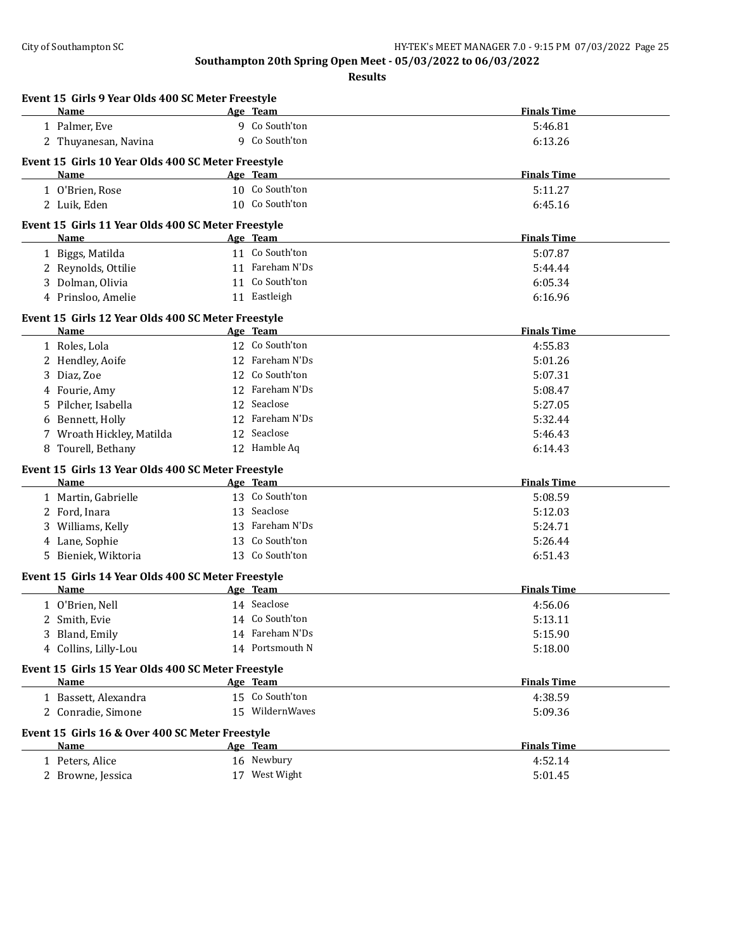|    | Event 15 Girls 9 Year Olds 400 SC Meter Freestyle<br>Name         | Age Team        | <b>Finals Time</b> |
|----|-------------------------------------------------------------------|-----------------|--------------------|
|    | 1 Palmer, Eve                                                     | 9 Co South'ton  | 5:46.81            |
|    | 2 Thuyanesan, Navina                                              | 9 Co South'ton  | 6:13.26            |
|    |                                                                   |                 |                    |
|    | Event 15 Girls 10 Year Olds 400 SC Meter Freestyle<br><b>Name</b> | Age Team        | <b>Finals Time</b> |
|    | 1 O'Brien, Rose                                                   | 10 Co South'ton | 5:11.27            |
|    | 2 Luik, Eden                                                      | 10 Co South'ton | 6:45.16            |
|    |                                                                   |                 |                    |
|    | Event 15 Girls 11 Year Olds 400 SC Meter Freestyle                |                 |                    |
|    | Name                                                              | Age Team        | <b>Finals Time</b> |
|    | 1 Biggs, Matilda                                                  | 11 Co South'ton | 5:07.87            |
|    | 2 Reynolds, Ottilie                                               | 11 Fareham N'Ds | 5:44.44            |
|    | 3 Dolman, Olivia                                                  | 11 Co South'ton | 6:05.34            |
|    | 4 Prinsloo, Amelie                                                | 11 Eastleigh    | 6:16.96            |
|    | Event 15 Girls 12 Year Olds 400 SC Meter Freestyle                |                 |                    |
|    | Name                                                              | Age Team        | <b>Finals Time</b> |
|    | 1 Roles, Lola                                                     | 12 Co South'ton | 4:55.83            |
|    | 2 Hendley, Aoife                                                  | 12 Fareham N'Ds | 5:01.26            |
|    | 3 Diaz, Zoe                                                       | 12 Co South'ton | 5:07.31            |
|    | 4 Fourie, Amy                                                     | 12 Fareham N'Ds | 5:08.47            |
| 5. | Pilcher, Isabella                                                 | 12 Seaclose     | 5:27.05            |
| 6  | Bennett, Holly                                                    | 12 Fareham N'Ds | 5:32.44            |
|    | 7 Wroath Hickley, Matilda                                         | 12 Seaclose     | 5:46.43            |
| 8  | Tourell, Bethany                                                  | 12 Hamble Aq    | 6:14.43            |
|    | Event 15 Girls 13 Year Olds 400 SC Meter Freestyle                |                 |                    |
|    | <b>Name</b>                                                       | Age Team        | <b>Finals Time</b> |
|    | 1 Martin, Gabrielle                                               | 13 Co South'ton | 5:08.59            |
|    | 2 Ford, Inara                                                     | 13 Seaclose     | 5:12.03            |
|    | 3 Williams, Kelly                                                 | 13 Fareham N'Ds | 5:24.71            |
|    | 4 Lane, Sophie                                                    | 13 Co South'ton | 5:26.44            |
|    | 5 Bieniek, Wiktoria                                               | 13 Co South'ton | 6:51.43            |
|    |                                                                   |                 |                    |
|    | Event 15 Girls 14 Year Olds 400 SC Meter Freestyle<br>Name        | Age Team        | <b>Finals Time</b> |
|    | 1 O'Brien, Nell                                                   | 14 Seaclose     | 4:56.06            |
|    | 2 Smith, Evie                                                     | 14 Co South'ton | 5:13.11            |
|    |                                                                   | 14 Fareham N'Ds | 5:15.90            |
|    | 3 Bland, Emily<br>4 Collins, Lilly-Lou                            | 14 Portsmouth N |                    |
|    |                                                                   |                 | 5:18.00            |
|    | Event 15 Girls 15 Year Olds 400 SC Meter Freestyle                |                 |                    |
|    | <b>Name</b>                                                       | Age Team        | <b>Finals Time</b> |
|    | 1 Bassett, Alexandra                                              | 15 Co South'ton | 4:38.59            |
|    | 2 Conradie, Simone                                                | 15 WildernWaves | 5:09.36            |
|    | Event 15 Girls 16 & Over 400 SC Meter Freestyle                   |                 |                    |
|    |                                                                   | Age Team        | <b>Finals Time</b> |
|    | Name                                                              |                 |                    |
|    | 1 Peters, Alice                                                   | 16 Newbury      | 4:52.14            |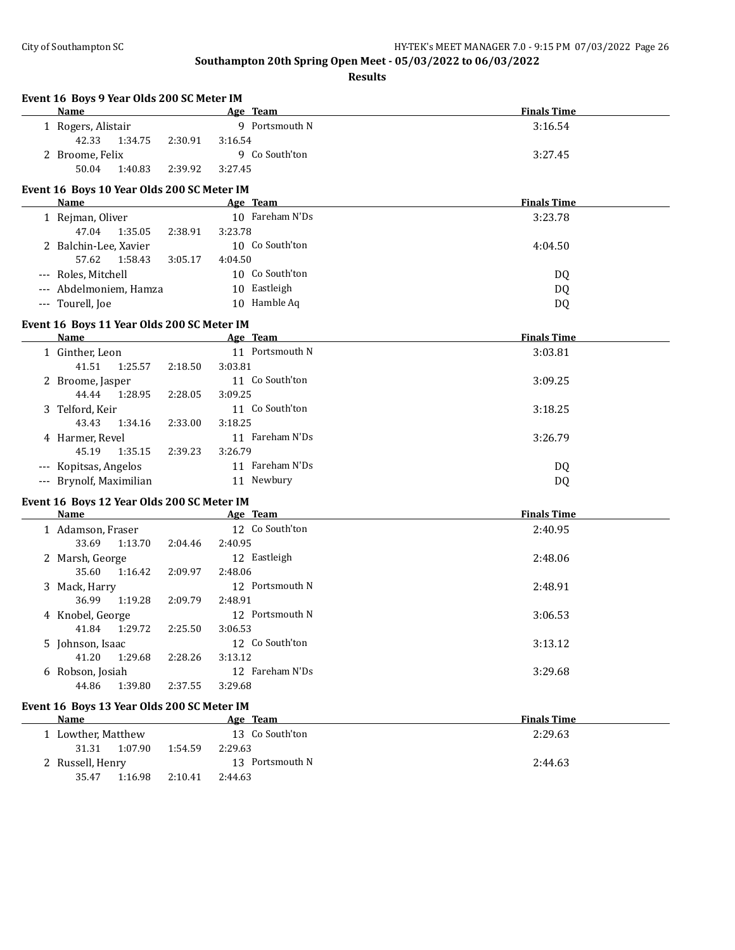**Event 16 Boys 9 Year Olds 200 SC Meter IM**

# **Southampton 20th Spring Open Meet - 05/03/2022 to 06/03/2022**

**Results**

**n Age Team Finals Time** 

| 1 Rogers, Alistair                                        |         | 9 Portsmouth N  | 3:16.54            |
|-----------------------------------------------------------|---------|-----------------|--------------------|
| 42.33<br>1:34.75                                          | 2:30.91 | 3:16.54         |                    |
| 2 Broome, Felix                                           |         | 9 Co South'ton  | 3:27.45            |
| 50.04<br>1:40.83                                          | 2:39.92 | 3:27.45         |                    |
|                                                           |         |                 |                    |
| Event 16 Boys 10 Year Olds 200 SC Meter IM<br>Name        |         | Age Team        | <b>Finals Time</b> |
|                                                           |         | 10 Fareham N'Ds | 3:23.78            |
| 1 Rejman, Oliver<br>47.04<br>1:35.05                      | 2:38.91 | 3:23.78         |                    |
|                                                           |         | 10 Co South'ton |                    |
| 2 Balchin-Lee, Xavier<br>57.62<br>1:58.43                 |         | 4:04.50         | 4:04.50            |
|                                                           | 3:05.17 | 10 Co South'ton |                    |
| --- Roles, Mitchell                                       |         |                 | DQ                 |
| --- Abdelmoniem, Hamza                                    |         | 10 Eastleigh    | DQ                 |
| --- Tourell, Joe                                          |         | 10 Hamble Aq    | DQ                 |
| Event 16 Boys 11 Year Olds 200 SC Meter IM                |         |                 |                    |
| Name                                                      |         | Age Team        | <b>Finals Time</b> |
| 1 Ginther, Leon                                           |         | 11 Portsmouth N | 3:03.81            |
| 41.51<br>1:25.57                                          | 2:18.50 | 3:03.81         |                    |
| 2 Broome, Jasper                                          |         | 11 Co South'ton | 3:09.25            |
| 44.44<br>1:28.95                                          | 2:28.05 | 3:09.25         |                    |
| 3 Telford, Keir                                           |         | 11 Co South'ton | 3:18.25            |
| 43.43<br>1:34.16                                          | 2:33.00 | 3:18.25         |                    |
| 4 Harmer, Revel                                           |         | 11 Fareham N'Ds | 3:26.79            |
| 45.19<br>1:35.15                                          | 2:39.23 | 3:26.79         |                    |
| --- Kopitsas, Angelos                                     |         | 11 Fareham N'Ds | DQ                 |
| --- Brynolf, Maximilian                                   |         | 11 Newbury      | DQ                 |
|                                                           |         |                 |                    |
| Event 16 Boys 12 Year Olds 200 SC Meter IM<br><b>Name</b> |         | Age Team        | <b>Finals Time</b> |
| 1 Adamson, Fraser                                         |         | 12 Co South'ton | 2:40.95            |
| 33.69<br>1:13.70                                          | 2:04.46 | 2:40.95         |                    |
| 2 Marsh, George                                           |         | 12 Eastleigh    | 2:48.06            |
| 35.60<br>1:16.42                                          | 2:09.97 | 2:48.06         |                    |
|                                                           |         | 12 Portsmouth N | 2:48.91            |
| 3 Mack, Harry<br>36.99<br>1:19.28                         | 2:09.79 | 2:48.91         |                    |
| 4 Knobel, George                                          |         | 12 Portsmouth N | 3:06.53            |
| 41.84<br>1:29.72                                          | 2:25.50 | 3:06.53         |                    |
|                                                           |         | 12 Co South'ton | 3:13.12            |
| 5 Johnson, Isaac<br>41.20 1:29.68                         | 2:28.26 | 3:13.12         |                    |
|                                                           |         | 12 Fareham N'Ds | 3:29.68            |
| 6 Robson, Josiah<br>44.86<br>1:39.80                      | 2:37.55 | 3:29.68         |                    |
|                                                           |         |                 |                    |
| Event 16 Boys 13 Year Olds 200 SC Meter IM                |         |                 |                    |
| <b>Name</b>                                               |         | Age Team        | <b>Finals Time</b> |
| 1 Lowther, Matthew                                        |         | 13 Co South'ton | 2:29.63            |
| 31.31<br>1:07.90                                          | 1:54.59 | 2:29.63         |                    |
| 2 Russell, Henry                                          |         | 13 Portsmouth N | 2:44.63            |
| 1:16.98<br>35.47                                          | 2:10.41 | 2:44.63         |                    |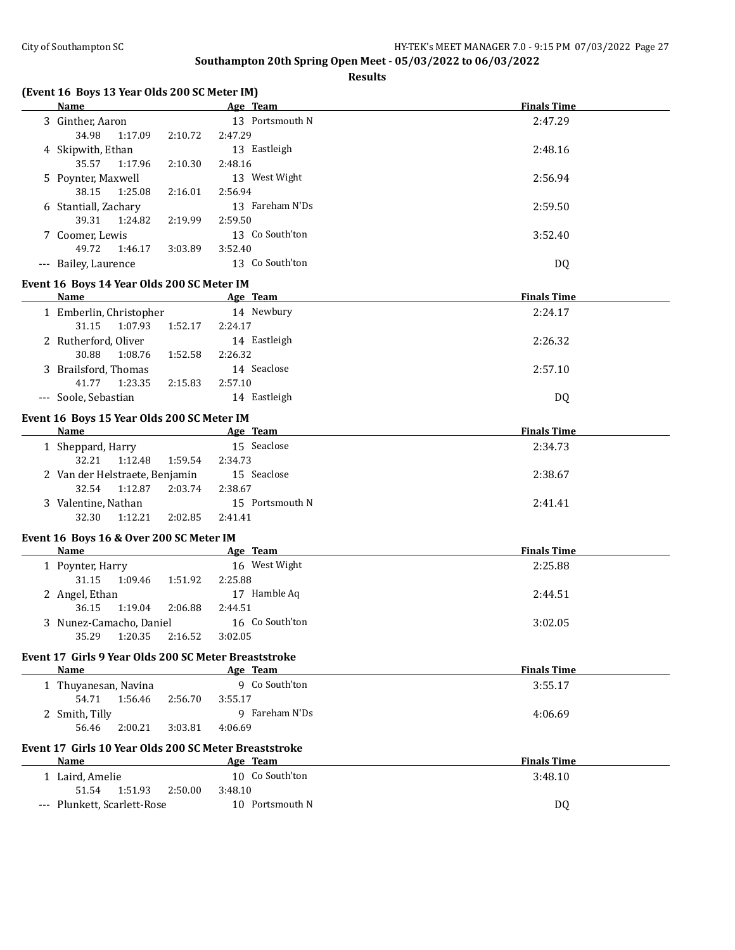**Finals Time** 

# **Southampton 20th Spring Open Meet - 05/03/2022 to 06/03/2022**

**Results**

|  | Name             |        |        |         | Age Team        |
|--|------------------|--------|--------|---------|-----------------|
|  | 3 Ginther, Aaron |        |        |         | 13 Portsmouth N |
|  | 34.QQ            | 1.1700 | 7.1077 | 7.17.29 |                 |

**(Event 16 Boys 13 Year Olds 200 SC Meter IM)**

| 3 Ginther, Aaron                                                           | 13 Portsmouth N | 2:47.29            |  |
|----------------------------------------------------------------------------|-----------------|--------------------|--|
| 34.98<br>1:17.09<br>2:10.72                                                | 2:47.29         |                    |  |
| 4 Skipwith, Ethan                                                          | 13 Eastleigh    | 2:48.16            |  |
| 35.57<br>1:17.96<br>2:10.30                                                | 2:48.16         |                    |  |
| 5 Poynter, Maxwell                                                         | 13 West Wight   | 2:56.94            |  |
| 38.15<br>1:25.08<br>2:16.01                                                | 2:56.94         |                    |  |
| 6 Stantiall, Zachary                                                       | 13 Fareham N'Ds | 2:59.50            |  |
| 39.31<br>1:24.82<br>2:19.99                                                | 2:59.50         |                    |  |
| 7 Coomer, Lewis                                                            | 13 Co South'ton | 3:52.40            |  |
| 49.72<br>3:03.89<br>1:46.17                                                | 3:52.40         |                    |  |
| --- Bailey, Laurence                                                       | 13 Co South'ton | DQ                 |  |
| Event 16 Boys 14 Year Olds 200 SC Meter IM                                 |                 |                    |  |
| <b>Name</b>                                                                | Age Team        | <b>Finals Time</b> |  |
| 1 Emberlin, Christopher                                                    | 14 Newbury      | 2:24.17            |  |
| 31.15<br>1:07.93<br>1:52.17                                                | 2:24.17         |                    |  |
| 2 Rutherford, Oliver                                                       | 14 Eastleigh    | 2:26.32            |  |
| 30.88<br>1:08.76<br>1:52.58                                                | 2:26.32         |                    |  |
| 3 Brailsford, Thomas                                                       | 14 Seaclose     | 2:57.10            |  |
| 41.77<br>1:23.35<br>2:15.83                                                | 2:57.10         |                    |  |
| --- Soole, Sebastian                                                       | 14 Eastleigh    | DQ                 |  |
|                                                                            |                 |                    |  |
| Event 16 Boys 15 Year Olds 200 SC Meter IM                                 |                 |                    |  |
| <b>Name</b><br>the control of the control of the control of the control of | Age Team        | <b>Finals Time</b> |  |
| 1 Sheppard, Harry                                                          | 15 Seaclose     | 2:34.73            |  |
| 32.21<br>1:12.48<br>1:59.54                                                | 2:34.73         |                    |  |
| 2 Van der Helstraete, Benjamin                                             | 15 Seaclose     | 2:38.67            |  |
| 32.54<br>2:03.74<br>1:12.87                                                | 2:38.67         |                    |  |
| 3 Valentine, Nathan                                                        | 15 Portsmouth N | 2:41.41            |  |
| 32.30<br>1:12.21<br>2:02.85                                                | 2:41.41         |                    |  |
| Event 16 Boys 16 & Over 200 SC Meter IM                                    |                 |                    |  |
| Name                                                                       | Age Team        | <b>Finals Time</b> |  |
| 1 Poynter, Harry                                                           | 16 West Wight   | 2:25.88            |  |
| 31.15<br>1:09.46<br>1:51.92                                                | 2:25.88         |                    |  |
| 2 Angel, Ethan                                                             | 17 Hamble Aq    | 2:44.51            |  |
| 36.15<br>1:19.04<br>2:06.88                                                | 2:44.51         |                    |  |
| 3 Nunez-Camacho, Daniel                                                    | 16 Co South'ton | 3:02.05            |  |
| 35.29<br>1:20.35<br>2:16.52                                                | 3:02.05         |                    |  |
| Event 17 Girls 9 Year Olds 200 SC Meter Breaststroke                       |                 |                    |  |
| Name                                                                       | Age Team        | <b>Finals Time</b> |  |
| 1 Thuyanesan, Navina                                                       | 9 Co South'ton  | 3:55.17            |  |
| 54.71<br>1:56.46<br>2:56.70                                                | 3:55.17         |                    |  |
| 2 Smith, Tilly                                                             | 9 Fareham N'Ds  | 4:06.69            |  |
| 56.46<br>2:00.21<br>3:03.81                                                | 4:06.69         |                    |  |
|                                                                            |                 |                    |  |
| Event 17 Girls 10 Year Olds 200 SC Meter Breaststroke<br>Name              | Age Team        | <b>Finals Time</b> |  |
| 1 Laird, Amelie                                                            | 10 Co South'ton | 3:48.10            |  |
| 51.54<br>1:51.93<br>2:50.00                                                | 3:48.10         |                    |  |
| --- Plunkett, Scarlett-Rose                                                | 10 Portsmouth N | <b>DQ</b>          |  |
|                                                                            |                 |                    |  |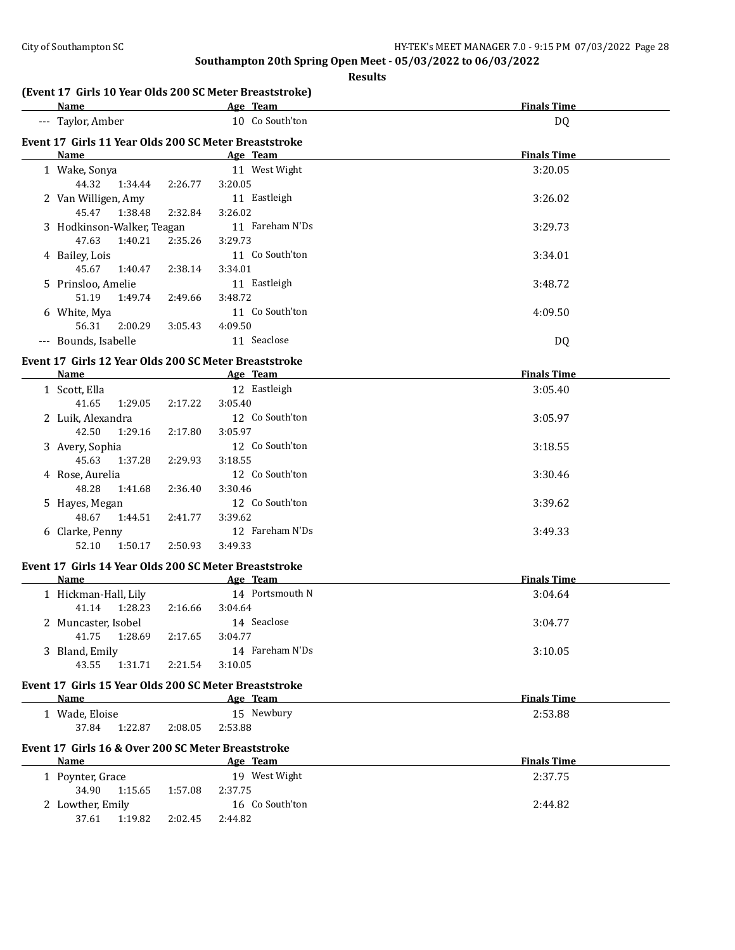| Name                                                                                                                                                                                                                           |         | Age Team               | <b>Finals Time</b> |
|--------------------------------------------------------------------------------------------------------------------------------------------------------------------------------------------------------------------------------|---------|------------------------|--------------------|
| --- Taylor, Amber                                                                                                                                                                                                              |         | 10 Co South'ton        | <b>DQ</b>          |
| Event 17 Girls 11 Year Olds 200 SC Meter Breaststroke                                                                                                                                                                          |         |                        |                    |
| Name and the state of the state of the state of the state of the state of the state of the state of the state of the state of the state of the state of the state of the state of the state of the state of the state of the s |         | Age Team               | <b>Finals Time</b> |
| 1 Wake, Sonya                                                                                                                                                                                                                  |         | 11 West Wight          | 3:20.05            |
| 44.32 1:34.44                                                                                                                                                                                                                  | 2:26.77 | 3:20.05                |                    |
| 2 Van Willigen, Amy                                                                                                                                                                                                            |         | 11 Eastleigh           | 3:26.02            |
| 1:38.48<br>45.47                                                                                                                                                                                                               | 2:32.84 | 3:26.02                |                    |
| 3 Hodkinson-Walker, Teagan                                                                                                                                                                                                     |         | 11 Fareham N'Ds        | 3:29.73            |
| 47.63<br>1:40.21                                                                                                                                                                                                               | 2:35.26 | 3:29.73                |                    |
| 4 Bailey, Lois                                                                                                                                                                                                                 |         | 11 Co South'ton        | 3:34.01            |
| 45.67<br>1:40.47                                                                                                                                                                                                               | 2:38.14 | 3:34.01                |                    |
| 5 Prinsloo, Amelie                                                                                                                                                                                                             |         | 11 Eastleigh           | 3:48.72            |
| 51.19<br>1:49.74                                                                                                                                                                                                               | 2:49.66 | 3:48.72                |                    |
| 6 White, Mya                                                                                                                                                                                                                   |         | 11 Co South'ton        | 4:09.50            |
| 56.31<br>2:00.29                                                                                                                                                                                                               | 3:05.43 | 4:09.50                |                    |
| --- Bounds, Isabelle                                                                                                                                                                                                           |         | 11 Seaclose            | <b>DQ</b>          |
| Event 17 Girls 12 Year Olds 200 SC Meter Breaststroke                                                                                                                                                                          |         |                        |                    |
| Name                                                                                                                                                                                                                           |         | Age Team               | <b>Finals Time</b> |
| 1 Scott, Ella                                                                                                                                                                                                                  |         | 12 Eastleigh           | 3:05.40            |
| 41.65<br>1:29.05                                                                                                                                                                                                               | 2:17.22 | 3:05.40                |                    |
| 2 Luik, Alexandra                                                                                                                                                                                                              |         | 12 Co South'ton        | 3:05.97            |
| 42.50<br>1:29.16                                                                                                                                                                                                               | 2:17.80 | 3:05.97                |                    |
| 3 Avery, Sophia                                                                                                                                                                                                                |         | 12 Co South'ton        | 3:18.55            |
| 45.63<br>1:37.28                                                                                                                                                                                                               | 2:29.93 | 3:18.55                |                    |
| 4 Rose, Aurelia                                                                                                                                                                                                                |         | 12 Co South'ton        | 3:30.46            |
| 48.28<br>1:41.68                                                                                                                                                                                                               | 2:36.40 | 3:30.46                |                    |
| 5 Hayes, Megan                                                                                                                                                                                                                 |         | 12 Co South'ton        | 3:39.62            |
| 48.67<br>1:44.51                                                                                                                                                                                                               | 2:41.77 | 3:39.62                |                    |
| 6 Clarke, Penny                                                                                                                                                                                                                |         | 12 Fareham N'Ds        | 3:49.33            |
| 52.10<br>1:50.17                                                                                                                                                                                                               | 2:50.93 | 3:49.33                |                    |
|                                                                                                                                                                                                                                |         |                        |                    |
| Event 17 Girls 14 Year Olds 200 SC Meter Breaststroke<br>Name                                                                                                                                                                  |         | Age Team               | <b>Finals Time</b> |
|                                                                                                                                                                                                                                |         | 14 Portsmouth N        | 3:04.64            |
| 1 Hickman-Hall, Lily<br>1:28.23                                                                                                                                                                                                |         |                        |                    |
| 41.14                                                                                                                                                                                                                          | 2:16.66 | 3:04.64<br>14 Seaclose | 3:04.77            |
| 2 Muncaster, Isobel<br>41.75<br>1:28.69                                                                                                                                                                                        | 2:17.65 | 3:04.77                |                    |
| 3 Bland, Emily                                                                                                                                                                                                                 |         | 14 Fareham N'Ds        | 3:10.05            |
| 43.55<br>1:31.71                                                                                                                                                                                                               | 2:21.54 | 3:10.05                |                    |
|                                                                                                                                                                                                                                |         |                        |                    |
| Event 17 Girls 15 Year Olds 200 SC Meter Breaststroke                                                                                                                                                                          |         |                        |                    |
| <b>Name</b>                                                                                                                                                                                                                    |         | Age Team               | <b>Finals Time</b> |
| 1 Wade, Eloise                                                                                                                                                                                                                 |         | 15 Newbury             | 2:53.88            |
| 37.84<br>1:22.87                                                                                                                                                                                                               | 2:08.05 | 2:53.88                |                    |
| Event 17 Girls 16 & Over 200 SC Meter Breaststroke                                                                                                                                                                             |         |                        |                    |
| Name                                                                                                                                                                                                                           |         | Age Team               | <b>Finals Time</b> |
| 1 Poynter, Grace                                                                                                                                                                                                               |         | 19 West Wight          | 2:37.75            |
|                                                                                                                                                                                                                                |         |                        |                    |
| 34.90<br>1:15.65                                                                                                                                                                                                               | 1:57.08 | 2:37.75                |                    |
| 2 Lowther, Emily                                                                                                                                                                                                               |         | 16 Co South'ton        | 2:44.82            |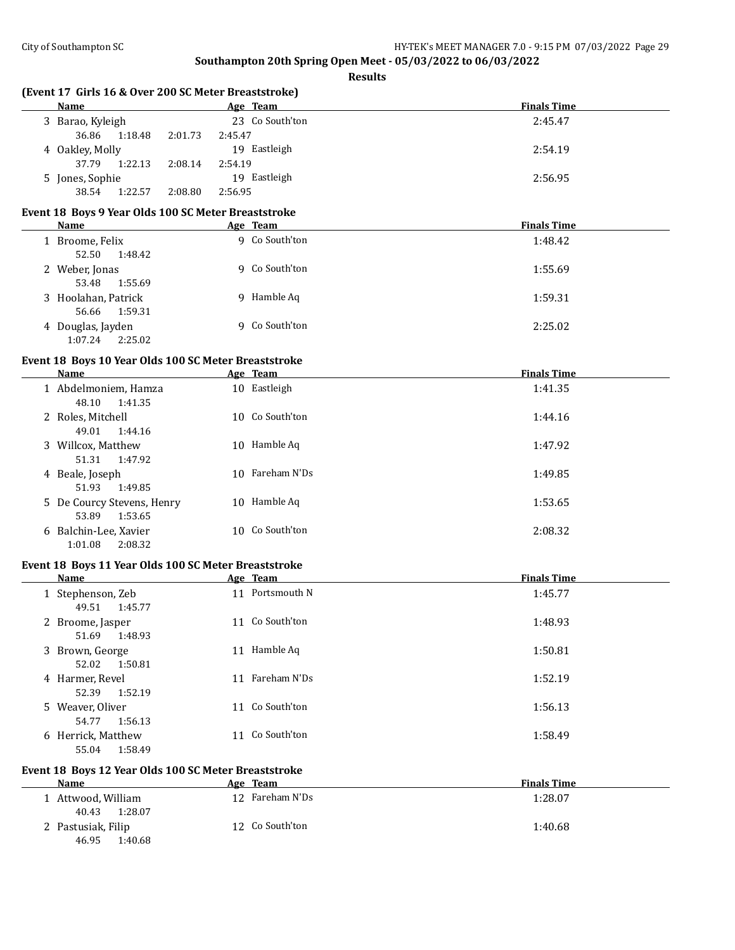**Results**

| (Event 17 Girls 16 & Over 200 SC Meter Breaststroke) |         |                 |                    |
|------------------------------------------------------|---------|-----------------|--------------------|
| <b>Name</b>                                          |         | Age Team        | <b>Finals Time</b> |
| 3 Barao, Kyleigh                                     |         | 23 Co South'ton | 2:45.47            |
| 36.86<br>1:18.48<br>2:01.73                          | 2:45.47 |                 |                    |
| 4 Oakley, Molly                                      |         | 19 Eastleigh    | 2:54.19            |
| 37.79<br>1:22.13<br>2:08.14                          | 2:54.19 |                 |                    |
| 5 Jones, Sophie                                      |         | 19 Eastleigh    | 2:56.95            |
| 38.54<br>1:22.57<br>2:08.80                          | 2:56.95 |                 |                    |
| Event 18 Boys 9 Year Olds 100 SC Meter Breaststroke  |         |                 |                    |
| Name                                                 |         | Age Team        | <b>Finals Time</b> |
| 1 Broome, Felix                                      |         | 9 Co South'ton  | 1:48.42            |
| 52.50<br>1:48.42                                     |         |                 |                    |
| 2 Weber, Jonas                                       |         | 9 Co South'ton  | 1:55.69            |
| 53.48<br>1:55.69                                     |         |                 |                    |
| 3 Hoolahan, Patrick                                  |         | 9 Hamble Aq     | 1:59.31            |
| 56.66<br>1:59.31                                     |         |                 |                    |
| 4 Douglas, Jayden                                    |         | 9 Co South'ton  | 2:25.02            |
| 1:07.24<br>2:25.02                                   |         |                 |                    |
|                                                      |         |                 |                    |
| Event 18 Boys 10 Year Olds 100 SC Meter Breaststroke |         |                 |                    |
| Name                                                 |         | Age Team        | <b>Finals Time</b> |
| 1 Abdelmoniem, Hamza                                 |         | 10 Eastleigh    | 1:41.35            |
| 48.10<br>1:41.35                                     |         |                 |                    |
| 2 Roles, Mitchell                                    |         | 10 Co South'ton | 1:44.16            |
| 49.01<br>1:44.16                                     |         |                 |                    |
| 3 Willcox, Matthew                                   |         | 10 Hamble Aq    | 1:47.92            |
| 51.31<br>1:47.92                                     |         |                 |                    |
| 4 Beale, Joseph                                      |         | 10 Fareham N'Ds | 1:49.85            |
| 51.93<br>1:49.85                                     |         |                 |                    |
| 5 De Courcy Stevens, Henry                           |         | 10 Hamble Aq    | 1:53.65            |
| 53.89<br>1:53.65                                     |         |                 |                    |
| 6 Balchin-Lee, Xavier                                |         | 10 Co South'ton | 2:08.32            |
| 1:01.08<br>2:08.32                                   |         |                 |                    |
| Event 18 Boys 11 Year Olds 100 SC Meter Breaststroke |         |                 |                    |
| <b>Name</b>                                          |         | Age Team        | <b>Finals Time</b> |
| 1 Stephenson, Zeb                                    |         | 11 Portsmouth N | 1:45.77            |
| 49.51<br>1:45.77                                     |         |                 |                    |
| 2 Broome, Jasper                                     |         | 11 Co South'ton | 1:48.93            |
| 51.69<br>1:48.93                                     |         |                 |                    |
| 3 Brown, George                                      |         | 11 Hamble Aq    | 1:50.81            |
| 52.02<br>1:50.81                                     |         |                 |                    |
| 4 Harmer, Revel                                      |         | 11 Fareham N'Ds | 1:52.19            |
| 52.39<br>1:52.19                                     |         |                 |                    |
| 5 Weaver, Oliver                                     |         | 11 Co South'ton | 1:56.13            |
| 54.77<br>1:56.13                                     |         |                 |                    |
| 6 Herrick, Matthew                                   |         | 11 Co South'ton | 1:58.49            |
| 55.04<br>1:58.49                                     |         |                 |                    |
|                                                      |         |                 |                    |

# **Event 18 Boys 12 Year Olds 100 SC Meter Breaststroke**

| Name                                   | Age Team            | <b>Finals Time</b> |
|----------------------------------------|---------------------|--------------------|
| 1 Attwood, William<br>1:28.07<br>40.43 | Fareham N'Ds<br>12. | 1:28.07            |
| 2 Pastusiak, Filip<br>46.95<br>1:40.68 | 12 Co South'ton     | 1:40.68            |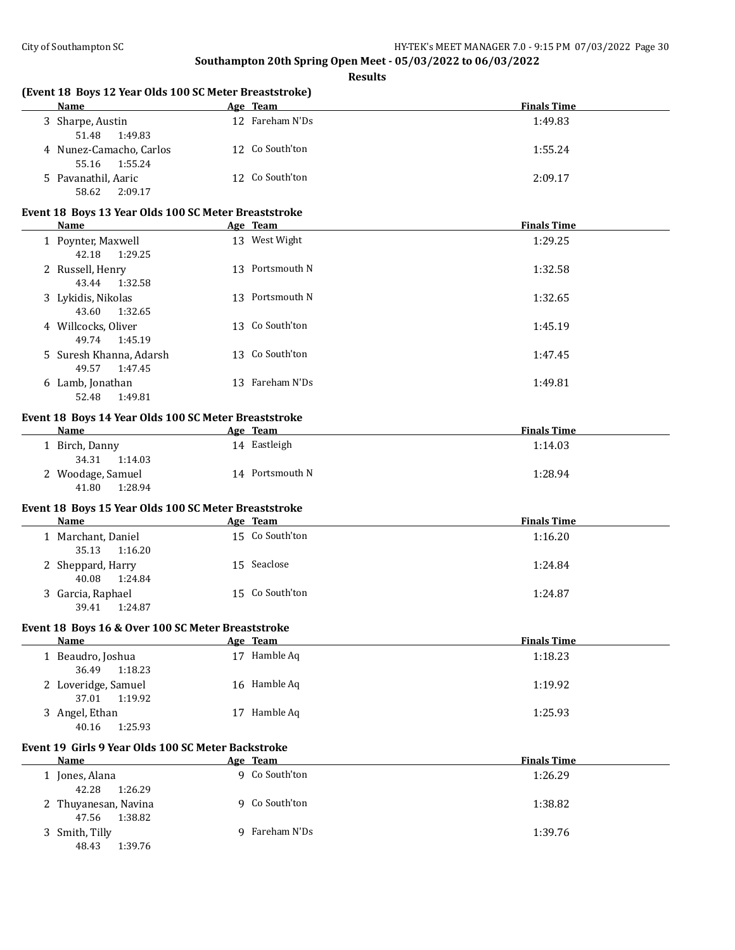|   | (Event 18 Boys 12 Year Olds 100 SC Meter Breaststroke)<br><b>Name</b> | Age Team        | <b>Finals Time</b> |
|---|-----------------------------------------------------------------------|-----------------|--------------------|
|   | 3 Sharpe, Austin<br>51.48<br>1:49.83                                  | 12 Fareham N'Ds | 1:49.83            |
|   | 4 Nunez-Camacho, Carlos<br>55.16<br>1:55.24                           | 12 Co South'ton | 1:55.24            |
|   | 5 Pavanathil, Aaric<br>58.62<br>2:09.17                               | 12 Co South'ton | 2:09.17            |
|   | Event 18 Boys 13 Year Olds 100 SC Meter Breaststroke                  |                 |                    |
|   | Name                                                                  | Age Team        | <b>Finals Time</b> |
|   | 1 Poynter, Maxwell<br>42.18<br>1:29.25                                | 13 West Wight   | 1:29.25            |
|   | 2 Russell, Henry<br>43.44<br>1:32.58                                  | 13 Portsmouth N | 1:32.58            |
|   | 3 Lykidis, Nikolas<br>43.60<br>1:32.65                                | 13 Portsmouth N | 1:32.65            |
|   | 4 Willcocks, Oliver<br>49.74<br>1:45.19                               | 13 Co South'ton | 1:45.19            |
|   | 5 Suresh Khanna, Adarsh<br>49.57<br>1:47.45                           | 13 Co South'ton | 1:47.45            |
|   | 6 Lamb, Jonathan<br>52.48<br>1:49.81                                  | 13 Fareham N'Ds | 1:49.81            |
|   | Event 18 Boys 14 Year Olds 100 SC Meter Breaststroke                  |                 |                    |
|   | <b>Name</b>                                                           | Age Team        | <b>Finals Time</b> |
|   | 1 Birch, Danny<br>34.31<br>1:14.03                                    | 14 Eastleigh    | 1:14.03            |
|   | 2 Woodage, Samuel<br>41.80<br>1:28.94                                 | 14 Portsmouth N | 1:28.94            |
|   | Event 18 Boys 15 Year Olds 100 SC Meter Breaststroke                  |                 |                    |
|   | Name                                                                  | Age Team        | <b>Finals Time</b> |
|   | 1 Marchant, Daniel<br>35.13<br>1:16.20                                | 15 Co South'ton | 1:16.20            |
|   | 2 Sheppard, Harry<br>40.08<br>1:24.84                                 | 15 Seaclose     | 1:24.84            |
|   | 3 Garcia, Raphael<br>39.41<br>1:24.87                                 | 15 Co South'ton | 1:24.87            |
|   | Event 18 Boys 16 & Over 100 SC Meter Breaststroke                     |                 |                    |
|   | Name                                                                  | Age Team        | <b>Finals Time</b> |
|   | 1 Beaudro, Joshua<br>36.49<br>1:18.23                                 | 17 Hamble Aq    | 1:18.23            |
|   | 2 Loveridge, Samuel<br>37.01<br>1:19.92                               | 16 Hamble Aq    | 1:19.92            |
|   | 3 Angel, Ethan<br>40.16<br>1:25.93                                    | 17 Hamble Aq    | 1:25.93            |
|   | Event 19 Girls 9 Year Olds 100 SC Meter Backstroke                    |                 |                    |
|   | Name                                                                  | Age Team        | <b>Finals Time</b> |
|   | 1 Jones, Alana<br>42.28<br>1:26.29                                    | 9 Co South'ton  | 1:26.29            |
| 2 | Thuyanesan, Navina<br>47.56<br>1:38.82                                | 9 Co South'ton  | 1:38.82            |
| 3 | Smith, Tilly<br>48.43<br>1:39.76                                      | 9 Fareham N'Ds  | 1:39.76            |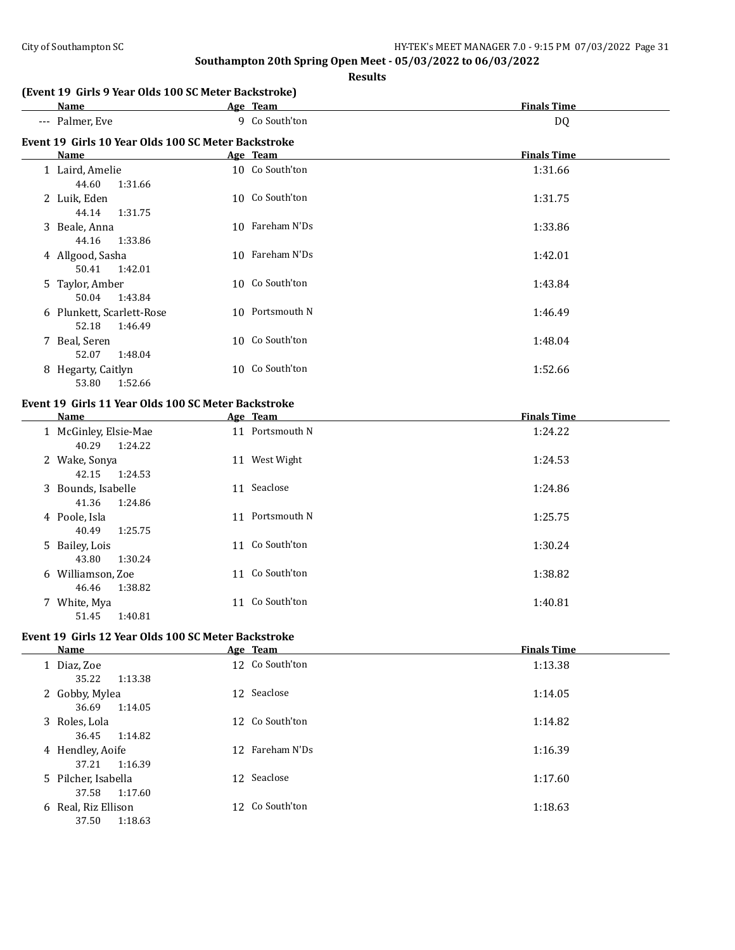#### **Results**

# **(Event 19 Girls 9 Year Olds 100 SC Meter Backstroke)**

| Name                                                | Age Team        | <b>Finals Time</b> |
|-----------------------------------------------------|-----------------|--------------------|
| --- Palmer, Eve                                     | 9 Co South'ton  | DQ                 |
| Event 19 Girls 10 Year Olds 100 SC Meter Backstroke |                 |                    |
| <b>Name</b>                                         | Age Team        | <b>Finals Time</b> |
| 1 Laird, Amelie<br>44.60<br>1:31.66                 | 10 Co South'ton | 1:31.66            |
| 2 Luik, Eden<br>44.14<br>1:31.75                    | 10 Co South'ton | 1:31.75            |
| 3 Beale, Anna<br>44.16<br>1:33.86                   | 10 Fareham N'Ds | 1:33.86            |
| 4 Allgood, Sasha<br>1:42.01<br>50.41                | 10 Fareham N'Ds | 1:42.01            |
| 5 Taylor, Amber<br>1:43.84<br>50.04                 | 10 Co South'ton | 1:43.84            |
| 6 Plunkett, Scarlett-Rose<br>52.18<br>1:46.49       | 10 Portsmouth N | 1:46.49            |
| 7 Beal, Seren<br>52.07<br>1:48.04                   | 10 Co South'ton | 1:48.04            |
| 8 Hegarty, Caitlyn<br>53.80<br>1:52.66              | 10 Co South'ton | 1:52.66            |

# **Event 19 Girls 11 Year Olds 100 SC Meter Backstroke**

| Name                                      | Age Team           | <b>Finals Time</b> |
|-------------------------------------------|--------------------|--------------------|
| 1 McGinley, Elsie-Mae<br>1:24.22<br>40.29 | 11 Portsmouth N    | 1:24.22            |
| 2 Wake, Sonya<br>1:24.53<br>42.15         | West Wight<br>11   | 1:24.53            |
| 3 Bounds, Isabelle<br>41.36<br>1:24.86    | Seaclose<br>11     | 1:24.86            |
| 4 Poole, Isla<br>40.49<br>1:25.75         | Portsmouth N<br>11 | 1:25.75            |
| 5 Bailey, Lois<br>1:30.24<br>43.80        | 11 Co South'ton    | 1:30.24            |
| 6 Williamson, Zoe<br>1:38.82<br>46.46     | Co South'ton<br>11 | 1:38.82            |
| 7 White, Mya<br>1:40.81<br>51.45          | Co South'ton<br>11 | 1:40.81            |

# **Event 19 Girls 12 Year Olds 100 SC Meter Backstroke**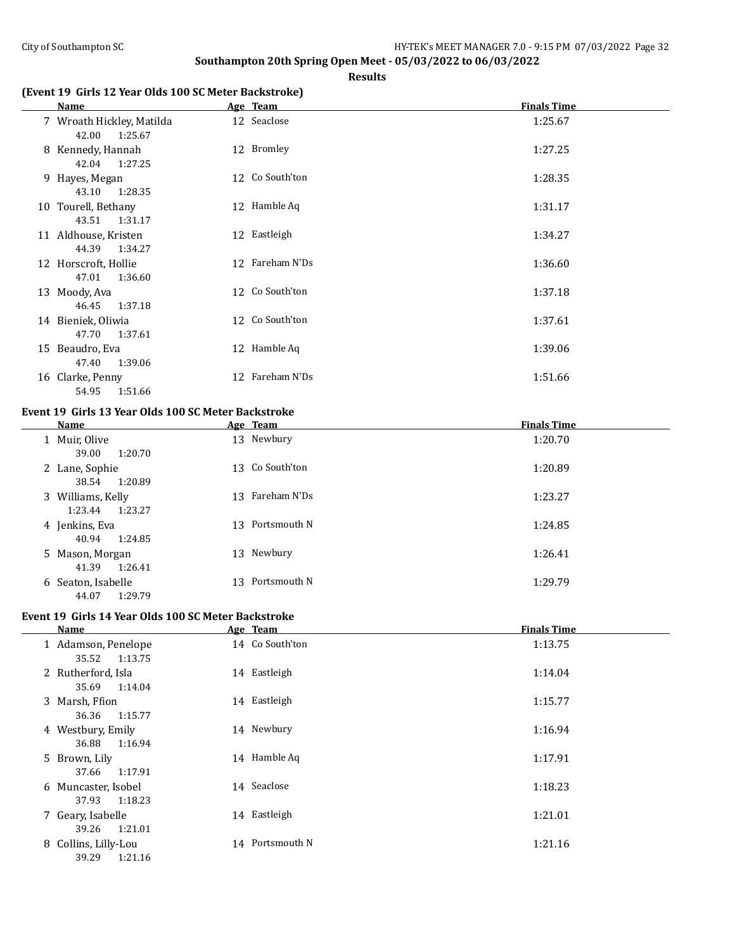**Results**

# **(Event 19 Girls 12 Year Olds 100 SC Meter Backstroke)**

| Name                                          | Age Team        | <b>Finals Time</b> |
|-----------------------------------------------|-----------------|--------------------|
| 7 Wroath Hickley, Matilda<br>42.00<br>1:25.67 | 12 Seaclose     | 1:25.67            |
| 8 Kennedy, Hannah<br>1:27.25<br>42.04         | 12 Bromley      | 1:27.25            |
| 9 Hayes, Megan<br>43.10 1:28.35               | 12 Co South'ton | 1:28.35            |
| 10 Tourell, Bethany<br>43.51<br>1:31.17       | 12 Hamble Aq    | 1:31.17            |
| 11 Aldhouse, Kristen<br>44.39 1:34.27         | 12 Eastleigh    | 1:34.27            |
| 12 Horscroft, Hollie<br>1:36.60<br>47.01      | 12 Fareham N'Ds | 1:36.60            |
| 13 Moody, Ava<br>46.45<br>1:37.18             | 12 Co South'ton | 1:37.18            |
| 14 Bieniek, Oliwia<br>47.70<br>1:37.61        | 12 Co South'ton | 1:37.61            |
| 15 Beaudro, Eva<br>47.40<br>1:39.06           | 12 Hamble Aq    | 1:39.06            |
| 16 Clarke, Penny<br>54.95<br>1:51.66          | 12 Fareham N'Ds | 1:51.66            |

#### **Event 19 Girls 13 Year Olds 100 SC Meter Backstroke**

| Name                                    | Age Team        | <b>Finals Time</b> |
|-----------------------------------------|-----------------|--------------------|
| 1 Muir, Olive<br>39.00<br>1:20.70       | 13 Newbury      | 1:20.70            |
| 2 Lane, Sophie<br>1:20.89<br>38.54      | 13 Co South'ton | 1:20.89            |
| 3 Williams, Kelly<br>1:23.27<br>1:23.44 | 13 Fareham N'Ds | 1:23.27            |
| 4 Jenkins, Eva<br>1:24.85<br>40.94      | 13 Portsmouth N | 1:24.85            |
| 5 Mason, Morgan<br>41.39<br>1:26.41     | 13 Newbury      | 1:26.41            |
| 6 Seaton, Isabelle<br>1:29.79<br>44.07  | 13 Portsmouth N | 1:29.79            |

# **Event 19 Girls 14 Year Olds 100 SC Meter Backstroke**

 $\overline{a}$ 

| Name                                     | Age Team        | <b>Finals Time</b> |
|------------------------------------------|-----------------|--------------------|
| 1 Adamson, Penelope<br>35.52<br>1:13.75  | 14 Co South'ton | 1:13.75            |
| 2 Rutherford, Isla<br>35.69<br>1:14.04   | 14 Eastleigh    | 1:14.04            |
| 3 Marsh, Ffion<br>36.36<br>1:15.77       | 14 Eastleigh    | 1:15.77            |
| 4 Westbury, Emily<br>1:16.94<br>36.88    | 14 Newbury      | 1:16.94            |
| 5 Brown, Lily<br>1:17.91<br>37.66        | 14 Hamble Aq    | 1:17.91            |
| 6 Muncaster, Isobel<br>1:18.23<br>37.93  | 14 Seaclose     | 1:18.23            |
| 7 Geary, Isabelle<br>1:21.01<br>39.26    | 14 Eastleigh    | 1:21.01            |
| 8 Collins, Lilly-Lou<br>39.29<br>1:21.16 | 14 Portsmouth N | 1:21.16            |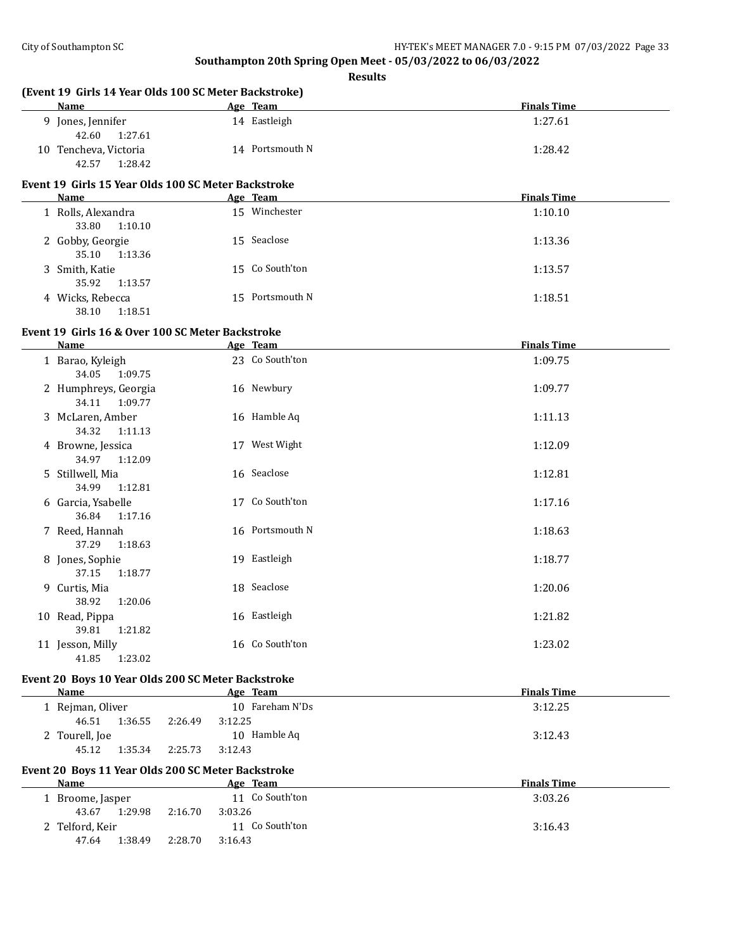| Name                                                        |                    | Age Team        | <b>Finals Time</b> |
|-------------------------------------------------------------|--------------------|-----------------|--------------------|
| 9 Jones, Jennifer<br>42.60<br>1:27.61                       |                    | 14 Eastleigh    | 1:27.61            |
| 10 Tencheva, Victoria<br>42.57<br>1:28.42                   |                    | 14 Portsmouth N | 1:28.42            |
| Event 19 Girls 15 Year Olds 100 SC Meter Backstroke<br>Name |                    | Age Team        | <b>Finals Time</b> |
|                                                             |                    | 15 Winchester   |                    |
| 1 Rolls, Alexandra<br>33.80<br>1:10.10                      |                    |                 | 1:10.10            |
| 2 Gobby, Georgie<br>35.10<br>1:13.36                        |                    | 15 Seaclose     | 1:13.36            |
| 3 Smith, Katie<br>35.92<br>1:13.57                          |                    | 15 Co South'ton | 1:13.57            |
| 4 Wicks, Rebecca<br>1:18.51<br>38.10                        |                    | 15 Portsmouth N | 1:18.51            |
| Event 19 Girls 16 & Over 100 SC Meter Backstroke            |                    |                 |                    |
| Name                                                        |                    | Age Team        | <b>Finals Time</b> |
| 1 Barao, Kyleigh<br>34.05<br>1:09.75                        |                    | 23 Co South'ton | 1:09.75            |
| 2 Humphreys, Georgia<br>34.11<br>1:09.77                    |                    | 16 Newbury      | 1:09.77            |
| 3 McLaren, Amber<br>34.32<br>1:11.13                        |                    | 16 Hamble Aq    | 1:11.13            |
| 4 Browne, Jessica<br>34.97<br>1:12.09                       |                    | 17 West Wight   | 1:12.09            |
| 5 Stillwell, Mia<br>34.99<br>1:12.81                        |                    | 16 Seaclose     | 1:12.81            |
| 6 Garcia, Ysabelle<br>36.84<br>1:17.16                      |                    | 17 Co South'ton | 1:17.16            |
| 7 Reed, Hannah<br>37.29<br>1:18.63                          |                    | 16 Portsmouth N | 1:18.63            |
| 8 Jones, Sophie<br>37.15<br>1:18.77                         |                    | 19 Eastleigh    | 1:18.77            |
| 9 Curtis, Mia<br>38.92<br>1:20.06                           |                    | 18 Seaclose     | 1:20.06            |
| 10 Read, Pippa<br>39.81<br>1:21.82                          |                    | 16 Eastleigh    | 1:21.82            |
| 11 Jesson, Milly<br>41.85<br>1:23.02                        |                    | 16 Co South'ton | 1:23.02            |
| Event 20 Boys 10 Year Olds 200 SC Meter Backstroke          |                    |                 |                    |
| Name                                                        |                    | Age Team        | <b>Finals Time</b> |
| 1 Rejman, Oliver<br>46.51<br>1:36.55                        | 3:12.25<br>2:26.49 | 10 Fareham N'Ds | 3:12.25            |
| 2 Tourell, Joe<br>45.12<br>1:35.34                          | 2:25.73<br>3:12.43 | 10 Hamble Aq    | 3:12.43            |
| Event 20 Boys 11 Year Olds 200 SC Meter Backstroke          |                    |                 |                    |
| Name                                                        |                    | Age Team        | <b>Finals Time</b> |
| 1 Broome, Jasper<br>43.67<br>1:29.98                        | 3:03.26<br>2:16.70 | 11 Co South'ton | 3:03.26            |
| 2 Telford, Keir<br>47.64<br>1:38.49                         | 2:28.70<br>3:16.43 | 11 Co South'ton | 3:16.43            |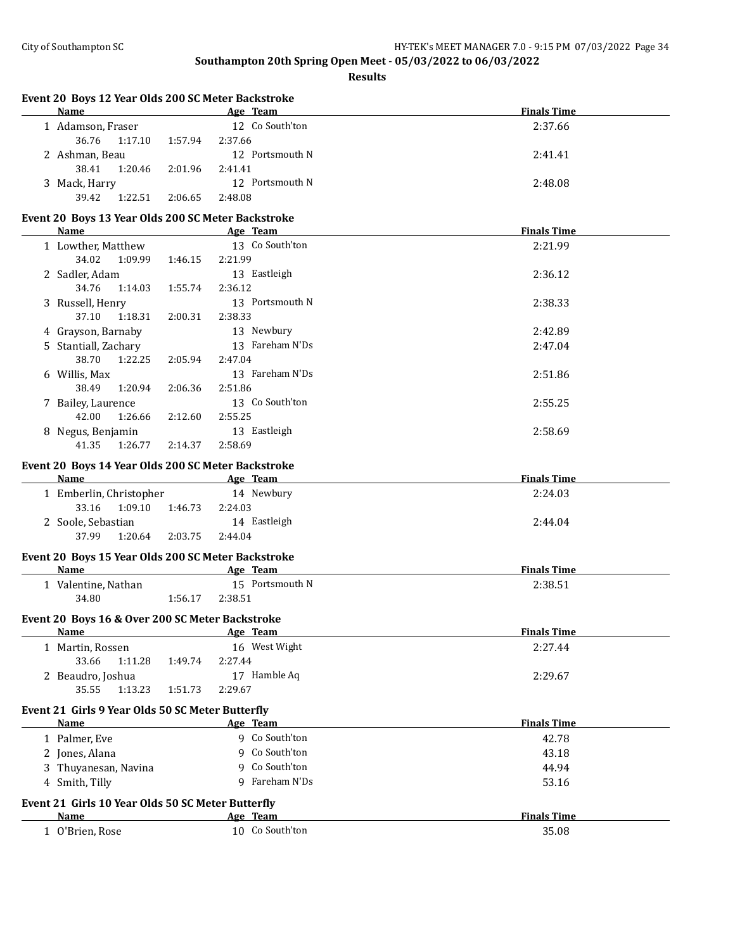| Event 20 Boys 12 Year Olds 200 SC Meter Backstroke<br>Name |         | Age Team                    | <b>Finals Time</b> |
|------------------------------------------------------------|---------|-----------------------------|--------------------|
| 1 Adamson, Fraser                                          |         | 12 Co South'ton             | 2:37.66            |
| 36.76<br>1:17.10                                           | 1:57.94 | 2:37.66                     |                    |
| 2 Ashman, Beau                                             |         | 12 Portsmouth N             | 2:41.41            |
| 38.41<br>1:20.46                                           | 2:01.96 | 2:41.41                     |                    |
| 3 Mack, Harry                                              |         | 12 Portsmouth N             | 2:48.08            |
| 1:22.51<br>39.42                                           | 2:06.65 | 2:48.08                     |                    |
|                                                            |         |                             |                    |
| Event 20 Boys 13 Year Olds 200 SC Meter Backstroke         |         |                             |                    |
| Name                                                       |         | Age Team<br>13 Co South'ton | <b>Finals Time</b> |
| 1 Lowther, Matthew                                         |         |                             | 2:21.99            |
| 34.02<br>1:09.99                                           | 1:46.15 | 2:21.99                     |                    |
| 2 Sadler, Adam                                             |         | 13 Eastleigh                | 2:36.12            |
| 34.76<br>1:14.03                                           | 1:55.74 | 2:36.12                     |                    |
| 3 Russell, Henry                                           |         | 13 Portsmouth N             | 2:38.33            |
| 37.10<br>1:18.31                                           | 2:00.31 | 2:38.33                     |                    |
| 4 Grayson, Barnaby                                         |         | 13 Newbury                  | 2:42.89            |
| 5 Stantiall, Zachary                                       |         | 13 Fareham N'Ds             | 2:47.04            |
| 38.70<br>1:22.25                                           | 2:05.94 | 2:47.04                     |                    |
| 6 Willis, Max                                              |         | 13 Fareham N'Ds             | 2:51.86            |
| 38.49<br>1:20.94                                           | 2:06.36 | 2:51.86                     |                    |
| 7 Bailey, Laurence                                         |         | 13 Co South'ton             | 2:55.25            |
| 42.00<br>1:26.66                                           | 2:12.60 | 2:55.25                     |                    |
| 8 Negus, Benjamin                                          |         | 13 Eastleigh                | 2:58.69            |
| 41.35<br>1:26.77                                           | 2:14.37 | 2:58.69                     |                    |
| Event 20 Boys 14 Year Olds 200 SC Meter Backstroke         |         |                             |                    |
| Name                                                       |         | Age Team                    | <b>Finals Time</b> |
| 1 Emberlin, Christopher                                    |         | 14 Newbury                  | 2:24.03            |
| 33.16<br>1:09.10                                           | 1:46.73 | 2:24.03                     |                    |
| 2 Soole, Sebastian                                         |         | 14 Eastleigh                | 2:44.04            |
| 37.99<br>1:20.64                                           | 2:03.75 | 2:44.04                     |                    |
| Event 20 Boys 15 Year Olds 200 SC Meter Backstroke         |         |                             |                    |
| Name                                                       |         | Age Team                    | <b>Finals Time</b> |
| 1 Valentine, Nathan                                        |         | 15 Portsmouth N             | 2:38.51            |
| 34.80                                                      | 1:56.17 | 2:38.51                     |                    |
|                                                            |         |                             |                    |
| Event 20 Boys 16 & Over 200 SC Meter Backstroke            |         |                             |                    |
| Name                                                       |         | Age Team                    | <u>Finals Time</u> |
| 1 Martin, Rossen                                           |         | 16 West Wight               | 2:27.44            |
| 33.66<br>1:11.28                                           | 1:49.74 | 2:27.44                     |                    |
| 2 Beaudro, Joshua                                          |         | 17 Hamble Aq                | 2:29.67            |
| 35.55<br>1:13.23                                           | 1:51.73 | 2:29.67                     |                    |
| Event 21 Girls 9 Year Olds 50 SC Meter Butterfly           |         |                             |                    |
| Name                                                       |         | Age Team                    | <b>Finals Time</b> |
| 1 Palmer, Eve                                              |         | 9 Co South'ton              | 42.78              |
| 2 Jones, Alana                                             |         | 9 Co South'ton              | 43.18              |
| 3 Thuyanesan, Navina                                       |         | 9 Co South'ton              | 44.94              |
|                                                            |         | 9 Fareham N'Ds              |                    |
| 4 Smith, Tilly                                             |         |                             | 53.16              |
| Event 21 Girls 10 Year Olds 50 SC Meter Butterfly          |         |                             |                    |
| Name                                                       |         | Age Team                    | <b>Finals Time</b> |
| 1 O'Brien, Rose                                            |         | 10 Co South'ton             | 35.08              |
|                                                            |         |                             |                    |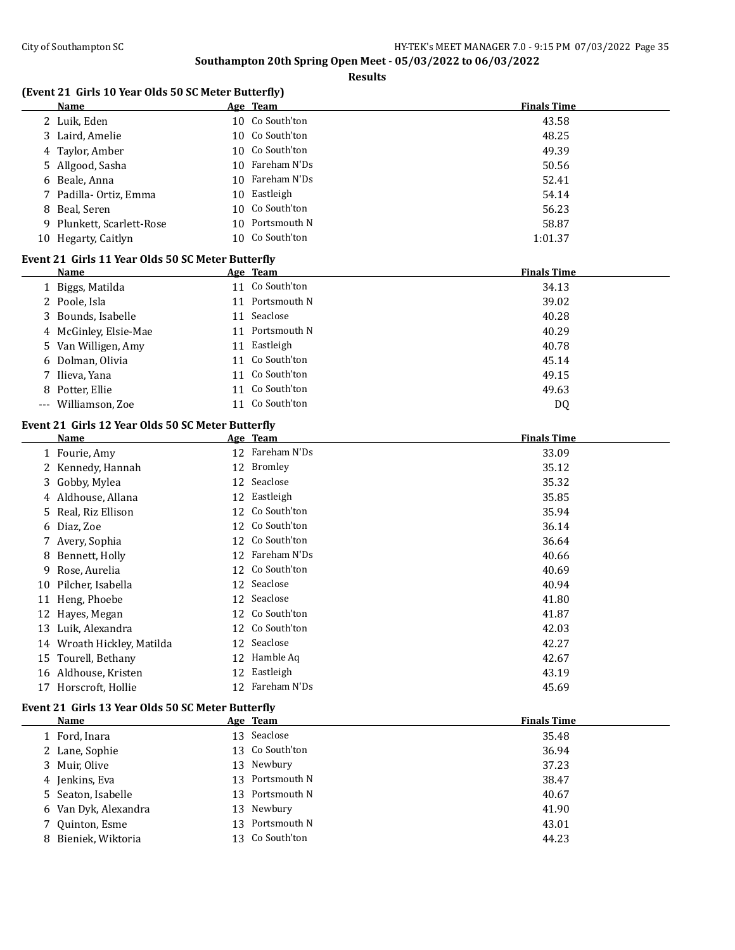**Results**

|      | (Event 21 Girls 10 Year Olds 50 SC Meter Butterfly) |                    |
|------|-----------------------------------------------------|--------------------|
| Name | Team<br>Age                                         | <b>Finals Time</b> |

| 2  | Luik, Eden                                        | 10 | Co South'ton    | 43.58              |
|----|---------------------------------------------------|----|-----------------|--------------------|
|    | 3 Laird, Amelie                                   | 10 | Co South'ton    | 48.25              |
| 4  | Taylor, Amber                                     | 10 | Co South'ton    | 49.39              |
| 5. | Allgood, Sasha                                    | 10 | Fareham N'Ds    | 50.56              |
| 6  | Beale, Anna                                       | 10 | Fareham N'Ds    | 52.41              |
| 7. | Padilla- Ortiz, Emma                              | 10 | Eastleigh       | 54.14              |
| 8  | Beal, Seren                                       | 10 | Co South'ton    | 56.23              |
|    | 9 Plunkett, Scarlett-Rose                         | 10 | Portsmouth N    | 58.87              |
|    | 10 Hegarty, Caitlyn                               |    | 10 Co South'ton | 1:01.37            |
|    | Event 21 Girls 11 Year Olds 50 SC Meter Butterfly |    |                 |                    |
|    | Name                                              |    | Age Team        | <b>Finals Time</b> |
|    | 1 Biggs, Matilda                                  |    | 11 Co South'ton | 34.13              |
|    | 2 Poole, Isla                                     |    | 11 Portsmouth N | 39.02              |
|    | 3 Bounds, Isabelle                                |    | 11 Seaclose     | 40.28              |
| 4  | McGinley, Elsie-Mae                               |    | 11 Portsmouth N | 40.29              |
|    | 5 Van Willigen, Amy                               |    | 11 Eastleigh    | 40.78              |
|    | 6 Dolman, Olivia                                  |    | 11 Co South'ton | 45.14              |
|    | 7 Ilieva, Yana                                    |    | 11 Co South'ton | 49.15              |
|    |                                                   |    | 11 Co South'ton | 49.63              |
|    | 8 Potter, Ellie                                   |    | 11 Co South'ton |                    |
|    | --- Williamson, Zoe                               |    |                 | DQ                 |
|    | Event 21 Girls 12 Year Olds 50 SC Meter Butterfly |    |                 |                    |
|    | <b>Name</b>                                       |    | Age Team        | <b>Finals Time</b> |
|    | 1 Fourie, Amy                                     |    | 12 Fareham N'Ds | 33.09              |
|    | 2 Kennedy, Hannah                                 | 12 | Bromley         | 35.12              |
|    | 3 Gobby, Mylea                                    | 12 | Seaclose        | 35.32              |
|    | 4 Aldhouse, Allana                                |    | 12 Eastleigh    | 35.85              |
| 5. | Real, Riz Ellison                                 |    | 12 Co South'ton | 35.94              |
| 6  | Diaz, Zoe                                         |    | 12 Co South'ton | 36.14              |
|    | 7 Avery, Sophia                                   |    | 12 Co South'ton | 36.64              |
| 8  | Bennett, Holly                                    |    | 12 Fareham N'Ds | 40.66              |
| 9  | Rose, Aurelia                                     |    | 12 Co South'ton | 40.69              |
| 10 | Pilcher, Isabella                                 |    | 12 Seaclose     | 40.94              |
|    | 11 Heng, Phoebe                                   |    | 12 Seaclose     | 41.80              |
|    | 12 Hayes, Megan                                   |    | 12 Co South'ton | 41.87              |
|    | 13 Luik, Alexandra                                |    | 12 Co South'ton | 42.03              |
|    | 14 Wroath Hickley, Matilda                        |    | 12 Seaclose     | 42.27              |
|    | 15 Tourell, Bethany                               |    | 12 Hamble Aq    | 42.67              |
|    | 16 Aldhouse, Kristen                              |    | 12 Eastleigh    | 43.19              |
|    | 17 Horscroft, Hollie                              |    | 12 Fareham N'Ds | 45.69              |
|    | Event 21 Girls 13 Year Olds 50 SC Meter Butterfly |    |                 |                    |
|    | Name                                              |    | Age Team        | <b>Finals Time</b> |
|    | 1 Ford, Inara                                     |    | 13 Seaclose     | 35.48              |
|    | 2 Lane, Sophie                                    | 13 | Co South'ton    | 36.94              |
|    | 3 Muir, Olive                                     | 13 | Newbury         | 37.23              |
|    | 4 Jenkins, Eva                                    | 13 | Portsmouth N    | 38.47              |
| 5. | Seaton, Isabelle                                  | 13 | Portsmouth N    | 40.67              |
| 6  | Van Dyk, Alexandra                                | 13 | Newbury         | 41.90              |
|    | 7 Quinton, Esme                                   |    | 13 Portsmouth N | 43.01              |
|    |                                                   |    |                 |                    |

Bieniek, Wiktoria 13 Co South'ton 44.23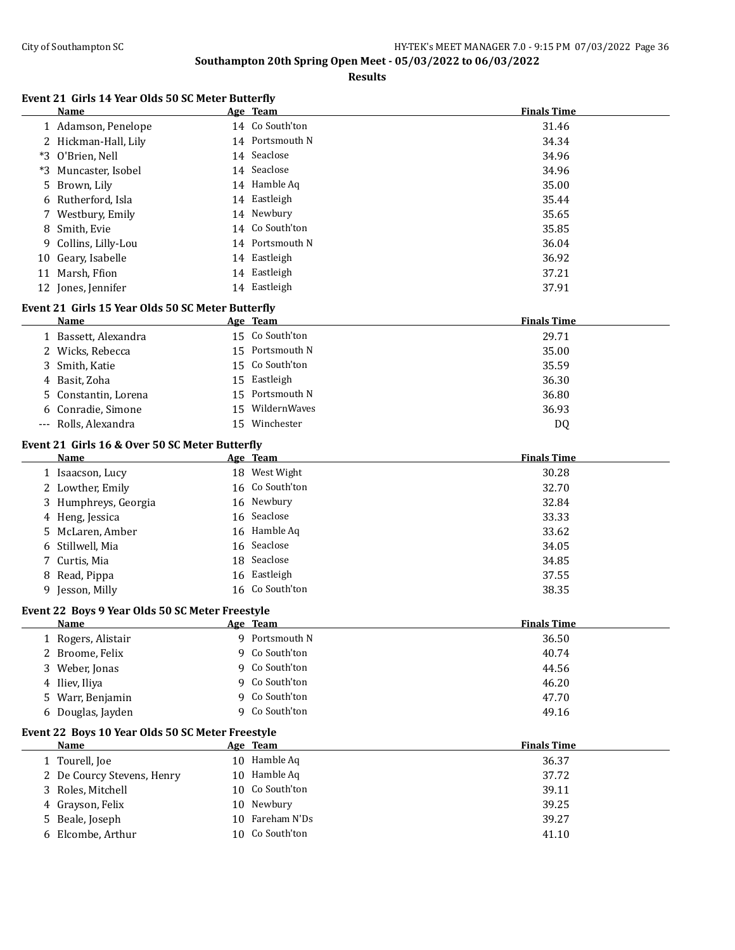|    | Name                                                   |   | <u>Age Team</u>           | <b>Finals Time</b> |
|----|--------------------------------------------------------|---|---------------------------|--------------------|
|    | 1 Adamson, Penelope                                    |   | 14 Co South'ton           | 31.46              |
|    | 2 Hickman-Hall, Lily                                   |   | 14 Portsmouth N           | 34.34              |
|    | *3 O'Brien, Nell                                       |   | 14 Seaclose               | 34.96              |
|    | *3 Muncaster, Isobel                                   |   | 14 Seaclose               | 34.96              |
| 5. | Brown, Lily                                            |   | 14 Hamble Aq              | 35.00              |
| 6  | Rutherford, Isla                                       |   | 14 Eastleigh              | 35.44              |
|    | 7 Westbury, Emily                                      |   | 14 Newbury                | 35.65              |
| 8  | Smith, Evie                                            |   | 14 Co South'ton           | 35.85              |
| 9  | Collins, Lilly-Lou                                     |   | 14 Portsmouth N           | 36.04              |
| 10 | Geary, Isabelle                                        |   | 14 Eastleigh              | 36.92              |
| 11 | Marsh, Ffion                                           |   | 14 Eastleigh              | 37.21              |
|    | 12 Jones, Jennifer                                     |   | 14 Eastleigh              | 37.91              |
|    | Event 21 Girls 15 Year Olds 50 SC Meter Butterfly      |   |                           |                    |
|    | Name                                                   |   | Age Team                  | <b>Finals Time</b> |
|    | 1 Bassett, Alexandra                                   |   | 15 Co South'ton           | 29.71              |
|    | 2 Wicks, Rebecca                                       |   | 15 Portsmouth N           | 35.00              |
|    | 3 Smith, Katie                                         |   | 15 Co South'ton           | 35.59              |
|    | 4 Basit, Zoha                                          |   | 15 Eastleigh              | 36.30              |
| 5  | Constantin, Lorena                                     |   | 15 Portsmouth N           | 36.80              |
| 6  | Conradie, Simone                                       |   | 15 WildernWaves           | 36.93              |
|    | --- Rolls, Alexandra                                   |   | 15 Winchester             | DQ                 |
|    |                                                        |   |                           |                    |
|    | Event 21 Girls 16 & Over 50 SC Meter Butterfly<br>Name |   |                           | <b>Finals Time</b> |
|    | 1 Isaacson, Lucy                                       |   | Age Team<br>18 West Wight | 30.28              |
|    | 2 Lowther, Emily                                       |   | 16 Co South'ton           | 32.70              |
|    | 3 Humphreys, Georgia                                   |   | 16 Newbury                | 32.84              |
|    | 4 Heng, Jessica                                        |   | 16 Seaclose               | 33.33              |
|    | 5 McLaren, Amber                                       |   | 16 Hamble Aq              | 33.62              |
| 6  | Stillwell, Mia                                         |   | 16 Seaclose               | 34.05              |
|    | 7 Curtis, Mia                                          |   | 18 Seaclose               | 34.85              |
| 8  | Read, Pippa                                            |   | 16 Eastleigh              | 37.55              |
|    | 9 Jesson, Milly                                        |   | 16 Co South'ton           | 38.35              |
|    |                                                        |   |                           |                    |
|    | Event 22 Boys 9 Year Olds 50 SC Meter Freestyle        |   |                           |                    |
|    | Name                                                   |   | Age Team                  | <b>Finals Time</b> |
|    | 1 Rogers, Alistair                                     |   | 9 Portsmouth N            | 36.50              |
|    | 2 Broome, Felix                                        |   | 9 Co South'ton            | 40.74              |
|    | 3 Weber, Jonas                                         |   | 9 Co South'ton            | 44.56              |
|    | 4 Iliev, Iliya                                         |   | 9 Co South'ton            | 46.20              |
|    | 5 Warr, Benjamin                                       | 9 | Co South'ton              | 47.70              |
|    | 6 Douglas, Jayden                                      | 9 | Co South'ton              | 49.16              |
|    | Event 22 Boys 10 Year Olds 50 SC Meter Freestyle       |   |                           |                    |
|    | <u>Name</u>                                            |   | Age Team                  | <b>Finals Time</b> |
|    | 1 Tourell, Joe                                         |   | 10 Hamble Aq              | 36.37              |
|    | 2 De Courcy Stevens, Henry                             |   | 10 Hamble Aq              | 37.72              |
|    | 3 Roles, Mitchell                                      |   | 10 Co South'ton           | 39.11              |
|    | 4 Grayson, Felix                                       |   | 10 Newbury                | 39.25              |
|    | 5 Beale, Joseph                                        |   | 10 Fareham N'Ds           | 39.27              |
|    | 6 Elcombe, Arthur                                      |   | 10 Co South'ton           | 41.10              |
|    |                                                        |   |                           |                    |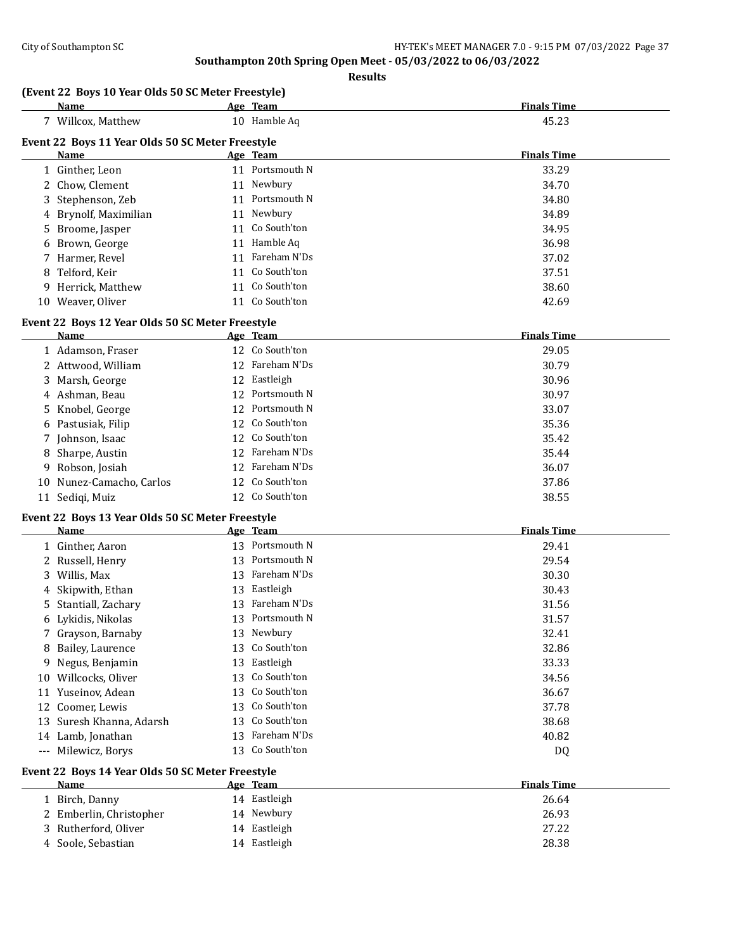**Results**

# **(Event 22 Boys 10 Year Olds 50 SC Meter Freestyle)**

|   | Name                                             |    | Age Team        | <b>Finals Time</b> |
|---|--------------------------------------------------|----|-----------------|--------------------|
|   | 7 Willcox, Matthew                               |    | 10 Hamble Aq    | 45.23              |
|   | Event 22 Boys 11 Year Olds 50 SC Meter Freestyle |    |                 |                    |
|   | Name                                             |    | Age Team        | <b>Finals Time</b> |
|   | 1 Ginther, Leon                                  | 11 | Portsmouth N    | 33.29              |
|   | 2 Chow, Clement                                  | 11 | Newbury         | 34.70              |
|   | 3 Stephenson, Zeb                                | 11 | Portsmouth N    | 34.80              |
|   | 4 Brynolf, Maximilian                            |    | 11 Newbury      | 34.89              |
|   | 5 Broome, Jasper                                 |    | 11 Co South'ton | 34.95              |
|   | 6 Brown, George                                  | 11 | Hamble Aq       | 36.98              |
|   | 7 Harmer, Revel                                  | 11 | Fareham N'Ds    | 37.02              |
| 8 | Telford, Keir                                    |    | 11 Co South'ton | 37.51              |
|   | 9 Herrick, Matthew                               |    | 11 Co South'ton | 38.60              |
|   | 10 Weaver, Oliver                                |    | 11 Co South'ton | 42.69              |

# **Event 22 Boys 12 Year Olds 50 SC Meter Freestyle**

| <b>Name</b>              | Age Team        | <b>Finals Time</b> |
|--------------------------|-----------------|--------------------|
| 1 Adamson, Fraser        | 12 Co South'ton | 29.05              |
| 2 Attwood, William       | 12 Fareham N'Ds | 30.79              |
| 3 Marsh, George          | 12 Eastleigh    | 30.96              |
| 4 Ashman, Beau           | 12 Portsmouth N | 30.97              |
| 5 Knobel, George         | 12 Portsmouth N | 33.07              |
| 6 Pastusiak, Filip       | 12 Co South'ton | 35.36              |
| 7 Johnson, Isaac         | 12 Co South'ton | 35.42              |
| 8 Sharpe, Austin         | 12 Fareham N'Ds | 35.44              |
| 9 Robson, Josiah         | 12 Fareham N'Ds | 36.07              |
| 10 Nunez-Camacho, Carlos | 12 Co South'ton | 37.86              |
| 11 Sedigi, Muiz          | 12 Co South'ton | 38.55              |

# **Event 22 Boys 13 Year Olds 50 SC Meter Freestyle**<br>Name Age Team

|       | Name                     |     | Age Team        | <b>Finals Time</b> |
|-------|--------------------------|-----|-----------------|--------------------|
|       | 1 Ginther, Aaron         | 13. | Portsmouth N    | 29.41              |
|       | 2 Russell, Henry         |     | 13 Portsmouth N | 29.54              |
|       | 3 Willis, Max            |     | 13 Fareham N'Ds | 30.30              |
|       | 4 Skipwith, Ethan        | 13  | Eastleigh       | 30.43              |
|       | 5 Stantiall, Zachary     | 13. | Fareham N'Ds    | 31.56              |
|       | 6 Lykidis, Nikolas       |     | 13 Portsmouth N | 31.57              |
|       | 7 Grayson, Barnaby       |     | 13 Newbury      | 32.41              |
|       | 8 Bailey, Laurence       |     | 13 Co South'ton | 32.86              |
| 9.    | Negus, Benjamin          | 13  | Eastleigh       | 33.33              |
| 10    | Willcocks, Oliver        |     | 13 Co South'ton | 34.56              |
| 11    | Yuseinov, Adean          |     | 13 Co South'ton | 36.67              |
|       | 12 Coomer, Lewis         |     | 13 Co South'ton | 37.78              |
|       | 13 Suresh Khanna, Adarsh |     | 13 Co South'ton | 38.68              |
|       | 14 Lamb, Jonathan        | 13. | Fareham N'Ds    | 40.82              |
| $---$ | Milewicz, Borys          |     | 13 Co South'ton | DQ                 |

# **Event 22 Boys 14 Year Olds 50 SC Meter Freestyle**

| Name                    | Team<br>Age     | <b>Finals Time</b> |
|-------------------------|-----------------|--------------------|
| Birch, Danny            | 14 Eastleigh    | 26.64              |
| 2 Emberlin, Christopher | 14 Newbury      | 26.93              |
| 3 Rutherford, Oliver    | 14 Eastleigh    | 27.22              |
| 4 Soole, Sebastian      | Eastleigh<br>14 | 28.38              |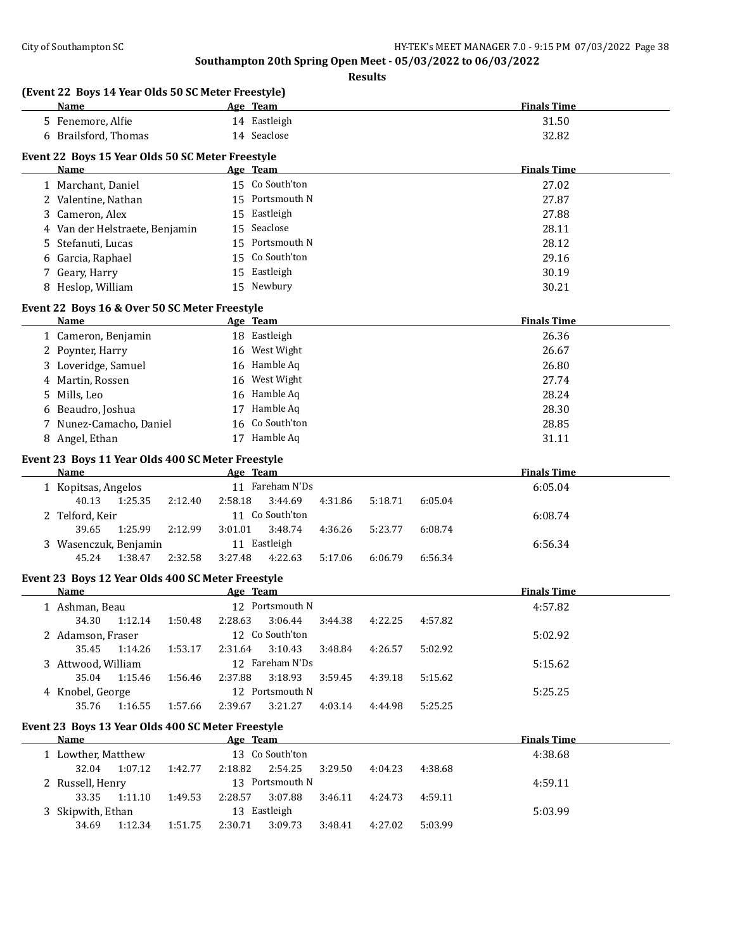|        | (Event 22 Boys 14 Year Olds 50 SC Meter Freestyle)<br><b>Name</b> |         | Age Team        |         |         |         | <b>Finals Time</b> |
|--------|-------------------------------------------------------------------|---------|-----------------|---------|---------|---------|--------------------|
|        | 5 Fenemore, Alfie                                                 |         | 14 Eastleigh    |         |         |         | 31.50              |
|        | 6 Brailsford, Thomas                                              |         | 14 Seaclose     |         |         |         | 32.82              |
|        |                                                                   |         |                 |         |         |         |                    |
|        | Event 22 Boys 15 Year Olds 50 SC Meter Freestyle<br>Name          |         | Age Team        |         |         |         | <b>Finals Time</b> |
|        | 1 Marchant, Daniel                                                |         | 15 Co South'ton |         |         |         | 27.02              |
|        | 2 Valentine, Nathan                                               |         | 15 Portsmouth N |         |         |         | 27.87              |
|        | Cameron, Alex                                                     |         | 15 Eastleigh    |         |         |         | 27.88              |
| 3      | 4 Van der Helstraete, Benjamin                                    |         | 15 Seaclose     |         |         |         | 28.11              |
|        | Stefanuti, Lucas                                                  |         | 15 Portsmouth N |         |         |         | 28.12              |
| 5<br>6 | Garcia, Raphael                                                   |         | 15 Co South'ton |         |         |         | 29.16              |
| 7      |                                                                   |         | 15 Eastleigh    |         |         |         | 30.19              |
|        | Geary, Harry<br>8 Heslop, William                                 |         | 15 Newbury      |         |         |         | 30.21              |
|        |                                                                   |         |                 |         |         |         |                    |
|        | Event 22 Boys 16 & Over 50 SC Meter Freestyle                     |         |                 |         |         |         |                    |
|        | <b>Name</b>                                                       |         | Age Team        |         |         |         | <b>Finals Time</b> |
|        | 1 Cameron, Benjamin                                               |         | 18 Eastleigh    |         |         |         | 26.36              |
|        | 2 Poynter, Harry                                                  |         | 16 West Wight   |         |         |         | 26.67              |
|        | 3 Loveridge, Samuel                                               |         | 16 Hamble Aq    |         |         |         | 26.80              |
|        | 4 Martin, Rossen                                                  |         | 16 West Wight   |         |         |         | 27.74              |
| 5      | Mills, Leo                                                        |         | 16 Hamble Aq    |         |         |         | 28.24              |
|        | Beaudro, Joshua                                                   |         | 17 Hamble Aq    |         |         |         | 28.30              |
| 7      | Nunez-Camacho, Daniel                                             | 16      | Co South'ton    |         |         |         | 28.85              |
|        | 8 Angel, Ethan                                                    |         | 17 Hamble Aq    |         |         |         | 31.11              |
|        | Event 23 Boys 11 Year Olds 400 SC Meter Freestyle                 |         |                 |         |         |         |                    |
|        | <b>Name</b>                                                       |         | Age Team        |         |         |         | <b>Finals Time</b> |
|        | 1 Kopitsas, Angelos                                               |         | 11 Fareham N'Ds |         |         |         | 6:05.04            |
|        | 40.13<br>1:25.35<br>2:12.40                                       | 2:58.18 | 3:44.69         | 4:31.86 | 5:18.71 | 6:05.04 |                    |
|        | 2 Telford, Keir                                                   |         | 11 Co South'ton |         |         |         | 6:08.74            |
|        | 39.65<br>1:25.99<br>2:12.99                                       | 3:01.01 | 3:48.74         | 4:36.26 | 5:23.77 | 6:08.74 |                    |
|        | 3 Wasenczuk, Benjamin                                             |         | 11 Eastleigh    |         |         |         | 6:56.34            |
|        | 45.24<br>1:38.47<br>2:32.58                                       | 3:27.48 | 4:22.63         | 5:17.06 | 6:06.79 | 6:56.34 |                    |
|        | Event 23 Boys 12 Year Olds 400 SC Meter Freestyle                 |         |                 |         |         |         |                    |
|        | Name                                                              |         | Age Team        |         |         |         | <b>Finals Time</b> |
|        | 1 Ashman, Beau                                                    |         | 12 Portsmouth N |         |         |         | 4:57.82            |
|        | 1:50.48                                                           |         | 2:28.63 3:06.44 | 3:44.38 | 4:22.25 | 4:57.82 |                    |
|        | 2 Adamson, Fraser                                                 |         | 12 Co South'ton |         |         |         | 5:02.92            |
|        | 35.45<br>1:14.26<br>1:53.17                                       | 2:31.64 | 3:10.43         | 3:48.84 | 4:26.57 | 5:02.92 |                    |
|        | 3 Attwood, William                                                |         | 12 Fareham N'Ds |         |         |         | 5:15.62            |
|        |                                                                   |         | 3:18.93         | 3:59.45 | 4:39.18 | 5:15.62 |                    |
|        | 35.04<br>1:15.46<br>1:56.46                                       | 2:37.88 |                 |         |         |         |                    |
|        | 4 Knobel, George                                                  |         | 12 Portsmouth N |         |         |         | 5:25.25            |
|        | 35.76<br>1:16.55<br>1:57.66                                       | 2:39.67 | 3:21.27         | 4:03.14 | 4:44.98 | 5:25.25 |                    |
|        | Event 23 Boys 13 Year Olds 400 SC Meter Freestyle                 |         |                 |         |         |         |                    |
|        | <b>Name</b>                                                       |         | Age Team        |         |         |         | <b>Finals Time</b> |
|        | 1 Lowther, Matthew                                                |         | 13 Co South'ton |         |         |         | 4:38.68            |
|        | 32.04<br>1:07.12<br>1:42.77                                       | 2:18.82 | 2:54.25         | 3:29.50 | 4:04.23 | 4:38.68 |                    |
|        | 2 Russell, Henry                                                  |         | 13 Portsmouth N |         |         |         | 4:59.11            |
|        | 33.35<br>1:11.10<br>1:49.53                                       | 2:28.57 | 3:07.88         | 3:46.11 | 4:24.73 | 4:59.11 |                    |
|        | 3 Skipwith, Ethan                                                 |         | 13 Eastleigh    |         |         |         | 5:03.99            |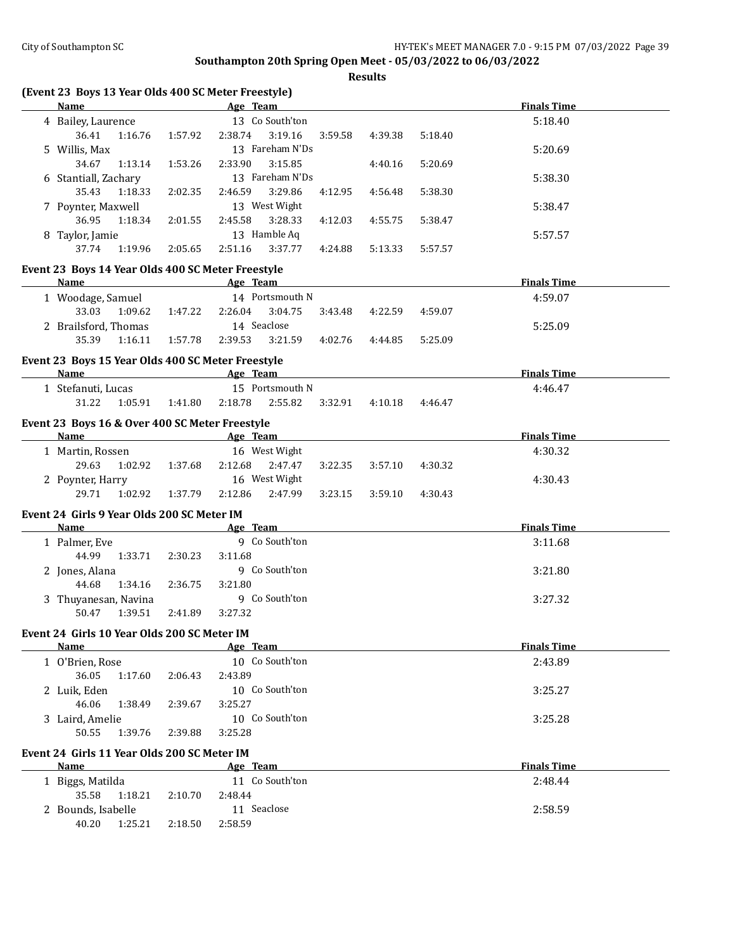| (Event 23 Boys 13 Year Olds 400 SC Meter Freestyle) |         |                 |         |         |         |         |                    |  |
|-----------------------------------------------------|---------|-----------------|---------|---------|---------|---------|--------------------|--|
| <b>Name</b>                                         |         | Age Team        |         |         |         |         | <b>Finals Time</b> |  |
| 4 Bailey, Laurence                                  |         | 13 Co South'ton |         |         |         |         | 5:18.40            |  |
| 36.41<br>1:16.76                                    | 1:57.92 | 2:38.74         | 3:19.16 | 3:59.58 | 4:39.38 | 5:18.40 |                    |  |
| 5 Willis, Max                                       |         | 13 Fareham N'Ds |         |         |         |         | 5:20.69            |  |
| 34.67<br>1:13.14                                    | 1:53.26 | 2:33.90         | 3:15.85 |         | 4:40.16 | 5:20.69 |                    |  |
| 6 Stantiall, Zachary                                |         | 13 Fareham N'Ds |         |         |         |         | 5:38.30            |  |
| 35.43<br>1:18.33                                    | 2:02.35 | 2:46.59         | 3:29.86 | 4:12.95 | 4:56.48 | 5:38.30 |                    |  |
| 7 Poynter, Maxwell                                  |         | 13 West Wight   |         |         |         |         | 5:38.47            |  |
| 36.95<br>1:18.34                                    | 2:01.55 | 2:45.58         | 3:28.33 | 4:12.03 | 4:55.75 | 5:38.47 |                    |  |
| 8 Taylor, Jamie                                     |         | 13 Hamble Aq    |         |         |         |         | 5:57.57            |  |
| 37.74<br>1:19.96                                    | 2:05.65 | 2:51.16         | 3:37.77 | 4:24.88 | 5:13.33 | 5:57.57 |                    |  |
| Event 23 Boys 14 Year Olds 400 SC Meter Freestyle   |         |                 |         |         |         |         |                    |  |
| Name                                                |         | Age Team        |         |         |         |         | <b>Finals Time</b> |  |
| 1 Woodage, Samuel                                   |         | 14 Portsmouth N |         |         |         |         | 4:59.07            |  |
| 33.03<br>1:09.62                                    | 1:47.22 | 2:26.04         | 3:04.75 | 3:43.48 | 4:22.59 | 4:59.07 |                    |  |
| 2 Brailsford, Thomas                                |         | 14 Seaclose     |         |         |         |         | 5:25.09            |  |
| 35.39<br>1:16.11                                    | 1:57.78 | 2:39.53         | 3:21.59 | 4:02.76 | 4:44.85 | 5:25.09 |                    |  |
|                                                     |         |                 |         |         |         |         |                    |  |
| Event 23 Boys 15 Year Olds 400 SC Meter Freestyle   |         |                 |         |         |         |         |                    |  |
| Name                                                |         | Age Team        |         |         |         |         | <b>Finals Time</b> |  |
| 1 Stefanuti, Lucas                                  |         | 15 Portsmouth N |         |         |         |         | 4:46.47            |  |
| 31.22<br>1:05.91                                    | 1:41.80 | 2:18.78         | 2:55.82 | 3:32.91 | 4:10.18 | 4:46.47 |                    |  |
| Event 23 Boys 16 & Over 400 SC Meter Freestyle      |         |                 |         |         |         |         |                    |  |
| <b>Name</b>                                         |         | Age Team        |         |         |         |         | <b>Finals Time</b> |  |
| 1 Martin, Rossen                                    |         | 16 West Wight   |         |         |         |         | 4:30.32            |  |
| 29.63<br>1:02.92                                    | 1:37.68 | 2:12.68         | 2:47.47 | 3:22.35 | 3:57.10 | 4:30.32 |                    |  |
| 2 Poynter, Harry                                    |         | 16 West Wight   |         |         |         |         | 4:30.43            |  |
| 29.71<br>1:02.92                                    | 1:37.79 | 2:12.86         | 2:47.99 | 3:23.15 | 3:59.10 | 4:30.43 |                    |  |
| Event 24 Girls 9 Year Olds 200 SC Meter IM          |         |                 |         |         |         |         |                    |  |
| Name                                                |         | Age Team        |         |         |         |         | <b>Finals Time</b> |  |
| 1 Palmer, Eve                                       |         | 9 Co South'ton  |         |         |         |         | 3:11.68            |  |
| 44.99<br>1:33.71                                    | 2:30.23 | 3:11.68         |         |         |         |         |                    |  |
| 2 Jones, Alana                                      |         | 9 Co South'ton  |         |         |         |         | 3:21.80            |  |
| 44.68<br>1:34.16                                    | 2:36.75 | 3:21.80         |         |         |         |         |                    |  |
| 3 Thuyanesan, Navina                                |         | 9 Co South'ton  |         |         |         |         | 3:27.32            |  |
| 50.47<br>1:39.51                                    | 2:41.89 | 3:27.32         |         |         |         |         |                    |  |
| Event 24 Girls 10 Year Olds 200 SC Meter IM         |         |                 |         |         |         |         |                    |  |
| Name                                                |         | <u>Age Team</u> |         |         |         |         | <b>Finals Time</b> |  |
| 1 O'Brien, Rose                                     |         | 10 Co South'ton |         |         |         |         | 2:43.89            |  |
| 36.05<br>1:17.60                                    | 2:06.43 | 2:43.89         |         |         |         |         |                    |  |
| 2 Luik, Eden                                        |         | 10 Co South'ton |         |         |         |         | 3:25.27            |  |
| 46.06<br>1:38.49                                    | 2:39.67 | 3:25.27         |         |         |         |         |                    |  |
| 3 Laird, Amelie                                     |         | 10 Co South'ton |         |         |         |         | 3:25.28            |  |
| 50.55<br>1:39.76                                    | 2:39.88 | 3:25.28         |         |         |         |         |                    |  |
|                                                     |         |                 |         |         |         |         |                    |  |
| Event 24 Girls 11 Year Olds 200 SC Meter IM         |         |                 |         |         |         |         |                    |  |
| Name                                                |         | Age Team        |         |         |         |         | <b>Finals Time</b> |  |
| 1 Biggs, Matilda                                    |         | 11 Co South'ton |         |         |         |         | 2:48.44            |  |
| 35.58<br>1:18.21                                    | 2:10.70 | 2:48.44         |         |         |         |         |                    |  |
| 2 Bounds, Isabelle                                  |         | 11 Seaclose     |         |         |         |         | 2:58.59            |  |
| 40.20<br>1:25.21                                    | 2:18.50 | 2:58.59         |         |         |         |         |                    |  |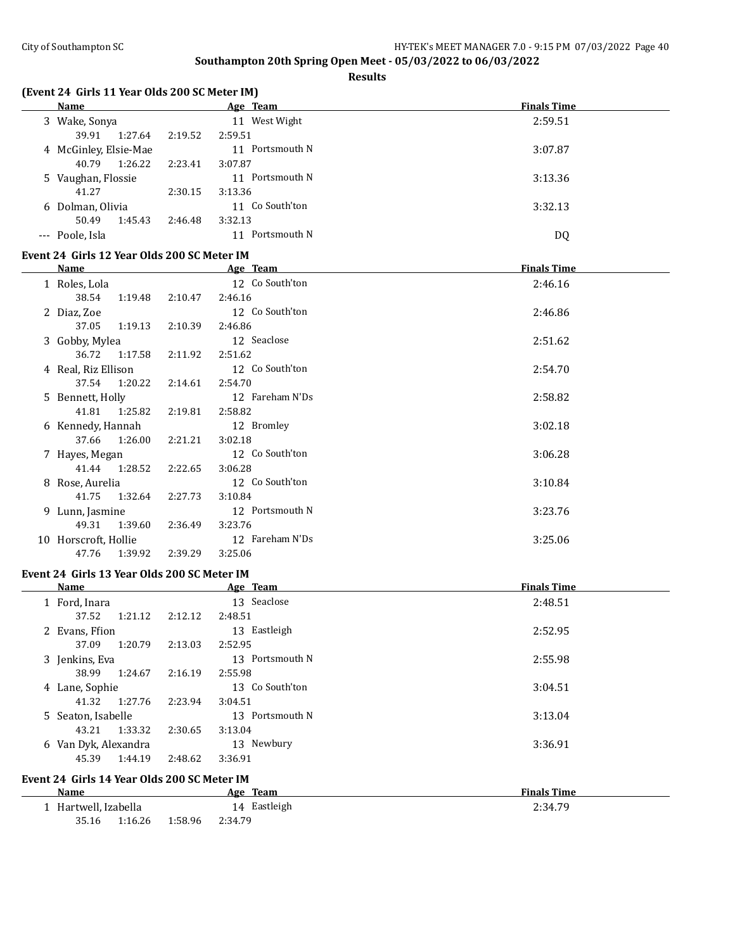**Results**

| (Event 24 Girls 11 Year Olds 200 SC Meter IM) |  |  |  |  |  |  |  |
|-----------------------------------------------|--|--|--|--|--|--|--|
|-----------------------------------------------|--|--|--|--|--|--|--|

| <b>Name</b>                                 |         | Age Team        | <b>Finals Time</b> |
|---------------------------------------------|---------|-----------------|--------------------|
| 3 Wake, Sonya                               |         | 11 West Wight   | 2:59.51            |
| 39.91<br>1:27.64                            | 2:19.52 | 2:59.51         |                    |
| 4 McGinley, Elsie-Mae                       |         | 11 Portsmouth N | 3:07.87            |
| 40.79<br>1:26.22                            | 2:23.41 | 3:07.87         |                    |
| 5 Vaughan, Flossie                          |         | 11 Portsmouth N | 3:13.36            |
| 41.27                                       | 2:30.15 | 3:13.36         |                    |
| 6 Dolman, Olivia                            |         | 11 Co South'ton | 3:32.13            |
| 50.49<br>1:45.43                            | 2:46.48 | 3:32.13         |                    |
| --- Poole, Isla                             |         | 11 Portsmouth N | <b>DQ</b>          |
|                                             |         |                 |                    |
| Event 24 Girls 12 Year Olds 200 SC Meter IM |         |                 |                    |
| <b>Name</b>                                 |         | Age Team        | <b>Finals Time</b> |
| 1 Roles, Lola                               |         | 12 Co South'ton | 2:46.16            |
| 38.54<br>1:19.48                            | 2:10.47 | 2:46.16         |                    |
| 2 Diaz, Zoe                                 |         | 12 Co South'ton | 2:46.86            |
| 37.05<br>1:19.13                            | 2:10.39 | 2:46.86         |                    |
| 3 Gobby, Mylea                              |         | 12 Seaclose     | 2:51.62            |
| 36.72<br>1:17.58                            | 2:11.92 | 2:51.62         |                    |
| 4 Real, Riz Ellison                         |         | 12 Co South'ton | 2:54.70            |
| 37.54<br>1:20.22                            | 2:14.61 | 2:54.70         |                    |
| 5 Bennett, Holly                            |         | 12 Fareham N'Ds | 2:58.82            |
| 41.81<br>1:25.82                            | 2:19.81 | 2:58.82         |                    |
| 6 Kennedy, Hannah                           |         | 12 Bromley      | 3:02.18            |
| 37.66<br>1:26.00                            | 2:21.21 | 3:02.18         |                    |
| 7 Hayes, Megan                              |         | 12 Co South'ton | 3:06.28            |
| 41.44<br>1:28.52                            | 2:22.65 | 3:06.28         |                    |
| 8 Rose, Aurelia                             |         | 12 Co South'ton | 3:10.84            |
| 41.75<br>1:32.64                            | 2:27.73 | 3:10.84         |                    |
| 9 Lunn, Jasmine                             |         | 12 Portsmouth N | 3:23.76            |
| 49.31<br>1:39.60                            | 2:36.49 | 3:23.76         |                    |
| 10 Horscroft, Hollie                        |         | 12 Fareham N'Ds | 3:25.06            |
| 47.76<br>1:39.92                            | 2:39.29 | 3:25.06         |                    |
|                                             |         |                 |                    |
| Event 24 Girls 13 Year Olds 200 SC Meter IM |         |                 |                    |
| Name                                        |         | Age Team        | <b>Finals Time</b> |
| 1 Ford, Inara                               |         | 13 Seaclose     | 2:48.51            |
| 37.52<br>1:21.12                            | 2:12.12 | 2:48.51         |                    |
| 2 Evans, Ffion                              |         | 13 Eastleigh    | 2:52.95            |
| 1:20.79<br>37.09                            | 2:13.03 | 2:52.95         |                    |
| 3 Jenkins, Eva                              |         | 13 Portsmouth N | 2:55.98            |
| 38.99<br>1:24.67                            | 2:16.19 | 2:55.98         |                    |
| 4 Lane, Sophie                              |         | 13 Co South'ton | 3:04.51            |
| 41.32<br>1:27.76                            | 2:23.94 | 3:04.51         |                    |
| 5 Seaton, Isabelle                          |         | 13 Portsmouth N | 3:13.04            |
| 43.21<br>1:33.32                            | 2:30.65 | 3:13.04         |                    |
| 6 Van Dyk, Alexandra                        |         | 13 Newbury      | 3:36.91            |
| 45.39<br>1:44.19                            | 2:48.62 | 3:36.91         |                    |
|                                             |         |                 |                    |

#### **Event 24 Girls 14 Year Olds 200 SC Meter IM**

| Name                 | Age Team           | <b>Finals Time</b> |
|----------------------|--------------------|--------------------|
| 1 Hartwell, Izabella | 14 Eastleigh       | 2:34.79            |
| 35.16<br>1:16.26     | 1:58.96<br>2:34.79 |                    |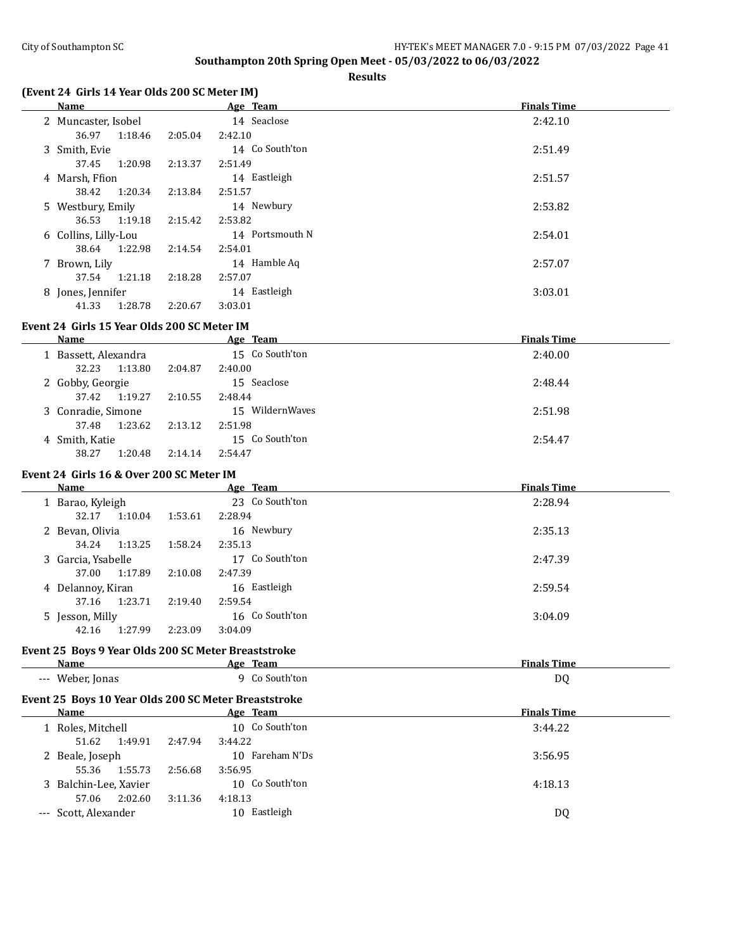**Results**

# **(Event 24 Girls 14 Year Olds 200 SC Meter IM)**

| Name                 |         | Age Team        | <b>Finals Time</b> |
|----------------------|---------|-----------------|--------------------|
| 2 Muncaster, Isobel  |         | 14 Seaclose     | 2:42.10            |
| 36.97<br>1:18.46     | 2:05.04 | 2:42.10         |                    |
| 3 Smith, Evie        |         | 14 Co South'ton | 2:51.49            |
| 37.45<br>1:20.98     | 2:13.37 | 2:51.49         |                    |
| 4 Marsh, Ffion       |         | 14 Eastleigh    | 2:51.57            |
| 1:20.34<br>38.42     | 2:13.84 | 2:51.57         |                    |
| 5 Westbury, Emily    |         | 14 Newbury      | 2:53.82            |
| 1:19.18<br>36.53     | 2:15.42 | 2:53.82         |                    |
| 6 Collins, Lilly-Lou |         | 14 Portsmouth N | 2:54.01            |
| 1:22.98<br>38.64     | 2:14.54 | 2:54.01         |                    |
| 7 Brown, Lily        |         | 14 Hamble Aq    | 2:57.07            |
| 1:21.18<br>37.54     | 2:18.28 | 2:57.07         |                    |
| 8 Jones, Jennifer    |         | 14 Eastleigh    | 3:03.01            |
| 1:28.78<br>41.33     | 2:20.67 | 3:03.01         |                    |

#### **Event 24 Girls 15 Year Olds 200 SC Meter IM**

| Name                 | Age Team           | <b>Finals Time</b> |
|----------------------|--------------------|--------------------|
| 1 Bassett, Alexandra | 15 Co South'ton    | 2:40.00            |
| 1:13.80<br>32.23     | 2:40.00<br>2:04.87 |                    |
| 2 Gobby, Georgie     | 15 Seaclose        | 2:48.44            |
| 1:19.27<br>37.42     | 2:10.55<br>2:48.44 |                    |
| 3 Conradie, Simone   | 15 WildernWaves    | 2:51.98            |
| 1:23.62<br>37.48     | 2:13.12<br>2:51.98 |                    |
| 4 Smith, Katie       | 15 Co South'ton    | 2:54.47            |
| 38.27<br>1:20.48     | 2:54.47<br>2:14.14 |                    |

# **Event 24 Girls 16 & Over 200 SC Meter IM**

| Name               |         | Age Team        | <b>Finals Time</b> |
|--------------------|---------|-----------------|--------------------|
| 1 Barao, Kyleigh   |         | 23 Co South'ton | 2:28.94            |
| 1:10.04<br>32.17   | 1:53.61 | 2:28.94         |                    |
| 2 Bevan, Olivia    |         | 16 Newbury      | 2:35.13            |
| 1:13.25<br>34.24   | 1:58.24 | 2:35.13         |                    |
| 3 Garcia, Ysabelle |         | 17 Co South'ton | 2:47.39            |
| 1:17.89<br>37.00   | 2:10.08 | 2:47.39         |                    |
| 4 Delannoy, Kiran  |         | 16 Eastleigh    | 2:59.54            |
| 1:23.71<br>37.16   | 2:19.40 | 2:59.54         |                    |
| 5 Jesson, Milly    |         | 16 Co South'ton | 3:04.09            |
| 1:27.99<br>42.16   | 2:23.09 | 3:04.09         |                    |

#### **Event 25 Boys 9 Year Olds 200 SC Meter Breaststroke**

| Name                      | Team<br>Age             | ---<br>--<br>'ıme |
|---------------------------|-------------------------|-------------------|
| Weber.<br>. Ionas<br>$--$ | South'ton<br>---------- | DC                |

# **Event 25 Boys 10 Year Olds 200 SC Meter Breaststroke**

| <b>Name</b>       |                       |                 | Age Team | <b>Finals Time</b> |         |
|-------------------|-----------------------|-----------------|----------|--------------------|---------|
| 1 Roles, Mitchell |                       | 10 Co South'ton | 3:44.22  |                    |         |
|                   | 51.62                 | 1:49.91         | 2:47.94  | 3:44.22            |         |
|                   | 2 Beale, Joseph       |                 |          | 10 Fareham N'Ds    | 3:56.95 |
|                   | 55.36                 | 1:55.73         | 2:56.68  | 3:56.95            |         |
|                   | 3 Balchin-Lee, Xavier |                 |          | 10 Co South'ton    | 4:18.13 |
|                   | 57.06                 | 2:02.60         | 3:11.36  | 4:18.13            |         |
|                   | --- Scott, Alexander  |                 |          | Eastleigh<br>10.   | DQ      |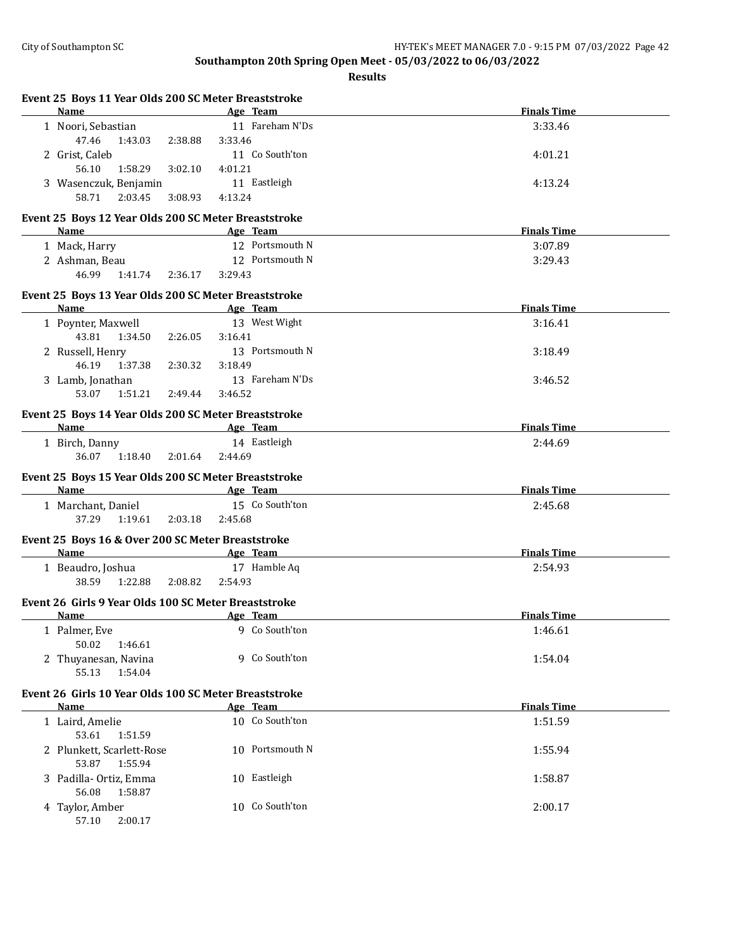| Event 25 Boys 11 Year Olds 200 SC Meter Breaststroke<br>Name |         |         |                 | <b>Finals Time</b> |
|--------------------------------------------------------------|---------|---------|-----------------|--------------------|
|                                                              |         |         | Age Team        |                    |
| 1 Noori, Sebastian                                           |         |         | 11 Fareham N'Ds | 3:33.46            |
| 47.46<br>1:43.03                                             | 2:38.88 | 3:33.46 |                 |                    |
| 2 Grist, Caleb                                               |         |         | 11 Co South'ton | 4:01.21            |
| 56.10<br>1:58.29                                             | 3:02.10 | 4:01.21 |                 |                    |
| 3 Wasenczuk, Benjamin                                        |         |         | 11 Eastleigh    | 4:13.24            |
| 58.71<br>2:03.45                                             | 3:08.93 | 4:13.24 |                 |                    |
| Event 25 Boys 12 Year Olds 200 SC Meter Breaststroke         |         |         |                 |                    |
| <b>Name</b>                                                  |         |         | Age Team        | <b>Finals Time</b> |
| 1 Mack, Harry                                                |         |         | 12 Portsmouth N | 3:07.89            |
| 2 Ashman, Beau                                               |         |         | 12 Portsmouth N | 3:29.43            |
| 46.99<br>1:41.74                                             | 2:36.17 | 3:29.43 |                 |                    |
| Event 25 Boys 13 Year Olds 200 SC Meter Breaststroke         |         |         |                 |                    |
| Name                                                         |         |         | Age Team        | <b>Finals Time</b> |
| 1 Poynter, Maxwell                                           |         |         | 13 West Wight   | 3:16.41            |
| 43.81<br>1:34.50                                             | 2:26.05 | 3:16.41 |                 |                    |
| 2 Russell, Henry                                             |         |         | 13 Portsmouth N | 3:18.49            |
| 46.19<br>1:37.38                                             | 2:30.32 | 3:18.49 |                 |                    |
| 3 Lamb, Jonathan                                             |         |         | 13 Fareham N'Ds | 3:46.52            |
| 53.07<br>1:51.21                                             | 2:49.44 | 3:46.52 |                 |                    |
|                                                              |         |         |                 |                    |
| Event 25 Boys 14 Year Olds 200 SC Meter Breaststroke         |         |         |                 |                    |
| Name                                                         |         |         | Age Team        | <b>Finals Time</b> |
| 1 Birch, Danny                                               |         |         | 14 Eastleigh    | 2:44.69            |
| 36.07<br>1:18.40                                             | 2:01.64 | 2:44.69 |                 |                    |
| Event 25 Boys 15 Year Olds 200 SC Meter Breaststroke         |         |         |                 |                    |
| Name                                                         |         |         | Age Team        | <b>Finals Time</b> |
| 1 Marchant, Daniel                                           |         |         | 15 Co South'ton | 2:45.68            |
| 37.29<br>1:19.61                                             | 2:03.18 | 2:45.68 |                 |                    |
| Event 25 Boys 16 & Over 200 SC Meter Breaststroke            |         |         |                 |                    |
| Name                                                         |         |         | Age Team        | <b>Finals Time</b> |
| 1 Beaudro, Joshua                                            |         |         | 17 Hamble Aq    | 2:54.93            |
| 38.59<br>1:22.88                                             | 2:08.82 | 2:54.93 |                 |                    |
|                                                              |         |         |                 |                    |
| Event 26 Girls 9 Year Olds 100 SC Meter Breaststroke         |         |         |                 |                    |
| Name                                                         |         |         | <u>Age Team</u> | <b>Finals Time</b> |
| 1 Palmer, Eve                                                |         |         | 9 Co South'ton  | 1:46.61            |
| 50.02<br>1:46.61                                             |         |         |                 |                    |
| 2 Thuyanesan, Navina                                         |         |         | 9 Co South'ton  | 1:54.04            |
| 55.13<br>1:54.04                                             |         |         |                 |                    |
| Event 26 Girls 10 Year Olds 100 SC Meter Breaststroke        |         |         |                 |                    |
| Name                                                         |         |         | Age Team        | <b>Finals Time</b> |
| 1 Laird, Amelie                                              |         |         | 10 Co South'ton | 1:51.59            |
| 53.61<br>1:51.59                                             |         |         |                 |                    |
| 2 Plunkett, Scarlett-Rose                                    |         |         | 10 Portsmouth N | 1:55.94            |
| 53.87<br>1:55.94                                             |         |         |                 |                    |
| 3 Padilla-Ortiz, Emma                                        |         |         | 10 Eastleigh    | 1:58.87            |
| 56.08<br>1:58.87                                             |         |         |                 |                    |
| 4 Taylor, Amber                                              |         |         | 10 Co South'ton | 2:00.17            |
| 57.10<br>2:00.17                                             |         |         |                 |                    |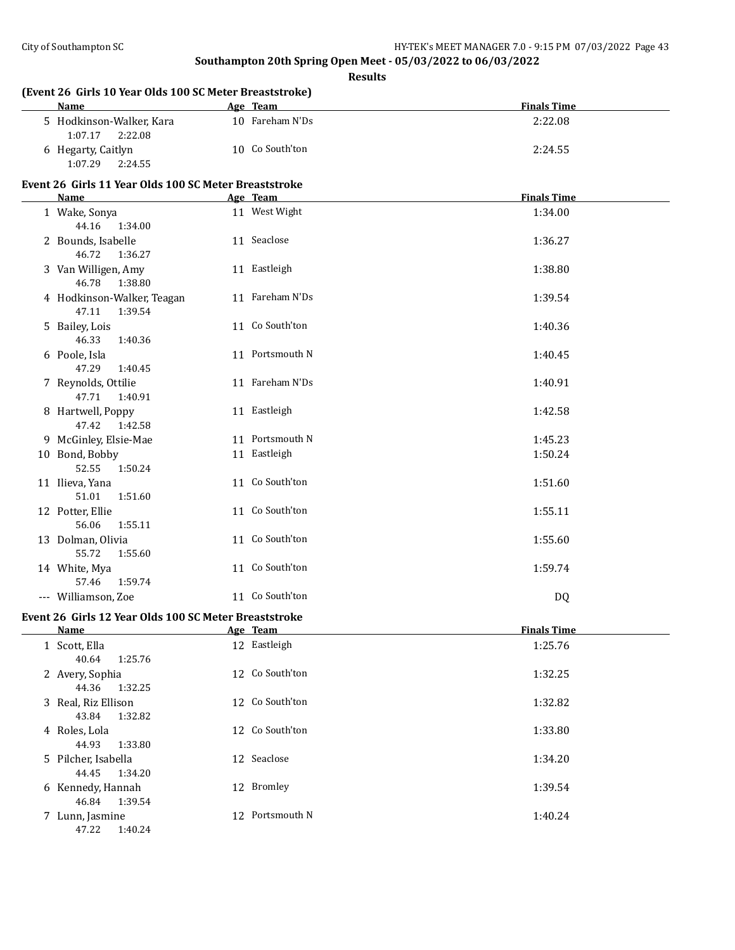| (Event 26 Girls 10 Year Olds 100 SC Meter Breaststroke)<br>Name | Age Team        | <b>Finals Time</b> |
|-----------------------------------------------------------------|-----------------|--------------------|
| 5 Hodkinson-Walker, Kara<br>1:07.17<br>2:22.08                  | 10 Fareham N'Ds | 2:22.08            |
| 6 Hegarty, Caitlyn<br>1:07.29<br>2:24.55                        | 10 Co South'ton | 2:24.55            |
| Event 26 Girls 11 Year Olds 100 SC Meter Breaststroke<br>Name   | Age Team        | <b>Finals Time</b> |
| 1 Wake, Sonya                                                   | 11 West Wight   | 1:34.00            |
| 44.16<br>1:34.00                                                |                 |                    |
| 2 Bounds, Isabelle<br>46.72<br>1:36.27                          | 11 Seaclose     | 1:36.27            |
| 3 Van Willigen, Amy<br>46.78<br>1:38.80                         | 11 Eastleigh    | 1:38.80            |
| 4 Hodkinson-Walker, Teagan<br>47.11<br>1:39.54                  | 11 Fareham N'Ds | 1:39.54            |
| 5 Bailey, Lois<br>46.33<br>1:40.36                              | 11 Co South'ton | 1:40.36            |
| 6 Poole, Isla<br>47.29<br>1:40.45                               | 11 Portsmouth N | 1:40.45            |
| 7 Reynolds, Ottilie<br>47.71<br>1:40.91                         | 11 Fareham N'Ds | 1:40.91            |
| 8 Hartwell, Poppy<br>47.42<br>1:42.58                           | 11 Eastleigh    | 1:42.58            |
| 9 McGinley, Elsie-Mae                                           | 11 Portsmouth N | 1:45.23            |
| 10 Bond, Bobby<br>52.55<br>1:50.24                              | 11 Eastleigh    | 1:50.24            |
| 11 Ilieva, Yana<br>51.01<br>1:51.60                             | 11 Co South'ton | 1:51.60            |
| 12 Potter, Ellie<br>56.06<br>1:55.11                            | 11 Co South'ton | 1:55.11            |
| 13 Dolman, Olivia<br>55.72<br>1:55.60                           | 11 Co South'ton | 1:55.60            |
| 14 White, Mya<br>57.46<br>1:59.74                               | 11 Co South'ton | 1:59.74            |
| --- Williamson, Zoe                                             | 11 Co South'ton | DQ                 |
| Event 26 Girls 12 Year Olds 100 SC Meter Breaststroke           |                 |                    |
| <b>Name</b>                                                     | Age Team        | <b>Finals Time</b> |
| 1 Scott, Ella<br>40.64<br>1:25.76                               | 12 Eastleigh    | 1:25.76            |
| 2 Avery, Sophia<br>44.36<br>1:32.25                             | 12 Co South'ton | 1:32.25            |
| 3 Real, Riz Ellison<br>43.84<br>1:32.82                         | 12 Co South'ton | 1:32.82            |
| 4 Roles, Lola<br>44.93<br>1:33.80                               | 12 Co South'ton | 1:33.80            |
| 5 Pilcher, Isabella<br>44.45<br>1:34.20                         | 12 Seaclose     | 1:34.20            |
| 6 Kennedy, Hannah<br>46.84<br>1:39.54                           | 12 Bromley      | 1:39.54            |
| 7 Lunn, Jasmine<br>47.22 1:40.24                                | 12 Portsmouth N | 1:40.24            |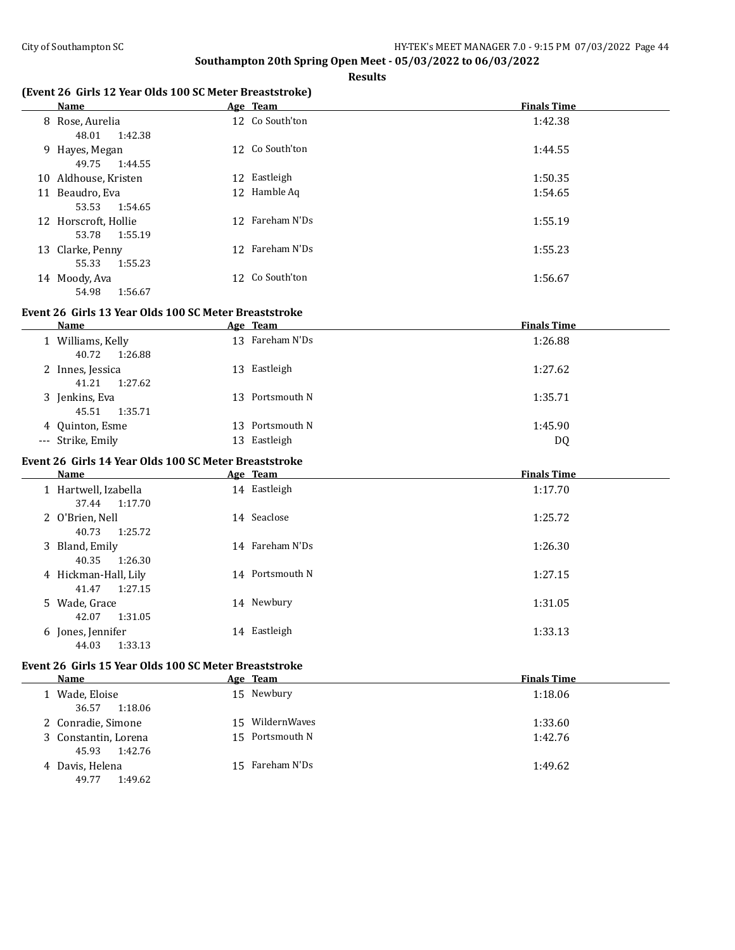**Results**

## **(Event 26 Girls 12 Year Olds 100 SC Meter Breaststroke)**

|    | Name                                     |    | Age Team        | <b>Finals Time</b> |
|----|------------------------------------------|----|-----------------|--------------------|
|    | 8 Rose, Aurelia<br>1:42.38<br>48.01      |    | 12 Co South'ton | 1:42.38            |
|    | 9 Hayes, Megan<br>49.75<br>1:44.55       |    | 12 Co South'ton | 1:44.55            |
|    | 10 Aldhouse, Kristen                     | 12 | Eastleigh       | 1:50.35            |
| 11 | Beaudro, Eva<br>1:54.65<br>53.53         |    | 12 Hamble Aq    | 1:54.65            |
|    | 12 Horscroft, Hollie<br>1:55.19<br>53.78 |    | 12 Fareham N'Ds | 1:55.19            |
|    | 13 Clarke, Penny<br>1:55.23<br>55.33     | 12 | Fareham N'Ds    | 1:55.23            |
|    | 14 Moody, Ava<br>1:56.67<br>54.98        | 12 | Co South'ton    | 1:56.67            |

# **Event 26 Girls 13 Year Olds 100 SC Meter Breaststroke**

| Name                                 |    | Age Team        | <b>Finals Time</b> |
|--------------------------------------|----|-----------------|--------------------|
| Williams, Kelly<br>40.72<br>1:26.88  |    | 13 Fareham N'Ds | 1:26.88            |
| 2 Innes, Jessica<br>41.21<br>1:27.62 |    | 13 Eastleigh    | 1:27.62            |
| 3 Jenkins, Eva<br>1:35.71<br>45.51   |    | 13 Portsmouth N | 1:35.71            |
| 4 Quinton, Esme                      | 13 | Portsmouth N    | 1:45.90            |
| --- Strike, Emily                    |    | 13 Eastleigh    | DQ                 |

# **Event 26 Girls 14 Year Olds 100 SC Meter Breaststroke**

| Name                                     | Age Team        | <b>Finals Time</b> |
|------------------------------------------|-----------------|--------------------|
| 1 Hartwell, Izabella<br>1:17.70<br>37.44 | 14 Eastleigh    | 1:17.70            |
| 2 O'Brien, Nell<br>1:25.72<br>40.73      | 14 Seaclose     | 1:25.72            |
| 3 Bland, Emily<br>1:26.30<br>40.35       | 14 Fareham N'Ds | 1:26.30            |
| 4 Hickman-Hall, Lily<br>1:27.15<br>41.47 | 14 Portsmouth N | 1:27.15            |
| 5 Wade, Grace<br>1:31.05<br>42.07        | 14 Newbury      | 1:31.05            |
| 6 Jones, Jennifer<br>1:33.13<br>44.03    | 14 Eastleigh    | 1:33.13            |

# **Event 26 Girls 15 Year Olds 100 SC Meter Breaststroke**

| Name                                     | Age Team        | <b>Finals Time</b> |
|------------------------------------------|-----------------|--------------------|
| 1 Wade, Eloise<br>1:18.06<br>36.57       | 15 Newbury      | 1:18.06            |
| 2 Conradie, Simone                       | 15 WildernWaves | 1:33.60            |
| 3 Constantin, Lorena<br>1:42.76<br>45.93 | 15 Portsmouth N | 1:42.76            |
| 4 Davis, Helena<br>1:49.62<br>49.77      | 15 Fareham N'Ds | 1:49.62            |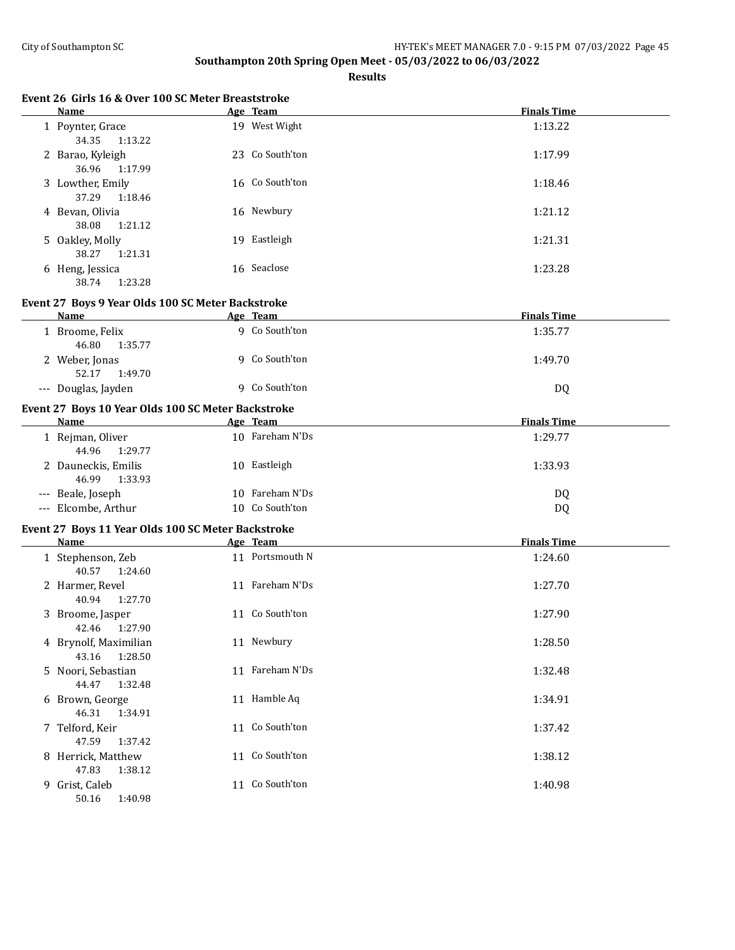| Event 26 Girls 16 & Over 100 SC Meter Breaststroke<br>Name | Age Team        | <b>Finals Time</b> |
|------------------------------------------------------------|-----------------|--------------------|
| 1 Poynter, Grace<br>34.35<br>1:13.22                       | 19 West Wight   | 1:13.22            |
| 2 Barao, Kyleigh<br>36.96<br>1:17.99                       | 23 Co South'ton | 1:17.99            |
| 3 Lowther, Emily<br>37.29<br>1:18.46                       | 16 Co South'ton | 1:18.46            |
| 4 Bevan, Olivia<br>38.08<br>1:21.12                        | 16 Newbury      | 1:21.12            |
| 5 Oakley, Molly<br>38.27<br>1:21.31                        | 19 Eastleigh    | 1:21.31            |
| 6 Heng, Jessica<br>38.74<br>1:23.28                        | 16 Seaclose     | 1:23.28            |
| Event 27 Boys 9 Year Olds 100 SC Meter Backstroke          |                 |                    |
| Name                                                       | Age Team        | <b>Finals Time</b> |
| 1 Broome, Felix<br>46.80<br>1:35.77                        | 9 Co South'ton  | 1:35.77            |
| 2 Weber, Jonas<br>52.17<br>1:49.70                         | 9 Co South'ton  | 1:49.70            |
| --- Douglas, Jayden                                        | 9 Co South'ton  | DQ                 |
| Event 27 Boys 10 Year Olds 100 SC Meter Backstroke         |                 |                    |
| Name                                                       | Age Team        | <b>Finals Time</b> |
| 1 Rejman, Oliver<br>44.96<br>1:29.77                       | 10 Fareham N'Ds | 1:29.77            |
| 2 Dauneckis, Emilis<br>46.99<br>1:33.93                    | 10 Eastleigh    | 1:33.93            |
| --- Beale, Joseph                                          | 10 Fareham N'Ds | DQ                 |
| --- Elcombe, Arthur                                        | 10 Co South'ton | DQ                 |
| Event 27 Boys 11 Year Olds 100 SC Meter Backstroke         |                 |                    |
| <b>Name</b>                                                | Age Team        | <b>Finals Time</b> |
| 1 Stephenson, Zeb<br>40.57<br>1:24.60                      | 11 Portsmouth N | 1:24.60            |
| 2 Harmer, Revel<br>40.94<br>1:27.70                        | 11 Fareham N'Ds | 1:27.70            |
| 3 Broome, Jasper<br>42.46 1:27.90                          | 11 Co South'ton | 1:27.90            |
| 4 Brynolf, Maximilian<br>43.16<br>1:28.50                  | 11 Newbury      | 1:28.50            |
| 5 Noori, Sebastian<br>44.47<br>1:32.48                     | 11 Fareham N'Ds | 1:32.48            |
| 6 Brown, George<br>46.31<br>1:34.91                        | 11 Hamble Aq    | 1:34.91            |
| 7 Telford, Keir<br>47.59<br>1:37.42                        | 11 Co South'ton | 1:37.42            |
| 8 Herrick, Matthew<br>47.83<br>1:38.12                     | 11 Co South'ton | 1:38.12            |
| 9 Grist, Caleb<br>50.16<br>1:40.98                         | 11 Co South'ton | 1:40.98            |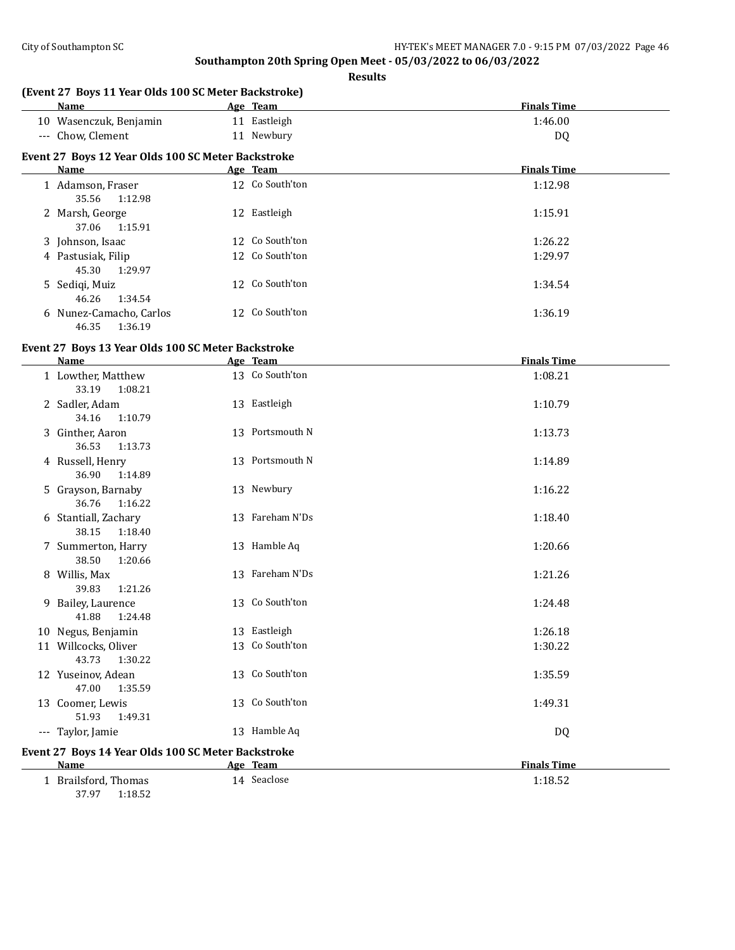**Results**

|       | <b>Name</b>                                        |    | Age Team        | <b>Finals Time</b> |
|-------|----------------------------------------------------|----|-----------------|--------------------|
|       | 10 Wasenczuk, Benjamin                             |    | 11 Eastleigh    | 1:46.00            |
| $---$ | Chow, Clement                                      | 11 | Newbury         | DQ                 |
|       | Event 27 Boys 12 Year Olds 100 SC Meter Backstroke |    |                 |                    |
|       | Name                                               |    | Age Team        | <b>Finals Time</b> |
|       | 1 Adamson, Fraser<br>1:12.98<br>35.56              |    | 12 Co South'ton | 1:12.98            |
|       | 2 Marsh, George<br>1:15.91<br>37.06                |    | 12 Eastleigh    | 1:15.91            |
|       | 3 Johnson, Isaac                                   |    | 12 Co South'ton | 1:26.22            |
|       | 4 Pastusiak, Filip<br>1:29.97<br>45.30             |    | 12 Co South'ton | 1:29.97            |
|       | 5 Sediqi, Muiz<br>1:34.54<br>46.26                 |    | 12 Co South'ton | 1:34.54            |
|       | 6 Nunez-Camacho, Carlos<br>1:36.19<br>46.35        |    | 12 Co South'ton | 1:36.19            |

#### **Event 27 Boys 13 Year Olds 100 SC Meter Backstroke**

| <b>Name</b>                                        | Age Team        | <b>Finals Time</b> |
|----------------------------------------------------|-----------------|--------------------|
| 1 Lowther, Matthew<br>33.19<br>1:08.21             | 13 Co South'ton | 1:08.21            |
| 2 Sadler, Adam<br>1:10.79<br>34.16                 | 13 Eastleigh    | 1:10.79            |
| 3 Ginther, Aaron<br>36.53<br>1:13.73               | 13 Portsmouth N | 1:13.73            |
| 4 Russell, Henry<br>36.90<br>1:14.89               | 13 Portsmouth N | 1:14.89            |
| 5 Grayson, Barnaby<br>36.76<br>1:16.22             | 13 Newbury      | 1:16.22            |
| 6 Stantiall, Zachary<br>38.15<br>1:18.40           | 13 Fareham N'Ds | 1:18.40            |
| 7 Summerton, Harry<br>38.50<br>1:20.66             | 13 Hamble Aq    | 1:20.66            |
| 8 Willis, Max<br>39.83<br>1:21.26                  | 13 Fareham N'Ds | 1:21.26            |
| 9 Bailey, Laurence<br>41.88<br>1:24.48             | 13 Co South'ton | 1:24.48            |
| 10 Negus, Benjamin                                 | 13 Eastleigh    | 1:26.18            |
| 11 Willcocks, Oliver<br>43.73<br>1:30.22           | 13 Co South'ton | 1:30.22            |
| 12 Yuseinov, Adean<br>47.00<br>1:35.59             | 13 Co South'ton | 1:35.59            |
| 13 Coomer, Lewis<br>51.93<br>1:49.31               | 13 Co South'ton | 1:49.31            |
| --- Taylor, Jamie                                  | 13 Hamble Aq    | DQ                 |
| Event 27 Boys 14 Year Olds 100 SC Meter Backstroke |                 |                    |
| Name                                               | Age Team        | <b>Finals Time</b> |
| 1 Brailsford, Thomas                               | 14 Seaclose     | 1:18.52            |

37.97 1:18.52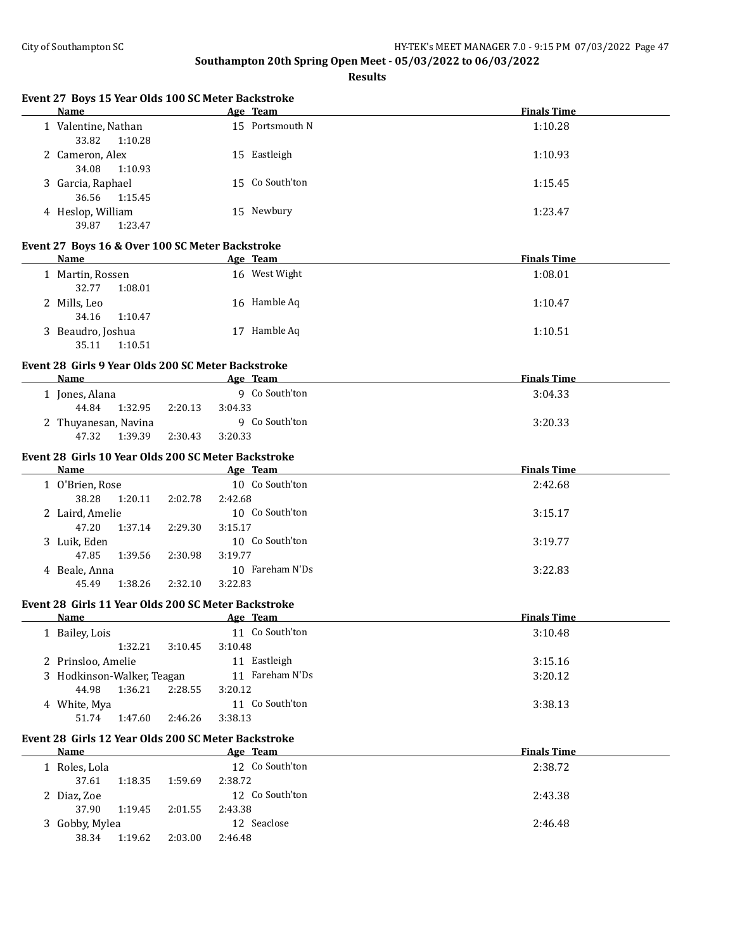| Event 27 Boys 15 Year Olds 100 SC Meter Backstroke<br>Name |                    | Age Team        | <b>Finals Time</b> |
|------------------------------------------------------------|--------------------|-----------------|--------------------|
| 1 Valentine, Nathan<br>33.82<br>1:10.28                    |                    | 15 Portsmouth N | 1:10.28            |
| 2 Cameron, Alex<br>34.08<br>1:10.93                        |                    | 15 Eastleigh    | 1:10.93            |
| 3 Garcia, Raphael<br>36.56<br>1:15.45                      |                    | 15 Co South'ton | 1:15.45            |
| 4 Heslop, William<br>39.87<br>1:23.47                      |                    | 15 Newbury      | 1:23.47            |
| Event 27 Boys 16 & Over 100 SC Meter Backstroke            |                    |                 |                    |
| <b>Name</b>                                                |                    | Age Team        | <b>Finals Time</b> |
| 1 Martin, Rossen<br>32.77<br>1:08.01                       |                    | 16 West Wight   | 1:08.01            |
| 2 Mills, Leo<br>34.16<br>1:10.47                           |                    | 16 Hamble Aq    | 1:10.47            |
| 3 Beaudro, Joshua<br>35.11<br>1:10.51                      |                    | 17 Hamble Aq    | 1:10.51            |
| Event 28 Girls 9 Year Olds 200 SC Meter Backstroke         |                    |                 |                    |
| Name                                                       |                    | Age Team        | <b>Finals Time</b> |
| 1 Jones, Alana<br>44.84<br>1:32.95                         | 3:04.33<br>2:20.13 | 9 Co South'ton  | 3:04.33            |
| 2 Thuyanesan, Navina<br>47.32<br>1:39.39                   | 2:30.43<br>3:20.33 | 9 Co South'ton  | 3:20.33            |
| Event 28 Girls 10 Year Olds 200 SC Meter Backstroke        |                    |                 |                    |
| Name                                                       |                    | Age Team        | <b>Finals Time</b> |
| 1 O'Brien, Rose                                            |                    | 10 Co South'ton | 2:42.68            |
| 38.28<br>1:20.11                                           | 2:02.78<br>2:42.68 |                 |                    |
| 2 Laird, Amelie                                            |                    | 10 Co South'ton | 3:15.17            |
| 47.20<br>1:37.14                                           | 3:15.17<br>2:29.30 |                 |                    |
| 3 Luik, Eden                                               |                    | 10 Co South'ton | 3:19.77            |
| 47.85<br>1:39.56                                           | 3:19.77<br>2:30.98 |                 |                    |
| 4 Beale, Anna                                              |                    | 10 Fareham N'Ds | 3:22.83            |
| 1:38.26<br>45.49                                           | 2:32.10<br>3:22.83 |                 |                    |
| Event 28 Girls 11 Year Olds 200 SC Meter Backstroke        |                    |                 |                    |
| Name                                                       |                    | <u>Age Team</u> | <b>Finals Time</b> |
| 1 Bailey, Lois                                             |                    | 11 Co South'ton | 3:10.48            |
| 1:32.21                                                    | 3:10.48<br>3:10.45 |                 |                    |
| 2 Prinsloo, Amelie                                         |                    | 11 Eastleigh    | 3:15.16            |
| 3 Hodkinson-Walker, Teagan                                 |                    | 11 Fareham N'Ds | 3:20.12            |
| 44.98<br>1:36.21                                           | 2:28.55<br>3:20.12 |                 |                    |
| 4 White, Mya                                               |                    | 11 Co South'ton | 3:38.13            |
| 51.74<br>1:47.60                                           | 2:46.26<br>3:38.13 |                 |                    |
| Event 28 Girls 12 Year Olds 200 SC Meter Backstroke        |                    |                 |                    |
| <b>Name</b>                                                |                    | Age Team        | <b>Finals Time</b> |
| 1 Roles, Lola<br>37.61<br>1:18.35                          | 2:38.72<br>1:59.69 | 12 Co South'ton | 2:38.72            |
| 2 Diaz, Zoe                                                |                    | 12 Co South'ton | 2:43.38            |
| 37.90<br>1:19.45                                           | 2:43.38<br>2:01.55 |                 |                    |
| 3 Gobby, Mylea                                             |                    | 12 Seaclose     | 2:46.48            |
| 38.34<br>1:19.62                                           | 2:03.00<br>2:46.48 |                 |                    |
|                                                            |                    |                 |                    |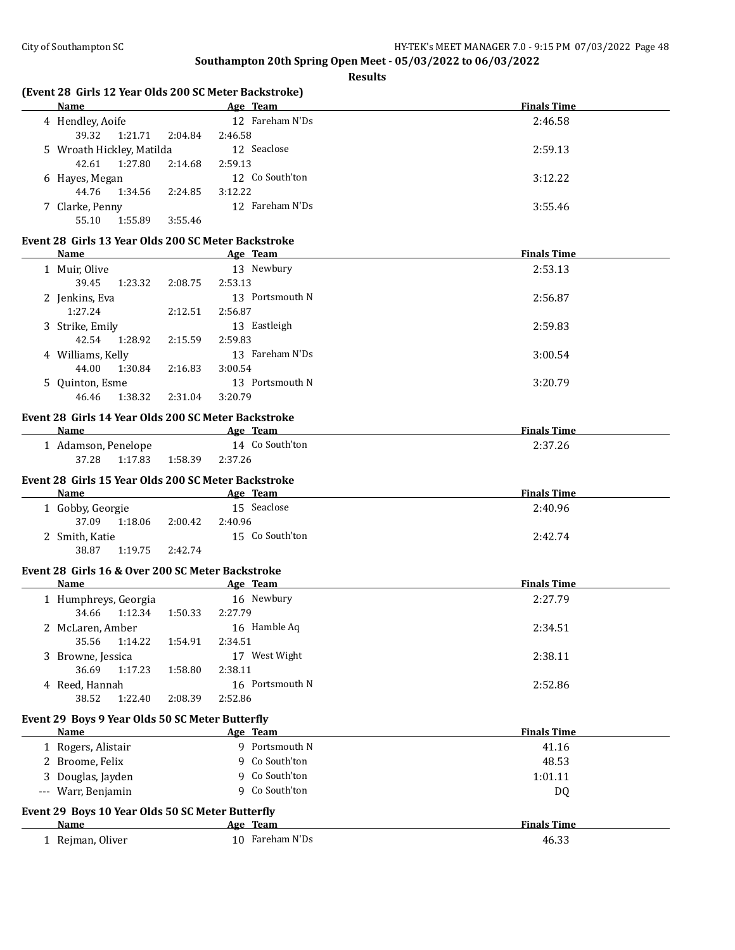|    | (Event 28 Girls 12 Year Olds 200 SC Meter Backstroke)    |         |                       |                    |
|----|----------------------------------------------------------|---------|-----------------------|--------------------|
|    | Name                                                     |         | Age Team              | <b>Finals Time</b> |
|    | 4 Hendley, Aoife                                         |         | 12 Fareham N'Ds       | 2:46.58            |
|    | 39.32<br>1:21.71                                         | 2:04.84 | 2:46.58               |                    |
|    | 5 Wroath Hickley, Matilda                                |         | 12 Seaclose           | 2:59.13            |
|    | 42.61<br>1:27.80                                         | 2:14.68 | 2:59.13               |                    |
|    | 6 Hayes, Megan                                           |         | 12 Co South'ton       | 3:12.22            |
|    | 44.76<br>1:34.56                                         | 2:24.85 | 3:12.22               |                    |
|    | 7 Clarke, Penny                                          |         | 12 Fareham N'Ds       | 3:55.46            |
|    | 55.10<br>1:55.89                                         | 3:55.46 |                       |                    |
|    | Event 28 Girls 13 Year Olds 200 SC Meter Backstroke      |         |                       |                    |
|    | Name                                                     |         | Age Team              | <b>Finals Time</b> |
|    | 1 Muir, Olive                                            |         | 13 Newbury            | 2:53.13            |
|    | 39.45<br>1:23.32                                         | 2:08.75 | 2:53.13               |                    |
|    | 2 Jenkins, Eva                                           |         | 13 Portsmouth N       | 2:56.87            |
|    | 1:27.24                                                  | 2:12.51 | 2:56.87               |                    |
|    | 3 Strike, Emily                                          |         | 13 Eastleigh          | 2:59.83            |
|    | 42.54<br>1:28.92                                         | 2:15.59 | 2:59.83               |                    |
|    | 4 Williams, Kelly                                        |         | 13 Fareham N'Ds       | 3:00.54            |
|    | 44.00<br>1:30.84                                         | 2:16.83 | 3:00.54               |                    |
|    |                                                          |         | 13 Portsmouth N       | 3:20.79            |
|    | 5 Quinton, Esme<br>46.46<br>1:38.32                      | 2:31.04 | 3:20.79               |                    |
|    |                                                          |         |                       |                    |
|    | Event 28 Girls 14 Year Olds 200 SC Meter Backstroke      |         |                       |                    |
|    | <b>Example 2016</b> Age Team<br><b>Name</b>              |         |                       | <b>Finals Time</b> |
|    | 1 Adamson, Penelope                                      |         | 14 Co South'ton       | 2:37.26            |
|    | 37.28<br>1:17.83                                         | 1:58.39 | 2:37.26               |                    |
|    | Event 28 Girls 15 Year Olds 200 SC Meter Backstroke      |         |                       |                    |
|    | Name                                                     |         | Age Team              | <b>Finals Time</b> |
|    |                                                          |         |                       |                    |
|    | 1 Gobby, Georgie                                         |         | 15 Seaclose           | 2:40.96            |
|    | 37.09<br>1:18.06                                         | 2:00.42 | 2:40.96               |                    |
|    | 2 Smith, Katie                                           |         | 15 Co South'ton       | 2:42.74            |
|    | 38.87<br>1:19.75                                         | 2:42.74 |                       |                    |
|    |                                                          |         |                       |                    |
|    | Event 28 Girls 16 & Over 200 SC Meter Backstroke<br>Name |         |                       | <b>Finals Time</b> |
|    |                                                          |         | Age Team              |                    |
|    | 1 Humphreys, Georgia<br>34.66<br>1:12.34                 | 1:50.33 | 16 Newbury<br>2:27.79 | 2:27.79            |
|    |                                                          |         |                       |                    |
|    | 2 McLaren, Amber                                         |         | 16 Hamble Aq          | 2:34.51            |
|    | 35.56<br>1:14.22                                         | 1:54.91 | 2:34.51               |                    |
| 3. | Browne, Jessica                                          |         | 17 West Wight         | 2:38.11            |
|    | 36.69<br>1:17.23                                         | 1:58.80 | 2:38.11               |                    |
|    | 4 Reed, Hannah                                           |         | 16 Portsmouth N       | 2:52.86            |
|    | 38.52<br>1:22.40                                         | 2:08.39 | 2:52.86               |                    |
|    | Event 29 Boys 9 Year Olds 50 SC Meter Butterfly          |         |                       |                    |
|    | Name                                                     |         | Age Team              | <b>Finals Time</b> |
|    | 1 Rogers, Alistair                                       |         | 9 Portsmouth N        | 41.16              |
|    | 2 Broome, Felix                                          |         | 9 Co South'ton        | 48.53              |
|    | 3 Douglas, Jayden                                        |         | 9 Co South'ton        | 1:01.11            |
|    | --- Warr, Benjamin                                       |         | 9 Co South'ton        | DQ                 |
|    |                                                          |         |                       |                    |
|    | Event 29 Boys 10 Year Olds 50 SC Meter Butterfly         |         |                       |                    |
|    | Name                                                     |         | Age Team              | <b>Finals Time</b> |
|    | 1 Rejman, Oliver                                         |         | 10 Fareham N'Ds       | 46.33              |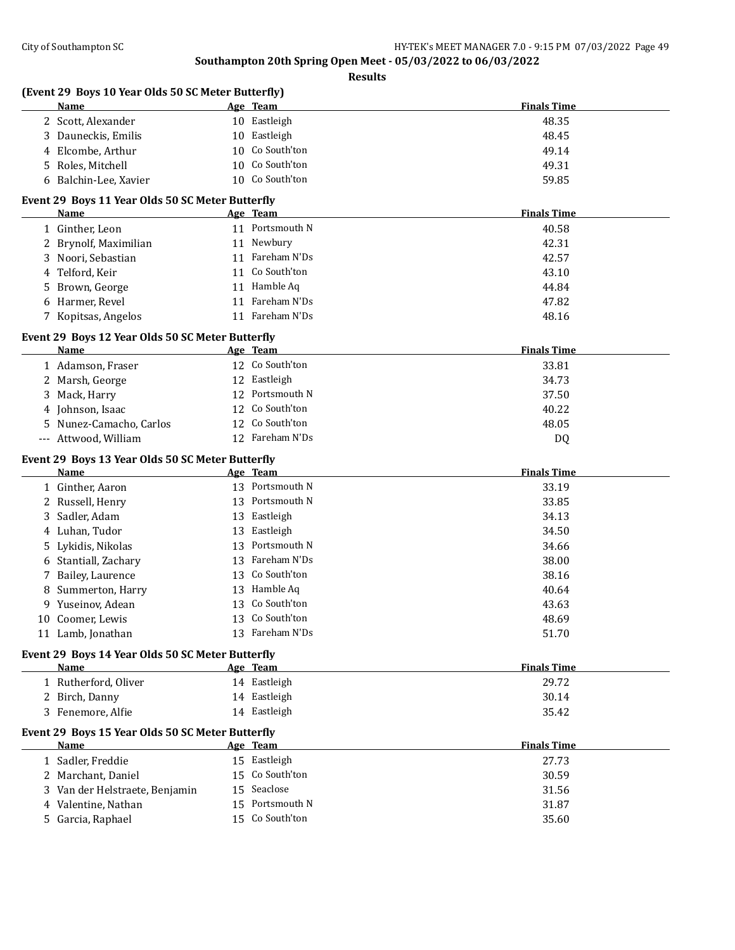| (Event 29 Boys 10 Year Olds 50 SC Meter Butterfly)<br>Name |    | Age Team                    | <b>Finals Time</b> |
|------------------------------------------------------------|----|-----------------------------|--------------------|
| 2 Scott, Alexander                                         |    | 10 Eastleigh                | 48.35              |
| Dauneckis, Emilis<br>3                                     |    | 10 Eastleigh                | 48.45              |
| Elcombe, Arthur                                            |    | 10 Co South'ton             | 49.14              |
| Roles, Mitchell<br>5                                       |    | 10 Co South'ton             | 49.31              |
| 6 Balchin-Lee, Xavier                                      |    | 10 Co South'ton             | 59.85              |
|                                                            |    |                             |                    |
| Event 29 Boys 11 Year Olds 50 SC Meter Butterfly           |    |                             |                    |
| Name                                                       |    | Age Team<br>11 Portsmouth N | <b>Finals Time</b> |
| 1 Ginther, Leon                                            |    |                             | 40.58              |
| 2 Brynolf, Maximilian                                      |    | 11 Newbury                  | 42.31              |
| Noori, Sebastian<br>3.                                     |    | 11 Fareham N'Ds             | 42.57              |
| Telford, Keir<br>4                                         |    | 11 Co South'ton             | 43.10              |
| Brown, George<br>5                                         |    | 11 Hamble Aq                | 44.84              |
| Harmer, Revel<br>6                                         |    | 11 Fareham N'Ds             | 47.82              |
| 7 Kopitsas, Angelos                                        |    | 11 Fareham N'Ds             | 48.16              |
| Event 29 Boys 12 Year Olds 50 SC Meter Butterfly           |    |                             |                    |
| Name                                                       |    | Age Team                    | <b>Finals Time</b> |
| 1 Adamson, Fraser                                          |    | 12 Co South'ton             | 33.81              |
| 2 Marsh, George                                            |    | 12 Eastleigh                | 34.73              |
| Mack, Harry<br>3.                                          |    | 12 Portsmouth N             | 37.50              |
| Johnson, Isaac                                             |    | 12 Co South'ton             | 40.22              |
| Nunez-Camacho, Carlos<br>5                                 |    | 12 Co South'ton             | 48.05              |
| --- Attwood, William                                       |    | 12 Fareham N'Ds             | <b>DQ</b>          |
| Event 29 Boys 13 Year Olds 50 SC Meter Butterfly           |    |                             |                    |
| Name                                                       |    | Age Team                    | <b>Finals Time</b> |
| 1 Ginther, Aaron                                           |    | 13 Portsmouth N             | 33.19              |
| 2 Russell, Henry                                           |    | 13 Portsmouth N             | 33.85              |
| Sadler, Adam<br>3                                          |    | 13 Eastleigh                | 34.13              |
| 4 Luhan, Tudor                                             |    | 13 Eastleigh                | 34.50              |
| Lykidis, Nikolas<br>5                                      | 13 | Portsmouth N                | 34.66              |
| Stantiall, Zachary<br>6                                    | 13 | Fareham N'Ds                | 38.00              |
| Bailey, Laurence<br>7                                      |    |                             |                    |
|                                                            |    |                             |                    |
|                                                            | 13 | Co South'ton                | 38.16              |
| Summerton, Harry<br>8                                      |    | 13 Hamble Aq                | 40.64              |
| Yuseinov, Adean<br>9                                       | 13 | Co South'ton                | 43.63              |
| 10 Coomer. Lewis                                           |    | 13 Co South'ton             | 48.69              |
| 11 Lamb, Jonathan                                          |    | 13 Fareham N'Ds             | 51.70              |
|                                                            |    |                             |                    |
| Event 29 Boys 14 Year Olds 50 SC Meter Butterfly<br>Name   |    | Age Team                    | <b>Finals Time</b> |
| 1 Rutherford, Oliver                                       |    | 14 Eastleigh                | 29.72              |
| 2 Birch, Danny                                             |    | 14 Eastleigh                | 30.14              |
| 3 Fenemore, Alfie                                          |    | 14 Eastleigh                | 35.42              |
| Event 29 Boys 15 Year Olds 50 SC Meter Butterfly           |    |                             |                    |
| <b>Name</b>                                                |    | Age Team                    | <b>Finals Time</b> |
| 1 Sadler, Freddie                                          |    | 15 Eastleigh                | 27.73              |
| 2 Marchant, Daniel                                         |    | 15 Co South'ton             | 30.59              |
|                                                            |    | 15 Seaclose                 |                    |
| 3 Van der Helstraete, Benjamin<br>Valentine, Nathan<br>4   | 15 | Portsmouth N                | 31.56<br>31.87     |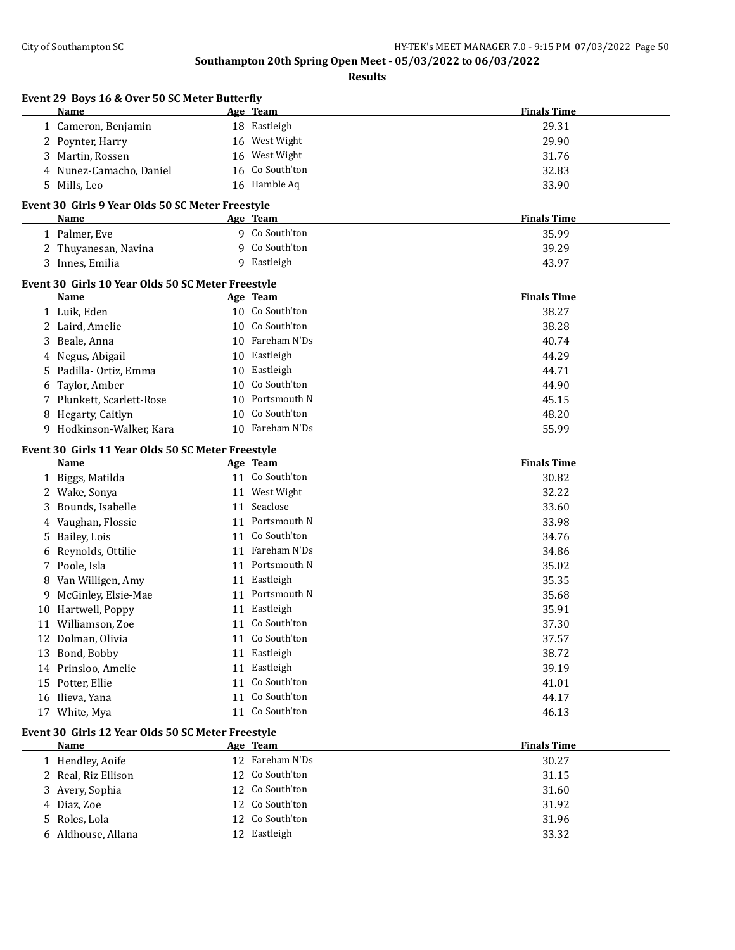|   | Event 29 Boys 16 & Over 50 SC Meter Butterfly<br>Name    |    | Age Team        | <b>Finals Time</b> |
|---|----------------------------------------------------------|----|-----------------|--------------------|
|   | 1 Cameron, Benjamin                                      |    | 18 Eastleigh    | 29.31              |
|   | 2 Poynter, Harry                                         |    | 16 West Wight   | 29.90              |
|   | 3 Martin, Rossen                                         |    | 16 West Wight   | 31.76              |
|   | 4 Nunez-Camacho, Daniel                                  | 16 | Co South'ton    | 32.83              |
|   | 5 Mills, Leo                                             |    | 16 Hamble Aq    | 33.90              |
|   |                                                          |    |                 |                    |
|   | Event 30 Girls 9 Year Olds 50 SC Meter Freestyle<br>Name |    | <u>Age Team</u> | <b>Finals Time</b> |
|   | 1 Palmer, Eve                                            |    | 9 Co South'ton  | 35.99              |
|   | 2 Thuyanesan, Navina                                     |    | 9 Co South'ton  | 39.29              |
|   | 3 Innes, Emilia                                          |    | 9 Eastleigh     | 43.97              |
|   | Event 30 Girls 10 Year Olds 50 SC Meter Freestyle        |    |                 |                    |
|   | Name                                                     |    | Age Team        | <b>Finals Time</b> |
|   | 1 Luik, Eden                                             |    | 10 Co South'ton | 38.27              |
|   | 2 Laird, Amelie                                          |    | 10 Co South'ton | 38.28              |
|   | 3 Beale, Anna                                            |    | 10 Fareham N'Ds | 40.74              |
|   | 4 Negus, Abigail                                         |    | 10 Eastleigh    | 44.29              |
|   | 5 Padilla-Ortiz, Emma                                    |    | 10 Eastleigh    | 44.71              |
| 6 | Taylor, Amber                                            | 10 | Co South'ton    | 44.90              |
|   | 7 Plunkett, Scarlett-Rose                                | 10 | Portsmouth N    | 45.15              |
|   | 8 Hegarty, Caitlyn                                       | 10 | Co South'ton    | 48.20              |
|   | 9 Hodkinson-Walker, Kara                                 |    | 10 Fareham N'Ds | 55.99              |
|   |                                                          |    |                 |                    |
|   | Event 30 Girls 11 Year Olds 50 SC Meter Freestyle        |    |                 |                    |
|   | Name                                                     |    | Age Team        | <b>Finals Time</b> |
|   | 1 Biggs, Matilda                                         |    | 11 Co South'ton | 30.82              |
|   | 2 Wake, Sonya                                            |    | 11 West Wight   | 32.22              |
| 3 | Bounds, Isabelle                                         |    | 11 Seaclose     | 33.60              |
| 4 | Vaughan, Flossie                                         |    | 11 Portsmouth N | 33.98              |
|   | 5 Bailey, Lois                                           |    | 11 Co South'ton | 34.76              |
| 6 | Reynolds, Ottilie                                        |    | 11 Fareham N'Ds | 34.86              |
|   | 7 Poole, Isla                                            |    | 11 Portsmouth N | 35.02              |
| 8 | Van Willigen, Amy                                        | 11 | Eastleigh       | 35.35              |
|   | 9 McGinley, Elsie-Mae                                    |    | 11 Portsmouth N | 35.68              |
|   | 10 Hartwell, Poppy                                       | 11 | Eastleigh       | 35.91              |
|   | 11 Williamson, Zoe                                       |    | 11 Co South'ton | 37.30              |
|   | 12 Dolman, Olivia                                        |    | 11 Co South'ton | 37.57              |
|   | 13 Bond, Bobby                                           |    | 11 Eastleigh    | 38.72              |
|   | 14 Prinsloo, Amelie                                      |    | 11 Eastleigh    | 39.19              |
|   | 15 Potter, Ellie                                         |    | 11 Co South'ton | 41.01              |
|   | 16 Ilieva, Yana                                          |    | 11 Co South'ton | 44.17              |
|   | 17 White, Mya                                            |    | 11 Co South'ton | 46.13              |
|   | Event 30 Girls 12 Year Olds 50 SC Meter Freestyle        |    |                 |                    |
|   | <b>Name</b>                                              |    | Age Team        | <b>Finals Time</b> |
|   | 1 Hendley, Aoife                                         |    | 12 Fareham N'Ds | 30.27              |
|   | 2 Real, Riz Ellison                                      | 12 | Co South'ton    | 31.15              |
|   | 3 Avery, Sophia                                          | 12 | Co South'ton    | 31.60              |
| 4 | Diaz, Zoe                                                |    | 12 Co South'ton | 31.92              |
|   | Roles, Lola                                              |    | 12 Co South'ton | 31.96              |
| 5 |                                                          |    |                 |                    |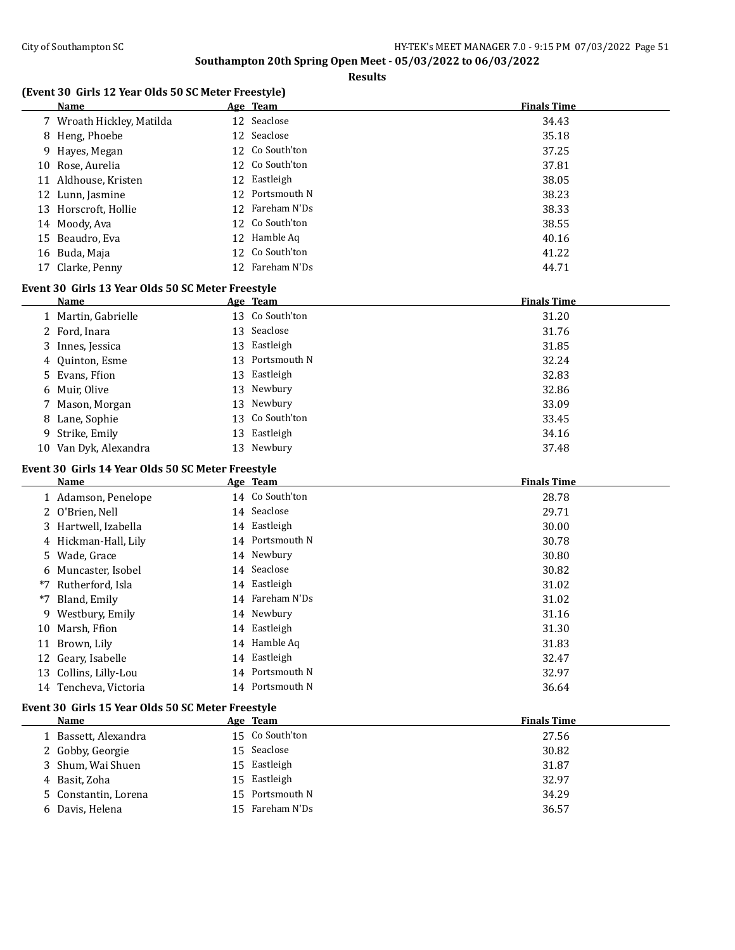**Results**

# **(Event 30 Girls 12 Year Olds 50 SC Meter Freestyle)**

| Name                      | Age Team        | <b>Finals Time</b> |
|---------------------------|-----------------|--------------------|
| 7 Wroath Hickley, Matilda | 12 Seaclose     | 34.43              |
| 8 Heng, Phoebe            | 12 Seaclose     | 35.18              |
| 9 Hayes, Megan            | 12 Co South'ton | 37.25              |
| 10 Rose, Aurelia          | 12 Co South'ton | 37.81              |
| 11 Aldhouse, Kristen      | 12 Eastleigh    | 38.05              |
| 12 Lunn, Jasmine          | 12 Portsmouth N | 38.23              |
| 13 Horscroft, Hollie      | 12 Fareham N'Ds | 38.33              |
| 14 Moody, Ava             | 12 Co South'ton | 38.55              |
| 15 Beaudro, Eva           | 12 Hamble Aq    | 40.16              |
| 16 Buda, Maja             | 12 Co South'ton | 41.22              |
| 17 Clarke, Penny          | 12 Fareham N'Ds | 44.71              |

### **Event 30 Girls 13 Year Olds 50 SC Meter Freestyle**

| Name                  |    | Age Team        | <b>Finals Time</b> |
|-----------------------|----|-----------------|--------------------|
| 1 Martin, Gabrielle   |    | 13 Co South'ton | 31.20              |
| 2 Ford, Inara         |    | 13 Seaclose     | 31.76              |
| 3 Innes, Jessica      |    | 13 Eastleigh    | 31.85              |
| 4 Quinton, Esme       |    | 13 Portsmouth N | 32.24              |
| 5 Evans, Ffion        |    | 13 Eastleigh    | 32.83              |
| 6 Muir, Olive         |    | 13 Newbury      | 32.86              |
| 7 Mason, Morgan       |    | 13 Newbury      | 33.09              |
| 8 Lane, Sophie        |    | 13 Co South'ton | 33.45              |
| 9 Strike, Emily       | 13 | Eastleigh       | 34.16              |
| 10 Van Dyk, Alexandra |    | 13 Newbury      | 37.48              |

# **Event 30 Girls 14 Year Olds 50 SC Meter Freestyle**

|    | Name                  |    | Age Team        | <b>Finals Time</b> |
|----|-----------------------|----|-----------------|--------------------|
|    | 1 Adamson, Penelope   |    | 14 Co South'ton | 28.78              |
|    | 2 O'Brien, Nell       |    | 14 Seaclose     | 29.71              |
|    | 3 Hartwell, Izabella  |    | 14 Eastleigh    | 30.00              |
|    | 4 Hickman-Hall, Lily  |    | 14 Portsmouth N | 30.78              |
|    | 5 Wade, Grace         |    | 14 Newbury      | 30.80              |
|    | 6 Muncaster, Isobel   |    | 14 Seaclose     | 30.82              |
|    | *7 Rutherford, Isla   |    | 14 Eastleigh    | 31.02              |
|    | *7 Bland, Emily       | 14 | Fareham N'Ds    | 31.02              |
|    | 9 Westbury, Emily     |    | 14 Newbury      | 31.16              |
| 10 | Marsh, Ffion          |    | 14 Eastleigh    | 31.30              |
| 11 | Brown, Lily           |    | 14 Hamble Aq    | 31.83              |
|    | 12 Geary, Isabelle    |    | 14 Eastleigh    | 32.47              |
|    | 13 Collins, Lilly-Lou |    | 14 Portsmouth N | 32.97              |
|    | 14 Tencheva, Victoria |    | 14 Portsmouth N | 36.64              |

# **Event 30 Girls 15 Year Olds 50 SC Meter Freestyle**

| Name                 | Age Team        | <b>Finals Time</b> |
|----------------------|-----------------|--------------------|
| 1 Bassett, Alexandra | 15 Co South'ton | 27.56              |
| 2 Gobby, Georgie     | 15 Seaclose     | 30.82              |
| 3 Shum, Wai Shuen    | 15 Eastleigh    | 31.87              |
| 4 Basit, Zoha        | 15 Eastleigh    | 32.97              |
| 5 Constantin, Lorena | 15 Portsmouth N | 34.29              |
| 6 Davis, Helena      | 15 Fareham N'Ds | 36.57              |